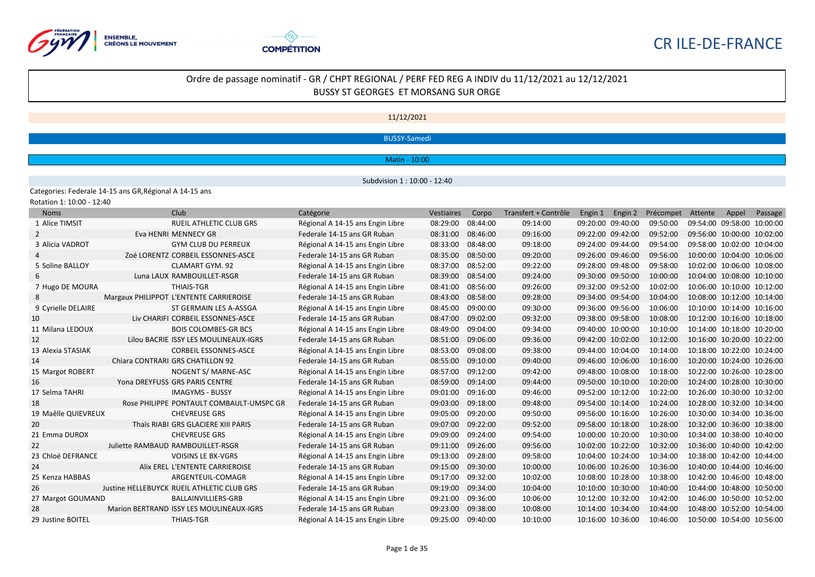



11/12/2021

BUSSY-Samedi

Matin - 10:00

Subdvision 1 : 10:00 - 12:40

Categories: Federale 14-15 ans GR,Régional A 14-15 ans Rotation 1: 10:00 - 12:40

| <b>Noms</b>         | Club                                       | Catégorie                        | <b>Vestiaires</b> | Corpo    | Transfert + Contrôle | Engin 1           | Engin 2 | Précompet | Attente                    | Appel                      | Passage |
|---------------------|--------------------------------------------|----------------------------------|-------------------|----------|----------------------|-------------------|---------|-----------|----------------------------|----------------------------|---------|
| 1 Alice TIMSIT      | <b>RUEIL ATHLETIC CLUB GRS</b>             | Régional A 14-15 ans Engin Libre | 08:29:00          | 08:44:00 | 09:14:00             | 09:20:00 09:40:00 |         | 09:50:00  | 09:54:00 09:58:00 10:00:00 |                            |         |
| 2                   | Eva HENRI MENNECY GR                       | Federale 14-15 ans GR Ruban      | 08:31:00          | 08:46:00 | 09:16:00             | 09:22:00 09:42:00 |         | 09:52:00  | 09:56:00 10:00:00 10:02:00 |                            |         |
| 3 Alicia VADROT     | <b>GYM CLUB DU PERREUX</b>                 | Régional A 14-15 ans Engin Libre | 08:33:00          | 08:48:00 | 09:18:00             | 09:24:00 09:44:00 |         | 09:54:00  | 09:58:00 10:02:00 10:04:00 |                            |         |
|                     | ZOÉ LORENTZ CORBEIL ESSONNES-ASCE          | Federale 14-15 ans GR Ruban      | 08:35:00          | 08:50:00 | 09:20:00             | 09:26:00 09:46:00 |         | 09:56:00  | 10:00:00 10:04:00 10:06:00 |                            |         |
| 5 Soline BALLOY     | <b>CLAMART GYM. 92</b>                     | Régional A 14-15 ans Engin Libre | 08:37:00          | 08:52:00 | 09:22:00             | 09:28:00 09:48:00 |         | 09:58:00  | 10:02:00 10:06:00 10:08:00 |                            |         |
| 6                   | Luna LAUX RAMBOUILLET-RSGR                 | Federale 14-15 ans GR Ruban      | 08:39:00          | 08:54:00 | 09:24:00             | 09:30:00 09:50:00 |         | 10:00:00  | 10:04:00 10:08:00 10:10:00 |                            |         |
| 7 Hugo DE MOURA     | <b>THIAIS-TGR</b>                          | Régional A 14-15 ans Engin Libre | 08:41:00          | 08:56:00 | 09:26:00             | 09:32:00 09:52:00 |         | 10:02:00  |                            | 10:06:00 10:10:00 10:12:00 |         |
|                     | Margaux PHILIPPOT L'ENTENTE CARRIEROISE    | Federale 14-15 ans GR Ruban      | 08:43:00          | 08:58:00 | 09:28:00             | 09:34:00 09:54:00 |         | 10:04:00  | 10:08:00 10:12:00 10:14:00 |                            |         |
| 9 Cyrielle DELAIRE  | ST GERMAIN LES A-ASSGA                     | Régional A 14-15 ans Engin Libre | 08:45:00          | 09:00:00 | 09:30:00             | 09:36:00 09:56:00 |         | 10:06:00  | 10:10:00 10:14:00 10:16:00 |                            |         |
| 10                  | Liv CHARIFI CORBEIL ESSONNES-ASCE          | Federale 14-15 ans GR Ruban      | 08:47:00          | 09:02:00 | 09:32:00             | 09:38:00 09:58:00 |         | 10:08:00  | 10:12:00 10:16:00 10:18:00 |                            |         |
| 11 Milana LEDOUX    | <b>BOIS COLOMBES-GR BCS</b>                | Régional A 14-15 ans Engin Libre | 08:49:00          | 09:04:00 | 09:34:00             | 09:40:00 10:00:00 |         | 10:10:00  | 10:14:00 10:18:00 10:20:00 |                            |         |
| 12                  | Lilou BACRIE ISSY LES MOULINEAUX-IGRS      | Federale 14-15 ans GR Ruban      | 08:51:00          | 09:06:00 | 09:36:00             | 09:42:00 10:02:00 |         | 10:12:00  | 10:16:00 10:20:00 10:22:00 |                            |         |
| 13 Alexia STASIAK   | <b>CORBEIL ESSONNES-ASCE</b>               | Régional A 14-15 ans Engin Libre | 08:53:00          | 09:08:00 | 09:38:00             | 09:44:00 10:04:00 |         | 10:14:00  | 10:18:00 10:22:00 10:24:00 |                            |         |
| 14                  | Chiara CONTRARI GRS CHATILLON 92           | Federale 14-15 ans GR Ruban      | 08:55:00          | 09:10:00 | 09:40:00             | 09:46:00 10:06:00 |         | 10:16:00  | 10:20:00 10:24:00 10:26:00 |                            |         |
| 15 Margot ROBERT    | NOGENT S/ MARNE-ASC                        | Régional A 14-15 ans Engin Libre | 08:57:00          | 09:12:00 | 09:42:00             | 09:48:00 10:08:00 |         | 10:18:00  | 10:22:00 10:26:00 10:28:00 |                            |         |
| 16                  | Yona DREYFUSS GRS PARIS CENTRE             | Federale 14-15 ans GR Ruban      | 08:59:00          | 09:14:00 | 09:44:00             | 09:50:00 10:10:00 |         | 10:20:00  | 10:24:00 10:28:00 10:30:00 |                            |         |
| 17 Selma TAHRI      | <b>IMAGYMS - BUSSY</b>                     | Régional A 14-15 ans Engin Libre | 09:01:00          | 09:16:00 | 09:46:00             | 09:52:00 10:12:00 |         | 10:22:00  | 10:26:00 10:30:00 10:32:00 |                            |         |
| 18                  | Rose PHILIPPE PONTAULT COMBAULT-UMSPC GR   | Federale 14-15 ans GR Ruban      | 09:03:00          | 09:18:00 | 09:48:00             | 09:54:00 10:14:00 |         | 10:24:00  | 10:28:00 10:32:00 10:34:00 |                            |         |
| 19 Maêlle QUIEVREUX | <b>CHEVREUSE GRS</b>                       | Régional A 14-15 ans Engin Libre | 09:05:00          | 09:20:00 | 09:50:00             | 09:56:00 10:16:00 |         | 10:26:00  |                            | 10:30:00 10:34:00 10:36:00 |         |
| 20                  | Thaïs RIABI GRS GLACIERE XIII PARIS        | Federale 14-15 ans GR Ruban      | 09:07:00          | 09:22:00 | 09:52:00             | 09:58:00 10:18:00 |         | 10:28:00  | 10:32:00 10:36:00 10:38:00 |                            |         |
| 21 Emma DUROX       | <b>CHEVREUSE GRS</b>                       | Régional A 14-15 ans Engin Libre | 09:09:00          | 09:24:00 | 09:54:00             | 10:00:00 10:20:00 |         | 10:30:00  | 10:34:00 10:38:00 10:40:00 |                            |         |
| 22                  | Juliette RAMBAUD RAMBOUILLET-RSGR          | Federale 14-15 ans GR Ruban      | 09:11:00          | 09:26:00 | 09:56:00             | 10:02:00 10:22:00 |         | 10:32:00  | 10:36:00 10:40:00 10:42:00 |                            |         |
| 23 Chloé DEFRANCE   | <b>VOISINS LE BX-VGRS</b>                  | Régional A 14-15 ans Engin Libre | 09:13:00          | 09:28:00 | 09:58:00             | 10:04:00 10:24:00 |         | 10:34:00  | 10:38:00 10:42:00 10:44:00 |                            |         |
| 24                  | Alix EREL L'ENTENTE CARRIEROISE            | Federale 14-15 ans GR Ruban      | 09:15:00          | 09:30:00 | 10:00:00             | 10:06:00 10:26:00 |         | 10:36:00  | 10:40:00 10:44:00 10:46:00 |                            |         |
| 25 Kenza HABBAS     | ARGENTEUIL-COMAGR                          | Régional A 14-15 ans Engin Libre | 09:17:00          | 09:32:00 | 10:02:00             | 10:08:00 10:28:00 |         | 10:38:00  | 10:42:00 10:46:00 10:48:00 |                            |         |
| 26                  | Justine HELLEBUYCK RUEIL ATHLETIC CLUB GRS | Federale 14-15 ans GR Ruban      | 09:19:00          | 09:34:00 | 10:04:00             | 10:10:00 10:30:00 |         | 10:40:00  | 10:44:00 10:48:00 10:50:00 |                            |         |
| 27 Margot GOUMAND   | <b>BALLAINVILLIERS-GRB</b>                 | Régional A 14-15 ans Engin Libre | 09:21:00          | 09:36:00 | 10:06:00             | 10:12:00 10:32:00 |         | 10:42:00  | 10:46:00 10:50:00 10:52:00 |                            |         |
| 28                  | Marion BERTRAND ISSY LES MOULINEAUX-IGRS   | Federale 14-15 ans GR Ruban      | 09:23:00          | 09:38:00 | 10:08:00             | 10:14:00 10:34:00 |         | 10:44:00  | 10:48:00 10:52:00 10:54:00 |                            |         |
| 29 Justine BOITEL   | <b>THIAIS-TGR</b>                          | Régional A 14-15 ans Engin Libre | 09:25:00          | 09:40:00 | 10:10:00             | 10:16:00 10:36:00 |         | 10:46:00  | 10:50:00 10:54:00 10:56:00 |                            |         |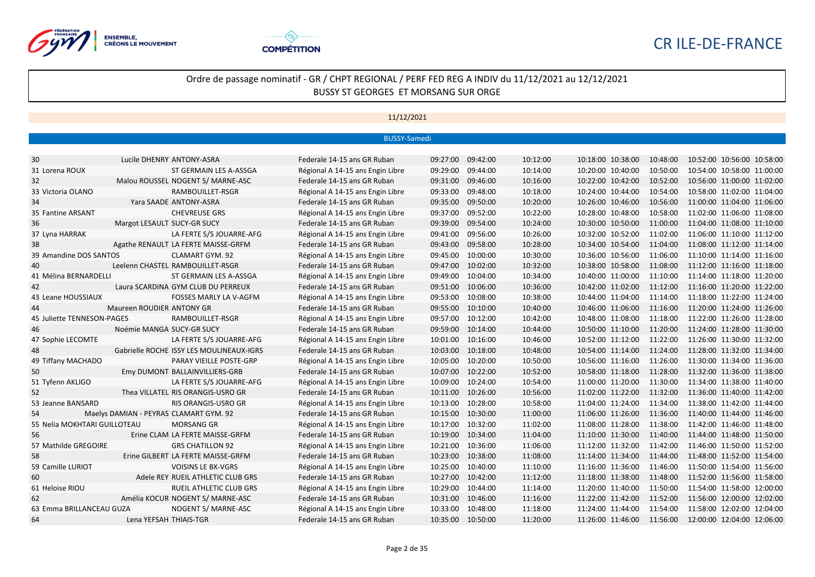



|                              |                             |                                          | <b>BUSSY-Samedi</b>              |                   |          |          |                                                       |          |                            |  |
|------------------------------|-----------------------------|------------------------------------------|----------------------------------|-------------------|----------|----------|-------------------------------------------------------|----------|----------------------------|--|
|                              |                             |                                          |                                  |                   |          |          |                                                       |          |                            |  |
| 30                           |                             | Lucile DHENRY ANTONY-ASRA                | Federale 14-15 ans GR Ruban      | 09:27:00          | 09:42:00 | 10:12:00 | 10:18:00 10:38:00                                     | 10:48:00 | 10:52:00 10:56:00 10:58:00 |  |
| 31 Lorena ROUX               |                             | ST GERMAIN LES A-ASSGA                   | Régional A 14-15 ans Engin Libre | 09:29:00          | 09:44:00 | 10:14:00 | 10:20:00 10:40:00                                     | 10:50:00 | 10:54:00 10:58:00 11:00:00 |  |
| 32                           |                             | Malou ROUSSEL NOGENT S/ MARNE-ASC        | Federale 14-15 ans GR Ruban      | 09:31:00          | 09:46:00 | 10:16:00 | 10:22:00 10:42:00                                     | 10:52:00 | 10:56:00 11:00:00 11:02:00 |  |
| 33 Victoria OLANO            |                             | RAMBOUILLET-RSGR                         | Régional A 14-15 ans Engin Libre | 09:33:00          | 09:48:00 | 10:18:00 | 10:24:00 10:44:00                                     | 10:54:00 | 10:58:00 11:02:00 11:04:00 |  |
| 34                           |                             | Yara SAADE ANTONY-ASRA                   | Federale 14-15 ans GR Ruban      | 09:35:00          | 09:50:00 | 10:20:00 | 10:26:00 10:46:00                                     | 10:56:00 | 11:00:00 11:04:00 11:06:00 |  |
| 35 Fantine ARSANT            |                             | <b>CHEVREUSE GRS</b>                     | Régional A 14-15 ans Engin Libre | 09:37:00          | 09:52:00 | 10:22:00 | 10:28:00 10:48:00                                     | 10:58:00 | 11:02:00 11:06:00 11:08:00 |  |
| 36                           | Margot LESAULT SUCY-GR SUCY |                                          | Federale 14-15 ans GR Ruban      | 09:39:00          | 09:54:00 | 10:24:00 | 10:30:00 10:50:00                                     | 11:00:00 | 11:04:00 11:08:00 11:10:00 |  |
| 37 Lyna HARRAK               |                             | LA FERTE S/S JOUARRE-AFG                 | Régional A 14-15 ans Engin Libre | 09:41:00          | 09:56:00 | 10:26:00 | 10:32:00 10:52:00                                     | 11:02:00 | 11:06:00 11:10:00 11:12:00 |  |
| 38                           |                             | Agathe RENAULT LA FERTE MAISSE-GRFM      | Federale 14-15 ans GR Ruban      | 09:43:00          | 09:58:00 | 10:28:00 | 10:34:00 10:54:00                                     | 11:04:00 | 11:08:00 11:12:00 11:14:00 |  |
| 39 Amandine DOS SANTOS       |                             | <b>CLAMART GYM. 92</b>                   | Régional A 14-15 ans Engin Libre | 09:45:00          | 10:00:00 | 10:30:00 | 10:36:00 10:56:00                                     | 11:06:00 | 11:10:00 11:14:00 11:16:00 |  |
| 40                           |                             | Leelenn CHASTEL RAMBOUILLET-RSGR         | Federale 14-15 ans GR Ruban      | 09:47:00          | 10:02:00 | 10:32:00 | 10:38:00 10:58:00                                     | 11:08:00 | 11:12:00 11:16:00 11:18:00 |  |
| 41 Mélina BERNARDELLI        |                             | ST GERMAIN LES A-ASSGA                   | Régional A 14-15 ans Engin Libre | 09:49:00          | 10:04:00 | 10:34:00 | 10:40:00 11:00:00                                     | 11:10:00 | 11:14:00 11:18:00 11:20:00 |  |
| 42                           |                             | Laura SCARDINA GYM CLUB DU PERREUX       | Federale 14-15 ans GR Ruban      | 09:51:00          | 10:06:00 | 10:36:00 | 10:42:00 11:02:00 11:12:00                            |          | 11:16:00 11:20:00 11:22:00 |  |
| 43 Leane HOUSSIAUX           |                             | <b>FOSSES MARLY LA V-AGFM</b>            | Régional A 14-15 ans Engin Libre | 09:53:00          | 10:08:00 | 10:38:00 | 10:44:00 11:04:00                                     | 11:14:00 | 11:18:00 11:22:00 11:24:00 |  |
| 44                           | Maureen ROUDIER ANTONY GR   |                                          | Federale 14-15 ans GR Ruban      | 09:55:00          | 10:10:00 | 10:40:00 | 10:46:00 11:06:00                                     | 11:16:00 | 11:20:00 11:24:00 11:26:00 |  |
| 45 Juliette TENNESON-PAGES   |                             | RAMBOUILLET-RSGR                         | Régional A 14-15 ans Engin Libre | 09:57:00          | 10:12:00 | 10:42:00 | 10:48:00 11:08:00                                     | 11:18:00 | 11:22:00 11:26:00 11:28:00 |  |
| 46                           | Noémie MANGA SUCY-GR SUCY   |                                          | Federale 14-15 ans GR Ruban      | 09:59:00          | 10:14:00 | 10:44:00 | 10:50:00 11:10:00                                     | 11:20:00 | 11:24:00 11:28:00 11:30:00 |  |
| 47 Sophie LECOMTE            |                             | LA FERTE S/S JOUARRE-AFG                 | Régional A 14-15 ans Engin Libre | 10:01:00          | 10:16:00 | 10:46:00 | 10:52:00 11:12:00                                     | 11:22:00 | 11:26:00 11:30:00 11:32:00 |  |
| 48                           |                             | Gabrielle ROCHE ISSY LES MOULINEAUX-IGRS | Federale 14-15 ans GR Ruban      | 10:03:00          | 10:18:00 | 10:48:00 | 10:54:00 11:14:00                                     | 11:24:00 | 11:28:00 11:32:00 11:34:00 |  |
| 49 Tiffany MACHADO           |                             | PARAY VIEILLE POSTE-GRP                  | Régional A 14-15 ans Engin Libre | 10:05:00          | 10:20:00 | 10:50:00 | 10:56:00 11:16:00                                     | 11:26:00 | 11:30:00 11:34:00 11:36:00 |  |
| 50                           |                             | Emy DUMONT BALLAINVILLIERS-GRB           | Federale 14-15 ans GR Ruban      | 10:07:00          | 10:22:00 | 10:52:00 | 10:58:00 11:18:00                                     | 11:28:00 | 11:32:00 11:36:00 11:38:00 |  |
| 51 Tyfenn AKLIGO             |                             | LA FERTE S/S JOUARRE-AFG                 | Régional A 14-15 ans Engin Libre | 10:09:00          | 10:24:00 | 10:54:00 | 11:00:00 11:20:00                                     | 11:30:00 | 11:34:00 11:38:00 11:40:00 |  |
| 52                           |                             | Thea VILLATEL RIS ORANGIS-USRO GR        | Federale 14-15 ans GR Ruban      | 10:11:00          | 10:26:00 | 10:56:00 | 11:02:00 11:22:00                                     | 11:32:00 | 11:36:00 11:40:00 11:42:00 |  |
| 53 Jeanne BANSARD            |                             | RIS ORANGIS-USRO GR                      | Régional A 14-15 ans Engin Libre | 10:13:00          | 10:28:00 | 10:58:00 | 11:04:00 11:24:00                                     | 11:34:00 | 11:38:00 11:42:00 11:44:00 |  |
| 54                           |                             | Maelys DAMIAN - PEYRAS CLAMART GYM. 92   | Federale 14-15 ans GR Ruban      | 10:15:00          | 10:30:00 | 11:00:00 | 11:06:00 11:26:00                                     | 11:36:00 | 11:40:00 11:44:00 11:46:00 |  |
| 55 Nelia MOKHTARI GUILLOTEAU |                             | <b>MORSANG GR</b>                        | Régional A 14-15 ans Engin Libre | 10:17:00          | 10:32:00 | 11:02:00 | 11:08:00 11:28:00                                     | 11:38:00 | 11:42:00 11:46:00 11:48:00 |  |
| 56                           |                             | Erine CLAM LA FERTE MAISSE-GRFM          | Federale 14-15 ans GR Ruban      | 10:19:00          | 10:34:00 | 11:04:00 | 11:10:00 11:30:00                                     | 11:40:00 | 11:44:00 11:48:00 11:50:00 |  |
| 57 Mathilde GREGOIRE         |                             | <b>GRS CHATILLON 92</b>                  | Régional A 14-15 ans Engin Libre | 10:21:00          | 10:36:00 | 11:06:00 | 11:12:00 11:32:00                                     | 11:42:00 | 11:46:00 11:50:00 11:52:00 |  |
| 58                           |                             | Erine GILBERT LA FERTE MAISSE-GRFM       | Federale 14-15 ans GR Ruban      | 10:23:00          | 10:38:00 | 11:08:00 | 11:14:00 11:34:00 11:44:00                            |          | 11:48:00 11:52:00 11:54:00 |  |
| 59 Camille LURIOT            |                             | <b>VOISINS LE BX-VGRS</b>                | Régional A 14-15 ans Engin Libre | 10:25:00          | 10:40:00 | 11:10:00 | 11:16:00 11:36:00                                     | 11:46:00 | 11:50:00 11:54:00 11:56:00 |  |
| 60                           |                             | Adele REY RUEIL ATHLETIC CLUB GRS        | Federale 14-15 ans GR Ruban      | 10:27:00          | 10:42:00 | 11:12:00 | 11:18:00 11:38:00                                     | 11:48:00 | 11:52:00 11:56:00 11:58:00 |  |
| 61 Heloise RIOU              |                             | RUEIL ATHLETIC CLUB GRS                  | Régional A 14-15 ans Engin Libre | 10:29:00          | 10:44:00 | 11:14:00 | 11:20:00 11:40:00                                     | 11:50:00 | 11:54:00 11:58:00 12:00:00 |  |
| 62                           |                             | Amélia KOCUR NOGENT S/ MARNE-ASC         | Federale 14-15 ans GR Ruban      | 10:31:00          | 10:46:00 | 11:16:00 | 11:22:00 11:42:00                                     | 11:52:00 | 11:56:00 12:00:00 12:02:00 |  |
| 63 Emma BRILLANCEAU GUZA     |                             | NOGENT S/ MARNE-ASC                      | Régional A 14-15 ans Engin Libre | 10:33:00          | 10:48:00 | 11:18:00 | 11:24:00 11:44:00                                     | 11:54:00 | 11:58:00 12:02:00 12:04:00 |  |
| 64                           | Lena YEFSAH THIAIS-TGR      |                                          | Federale 14-15 ans GR Ruban      | 10:35:00 10:50:00 |          | 11:20:00 | 11:26:00 11:46:00 11:56:00 12:00:00 12:04:00 12:06:00 |          |                            |  |
|                              |                             |                                          |                                  |                   |          |          |                                                       |          |                            |  |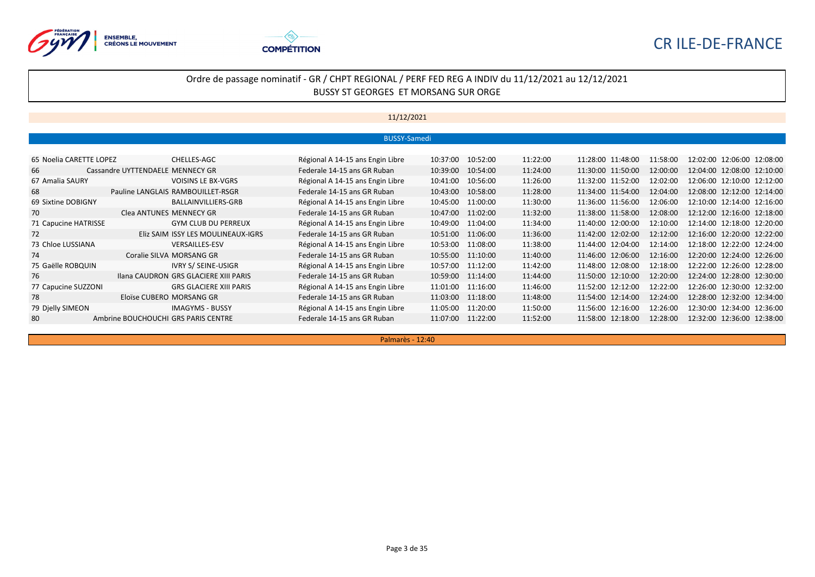



## Ordre de passage nominatif - GR / CHPT REGIONAL / PERF FED REG A INDIV du 11/12/2021 au 12/12/2021 BUSSY ST GEORGES ET MORSANG SUR ORGE

## 11/12/2021

|                         |                                       |                                  | <b>BUSSY-Samedi</b> |                      |                   |          |                               |
|-------------------------|---------------------------------------|----------------------------------|---------------------|----------------------|-------------------|----------|-------------------------------|
|                         |                                       |                                  |                     |                      |                   |          |                               |
| 65 Noelia CARETTE LOPEZ | CHELLES-AGC                           | Régional A 14-15 ans Engin Libre | 10:37:00            | 11:22:00<br>10:52:00 | 11:28:00 11:48:00 | 11:58:00 | 12:02:00 12:06:00 12:08:00    |
| 66                      | Cassandre UYTTENDAELE MENNECY GR      | Federale 14-15 ans GR Ruban      | 10:39:00            | 10:54:00<br>11:24:00 | 11:30:00 11:50:00 | 12:00:00 | 12:04:00 12:08:00 12:10:00    |
| 67 Amalia SAURY         | <b>VOISINS LE BX-VGRS</b>             | Régional A 14-15 ans Engin Libre | 10:41:00            | 11:26:00<br>10:56:00 | 11:32:00 11:52:00 | 12:02:00 | 12:06:00 12:10:00 12:12:00    |
| 68                      | Pauline LANGLAIS RAMBOUILLET-RSGR     | Federale 14-15 ans GR Ruban      | 10:43:00            | 11:28:00<br>10:58:00 | 11:34:00 11:54:00 | 12:04:00 | 12:08:00 12:12:00 12:14:00    |
| 69 Sixtine DOBIGNY      | BALLAINVILLIERS-GRB                   | Régional A 14-15 ans Engin Libre | 10:45:00            | 11:30:00<br>11:00:00 | 11:36:00 11:56:00 | 12:06:00 | 12:10:00 12:14:00 12:16:00    |
| 70                      | Clea ANTUNES MENNECY GR               | Federale 14-15 ans GR Ruban      | 10:47:00            | 11:32:00<br>11:02:00 | 11:38:00 11:58:00 | 12:08:00 | 12:12:00 12:16:00 12:18:00    |
| 71 Capucine HATRISSE    | <b>GYM CLUB DU PERREUX</b>            | Régional A 14-15 ans Engin Libre | 10:49:00            | 11:34:00<br>11:04:00 | 11:40:00 12:00:00 | 12:10:00 | 12:14:00 12:18:00 12:20:00    |
| 72                      | Eliz SAIM ISSY LES MOULINEAUX-IGRS    | Federale 14-15 ans GR Ruban      | 10:51:00            | 11:36:00<br>11:06:00 | 11:42:00 12:02:00 | 12:12:00 | 12:16:00 12:20:00 12:22:00    |
| 73 Chloe LUSSIANA       | <b>VERSAILLES-ESV</b>                 | Régional A 14-15 ans Engin Libre | 10:53:00            | 11:38:00<br>11:08:00 | 11:44:00 12:04:00 | 12:14:00 | 12:18:00 12:22:00 12:24:00    |
| 74                      | Coralie SILVA MORSANG GR              | Federale 14-15 ans GR Ruban      | 10:55:00            | 11:40:00<br>11:10:00 | 11:46:00 12:06:00 | 12:16:00 | 12:20:00 12:24:00 12:26:00    |
| 75 Gaëlle ROBQUIN       | <b>IVRY S/ SEINE-USIGR</b>            | Régional A 14-15 ans Engin Libre | 10:57:00            | 11:42:00<br>11:12:00 | 11:48:00 12:08:00 | 12:18:00 | 12:22:00 12:26:00 12:28:00    |
| 76                      | Ilana CAUDRON GRS GLACIERE XIII PARIS | Federale 14-15 ans GR Ruban      | 10:59:00            | 11:44:00<br>11:14:00 | 11:50:00 12:10:00 | 12:20:00 | 12:24:00 12:28:00 12:30:00    |
| 77 Capucine SUZZONI     | <b>GRS GLACIERE XIII PARIS</b>        | Régional A 14-15 ans Engin Libre | 11:01:00            | 11:46:00<br>11:16:00 | 11:52:00 12:12:00 | 12:22:00 | 12:26:00 12:30:00 12:32:00    |
| 78                      | Eloïse CUBERO MORSANG GR              | Federale 14-15 ans GR Ruban      | 11:03:00            | 11:48:00<br>11:18:00 | 11:54:00 12:14:00 | 12:24:00 | 12:28:00 12:32:00 12:34:00    |
| 79 Djelly SIMEON        | <b>IMAGYMS - BUSSY</b>                | Régional A 14-15 ans Engin Libre | 11:05:00            | 11:50:00<br>11:20:00 | 11:56:00 12:16:00 | 12:26:00 | 12:34:00 12:36:00<br>12:30:00 |
| 80                      | Ambrine BOUCHOUCHI GRS PARIS CENTRE   | Federale 14-15 ans GR Ruban      | 11:07:00            | 11:52:00<br>11:22:00 | 11:58:00 12:18:00 | 12:28:00 | 12:32:00 12:36:00 12:38:00    |

Palmarès - 12:40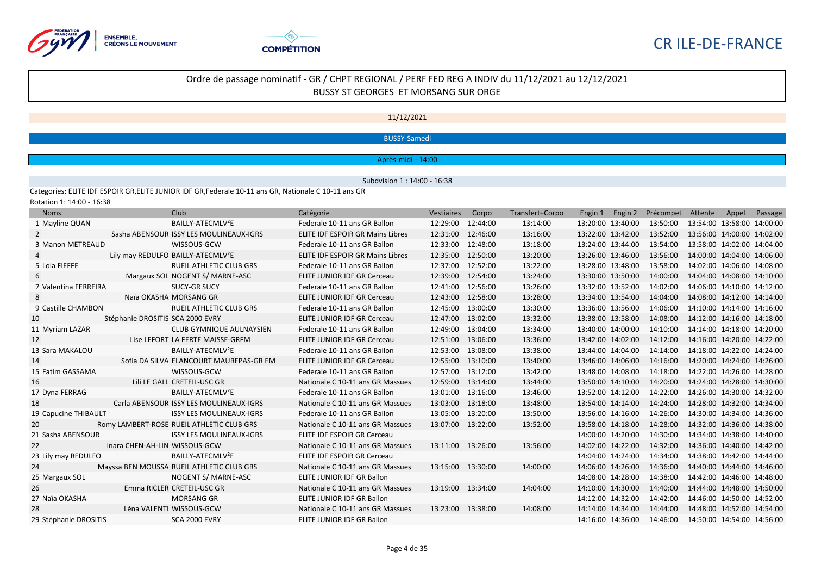



#### 11/12/2021

#### BUSSY-Samedi

#### Après-midi - 14:00

Subdvision 1 : 14:00 - 16:38

Categories: ELITE IDF ESPOIR GR,ELITE JUNIOR IDF GR,Federale 10-11 ans GR, Nationale C 10-11 ans GR

Rotation 1: 14:00 - 16:38

| <b>Noms</b>           |                                  | Club                                           | Catégorie                               | Vestiaires        | Corpo    | Transfert+Corpo | Engin 1           | Engin 2 | Précompet | Attente                    | Appel | Passage |
|-----------------------|----------------------------------|------------------------------------------------|-----------------------------------------|-------------------|----------|-----------------|-------------------|---------|-----------|----------------------------|-------|---------|
| 1 Mayline QUAN        |                                  | BAILLY-ATECMLV <sup>2</sup> E                  | Federale 10-11 ans GR Ballon            | 12:29:00          | 12:44:00 | 13:14:00        | 13:20:00 13:40:00 |         | 13:50:00  | 13:54:00 13:58:00 14:00:00 |       |         |
| 2                     |                                  | Sasha ABENSOUR ISSY LES MOULINEAUX-IGRS        | <b>ELITE IDF ESPOIR GR Mains Libres</b> | 12:31:00          | 12:46:00 | 13:16:00        | 13:22:00 13:42:00 |         | 13:52:00  | 13:56:00 14:00:00 14:02:00 |       |         |
| 3 Manon METREAUD      |                                  | WISSOUS-GCW                                    | Federale 10-11 ans GR Ballon            | 12:33:00          | 12:48:00 | 13:18:00        | 13:24:00 13:44:00 |         | 13:54:00  | 13:58:00 14:02:00 14:04:00 |       |         |
|                       |                                  | Lily may REDULFO BAILLY-ATECMLV <sup>2</sup> E | <b>ELITE IDF ESPOIR GR Mains Libres</b> | 12:35:00          | 12:50:00 | 13:20:00        | 13:26:00 13:46:00 |         | 13:56:00  | 14:00:00 14:04:00 14:06:00 |       |         |
| 5 Lola FIEFFE         |                                  | <b>RUEIL ATHLETIC CLUB GRS</b>                 | Federale 10-11 ans GR Ballon            | 12:37:00          | 12:52:00 | 13:22:00        | 13:28:00 13:48:00 |         | 13:58:00  | 14:02:00 14:06:00 14:08:00 |       |         |
| 6                     |                                  | Margaux SOL NOGENT S/ MARNE-ASC                | <b>ELITE JUNIOR IDF GR Cerceau</b>      | 12:39:00          | 12:54:00 | 13:24:00        | 13:30:00 13:50:00 |         | 14:00:00  | 14:04:00 14:08:00 14:10:00 |       |         |
| 7 Valentina FERREIRA  |                                  | <b>SUCY-GR SUCY</b>                            | Federale 10-11 ans GR Ballon            | 12:41:00          | 12:56:00 | 13:26:00        | 13:32:00 13:52:00 |         | 14:02:00  | 14:06:00 14:10:00 14:12:00 |       |         |
| 8                     |                                  | Naïa OKASHA MORSANG GR                         | <b>ELITE JUNIOR IDF GR Cerceau</b>      | 12:43:00          | 12:58:00 | 13:28:00        | 13:34:00 13:54:00 |         | 14:04:00  | 14:08:00 14:12:00 14:14:00 |       |         |
| 9 Castille CHAMBON    |                                  | <b>RUEIL ATHLETIC CLUB GRS</b>                 | Federale 10-11 ans GR Ballon            | 12:45:00          | 13:00:00 | 13:30:00        | 13:36:00 13:56:00 |         | 14:06:00  | 14:10:00 14:14:00 14:16:00 |       |         |
| 10                    | Stéphanie DROSITIS SCA 2000 EVRY |                                                | ELITE JUNIOR IDF GR Cerceau             | 12:47:00          | 13:02:00 | 13:32:00        | 13:38:00 13:58:00 |         | 14:08:00  | 14:12:00 14:16:00 14:18:00 |       |         |
| 11 Myriam LAZAR       |                                  | <b>CLUB GYMNIQUE AULNAYSIEN</b>                | Federale 10-11 ans GR Ballon            | 12:49:00          | 13:04:00 | 13:34:00        | 13:40:00 14:00:00 |         | 14:10:00  | 14:14:00 14:18:00 14:20:00 |       |         |
| 12                    |                                  | Lise LEFORT LA FERTE MAISSE-GRFM               | <b>ELITE JUNIOR IDF GR Cerceau</b>      | 12:51:00          | 13:06:00 | 13:36:00        | 13:42:00 14:02:00 |         | 14:12:00  | 14:16:00 14:20:00 14:22:00 |       |         |
| 13 Sara MAKALOU       |                                  | BAILLY-ATECMLV <sup>2</sup> E                  | Federale 10-11 ans GR Ballon            | 12:53:00          | 13:08:00 | 13:38:00        | 13:44:00 14:04:00 |         | 14:14:00  | 14:18:00 14:22:00 14:24:00 |       |         |
| 14                    |                                  | Sofia DA SILVA ELANCOURT MAUREPAS-GR EM        | <b>ELITE JUNIOR IDF GR Cerceau</b>      | 12:55:00          | 13:10:00 | 13:40:00        | 13:46:00 14:06:00 |         | 14:16:00  | 14:20:00 14:24:00 14:26:00 |       |         |
| 15 Fatim GASSAMA      |                                  | WISSOUS-GCW                                    | Federale 10-11 ans GR Ballon            | 12:57:00          | 13:12:00 | 13:42:00        | 13:48:00 14:08:00 |         | 14:18:00  | 14:22:00 14:26:00 14:28:00 |       |         |
| 16                    |                                  | Lili LE GALL CRETEIL-USC GR                    | Nationale C 10-11 ans GR Massues        | 12:59:00          | 13:14:00 | 13:44:00        | 13:50:00 14:10:00 |         | 14:20:00  | 14:24:00 14:28:00 14:30:00 |       |         |
| 17 Dyna FERRAG        |                                  | BAILLY-ATECMLV <sup>2</sup> E                  | Federale 10-11 ans GR Ballon            | 13:01:00          | 13:16:00 | 13:46:00        | 13:52:00 14:12:00 |         | 14:22:00  | 14:26:00 14:30:00 14:32:00 |       |         |
| 18                    |                                  | Carla ABENSOUR ISSY LES MOULINEAUX-IGRS        | Nationale C 10-11 ans GR Massues        | 13:03:00          | 13:18:00 | 13:48:00        | 13:54:00 14:14:00 |         | 14:24:00  | 14:28:00 14:32:00 14:34:00 |       |         |
| 19 Capucine THIBAULT  |                                  | <b>ISSY LES MOULINEAUX-IGRS</b>                | Federale 10-11 ans GR Ballon            | 13:05:00          | 13:20:00 | 13:50:00        | 13:56:00 14:16:00 |         | 14:26:00  | 14:30:00 14:34:00 14:36:00 |       |         |
| 20                    |                                  | Romy LAMBERT-ROSE RUEIL ATHLETIC CLUB GRS      | Nationale C 10-11 ans GR Massues        | 13:07:00 13:22:00 |          | 13:52:00        | 13:58:00 14:18:00 |         | 14:28:00  | 14:32:00 14:36:00 14:38:00 |       |         |
| 21 Sasha ABENSOUR     |                                  | <b>ISSY LES MOULINEAUX-IGRS</b>                | <b>ELITE IDF ESPOIR GR Cerceau</b>      |                   |          |                 | 14:00:00 14:20:00 |         | 14:30:00  | 14:34:00 14:38:00 14:40:00 |       |         |
| 22                    | Inara CHEN-AH-LIN WISSOUS-GCW    |                                                | Nationale C 10-11 ans GR Massues        | 13:11:00 13:26:00 |          | 13:56:00        | 14:02:00 14:22:00 |         | 14:32:00  | 14:36:00 14:40:00 14:42:00 |       |         |
| 23 Lily may REDULFO   |                                  | BAILLY-ATECMLV <sup>2</sup> E                  | <b>ELITE IDF ESPOIR GR Cerceau</b>      |                   |          |                 | 14:04:00 14:24:00 |         | 14:34:00  | 14:38:00 14:42:00 14:44:00 |       |         |
| 24                    |                                  | Mayssa BEN MOUSSA RUEIL ATHLETIC CLUB GRS      | Nationale C 10-11 ans GR Massues        | 13:15:00 13:30:00 |          | 14:00:00        | 14:06:00 14:26:00 |         | 14:36:00  | 14:40:00 14:44:00 14:46:00 |       |         |
| 25 Margaux SOL        |                                  | NOGENT S/ MARNE-ASC                            | ELITE JUNIOR IDF GR Ballon              |                   |          |                 | 14:08:00 14:28:00 |         | 14:38:00  | 14:42:00 14:46:00 14:48:00 |       |         |
| 26                    |                                  | Emma RICLER CRETEIL-USC GR                     | Nationale C 10-11 ans GR Massues        | 13:19:00          | 13:34:00 | 14:04:00        | 14:10:00 14:30:00 |         | 14:40:00  | 14:44:00 14:48:00 14:50:00 |       |         |
| 27 Naïa OKASHA        |                                  | <b>MORSANG GR</b>                              | ELITE JUNIOR IDF GR Ballon              |                   |          |                 | 14:12:00 14:32:00 |         | 14:42:00  | 14:46:00 14:50:00 14:52:00 |       |         |
| 28                    |                                  | Léna VALENTI WISSOUS-GCW                       | Nationale C 10-11 ans GR Massues        | 13:23:00 13:38:00 |          | 14:08:00        | 14:14:00 14:34:00 |         | 14:44:00  | 14:48:00 14:52:00 14:54:00 |       |         |
| 29 Stéphanie DROSITIS |                                  | <b>SCA 2000 EVRY</b>                           | ELITE JUNIOR IDF GR Ballon              |                   |          |                 | 14:16:00 14:36:00 |         | 14:46:00  | 14:50:00 14:54:00 14:56:00 |       |         |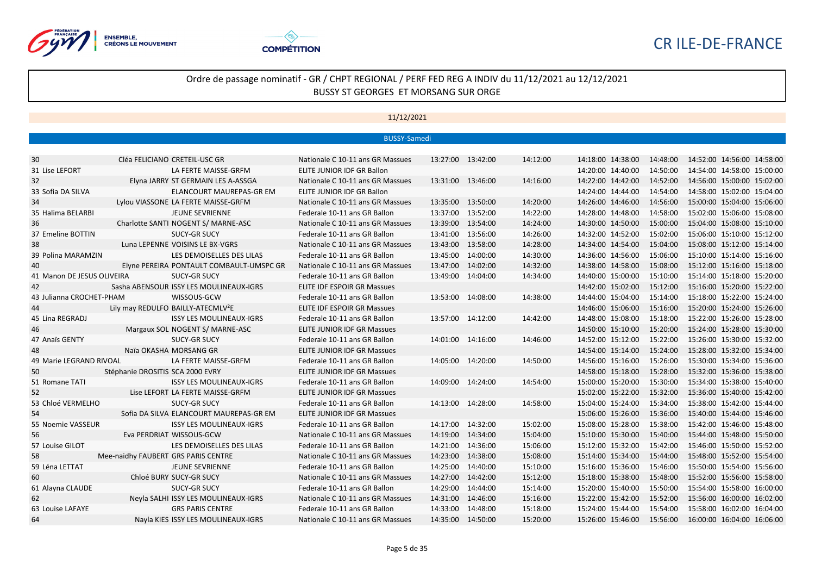



|                            |                                     |                                                | <b>BUSSY-Samedi</b>                |                   |          |          |                            |          |                            |                            |  |
|----------------------------|-------------------------------------|------------------------------------------------|------------------------------------|-------------------|----------|----------|----------------------------|----------|----------------------------|----------------------------|--|
|                            |                                     |                                                |                                    |                   |          |          |                            |          |                            |                            |  |
| 30                         |                                     | Cléa FELICIANO CRETEIL-USC GR                  | Nationale C 10-11 ans GR Massues   | 13:27:00 13:42:00 |          | 14:12:00 | 14:18:00 14:38:00          | 14:48:00 |                            | 14:52:00 14:56:00 14:58:00 |  |
| 31 Lise LEFORT             |                                     | LA FERTE MAISSE-GRFM                           | ELITE JUNIOR IDF GR Ballon         |                   |          |          | 14:20:00 14:40:00          | 14:50:00 |                            | 14:54:00 14:58:00 15:00:00 |  |
| 32                         |                                     | Elyna JARRY ST GERMAIN LES A-ASSGA             | Nationale C 10-11 ans GR Massues   | 13:31:00          | 13:46:00 | 14:16:00 | 14:22:00 14:42:00          | 14:52:00 |                            | 14:56:00 15:00:00 15:02:00 |  |
| 33 Sofia DA SILVA          |                                     | ELANCOURT MAUREPAS-GR EM                       | ELITE JUNIOR IDF GR Ballon         |                   |          |          | 14:24:00 14:44:00          | 14:54:00 |                            | 14:58:00 15:02:00 15:04:00 |  |
| 34                         |                                     | Lylou VIASSONE LA FERTE MAISSE-GRFM            | Nationale C 10-11 ans GR Massues   | 13:35:00          | 13:50:00 | 14:20:00 | 14:26:00 14:46:00          | 14:56:00 | 15:00:00 15:04:00 15:06:00 |                            |  |
| 35 Halima BELARBI          |                                     | <b>JEUNE SEVRIENNE</b>                         | Federale 10-11 ans GR Ballon       | 13:37:00          | 13:52:00 | 14:22:00 | 14:28:00 14:48:00          | 14:58:00 |                            | 15:02:00 15:06:00 15:08:00 |  |
| 36                         |                                     | Charlotte SANTI NOGENT S/ MARNE-ASC            | Nationale C 10-11 ans GR Massues   | 13:39:00          | 13:54:00 | 14:24:00 | 14:30:00 14:50:00          | 15:00:00 | 15:04:00 15:08:00 15:10:00 |                            |  |
| 37 Emeline BOTTIN          |                                     | <b>SUCY-GR SUCY</b>                            | Federale 10-11 ans GR Ballon       | 13:41:00          | 13:56:00 | 14:26:00 | 14:32:00 14:52:00          | 15:02:00 | 15:06:00 15:10:00 15:12:00 |                            |  |
| 38                         |                                     | Luna LEPENNE VOISINS LE BX-VGRS                | Nationale C 10-11 ans GR Massues   | 13:43:00          | 13:58:00 | 14:28:00 | 14:34:00 14:54:00          | 15:04:00 |                            | 15:08:00 15:12:00 15:14:00 |  |
| 39 Polina MARAMZIN         |                                     | LES DEMOISELLES DES LILAS                      | Federale 10-11 ans GR Ballon       | 13:45:00          | 14:00:00 | 14:30:00 | 14:36:00 14:56:00          | 15:06:00 | 15:10:00 15:14:00 15:16:00 |                            |  |
| 40                         |                                     | Elyne PEREIRA PONTAULT COMBAULT-UMSPC GR       | Nationale C 10-11 ans GR Massues   | 13:47:00          | 14:02:00 | 14:32:00 | 14:38:00 14:58:00          | 15:08:00 | 15:12:00 15:16:00 15:18:00 |                            |  |
| 41 Manon DE JESUS OLIVEIRA |                                     | SUCY-GR SUCY                                   | Federale 10-11 ans GR Ballon       | 13:49:00 14:04:00 |          | 14:34:00 | 14:40:00 15:00:00          | 15:10:00 | 15:14:00 15:18:00 15:20:00 |                            |  |
| 42                         |                                     | Sasha ABENSOUR ISSY LES MOULINEAUX-IGRS        | <b>ELITE IDF ESPOIR GR Massues</b> |                   |          |          | 14:42:00 15:02:00          | 15:12:00 | 15:16:00 15:20:00 15:22:00 |                            |  |
| 43 Julianna CROCHET-PHAM   |                                     | WISSOUS-GCW                                    | Federale 10-11 ans GR Ballon       | 13:53:00 14:08:00 |          | 14:38:00 | 14:44:00 15:04:00          | 15:14:00 | 15:18:00 15:22:00 15:24:00 |                            |  |
| 44                         |                                     | Lily may REDULFO BAILLY-ATECMLV <sup>2</sup> E | <b>ELITE IDF ESPOIR GR Massues</b> |                   |          |          | 14:46:00 15:06:00          | 15:16:00 | 15:20:00 15:24:00 15:26:00 |                            |  |
| 45 Lina REGRADJ            |                                     | <b>ISSY LES MOULINEAUX-IGRS</b>                | Federale 10-11 ans GR Ballon       | 13:57:00 14:12:00 |          | 14:42:00 | 14:48:00 15:08:00          | 15:18:00 | 15:22:00 15:26:00 15:28:00 |                            |  |
| 46                         |                                     | Margaux SOL NOGENT S/ MARNE-ASC                | <b>ELITE JUNIOR IDF GR Massues</b> |                   |          |          | 14:50:00 15:10:00          | 15:20:00 | 15:24:00 15:28:00 15:30:00 |                            |  |
| 47 Anaïs GENTY             |                                     | <b>SUCY-GR SUCY</b>                            | Federale 10-11 ans GR Ballon       | 14:01:00 14:16:00 |          | 14:46:00 | 14:52:00 15:12:00          | 15:22:00 | 15:26:00 15:30:00 15:32:00 |                            |  |
| 48                         |                                     | Naïa OKASHA MORSANG GR                         | <b>ELITE JUNIOR IDF GR Massues</b> |                   |          |          | 14:54:00 15:14:00          | 15:24:00 | 15:28:00 15:32:00 15:34:00 |                            |  |
| 49 Marie LEGRAND RIVOAL    |                                     | LA FERTE MAISSE-GRFM                           | Federale 10-11 ans GR Ballon       | 14:05:00 14:20:00 |          | 14:50:00 | 14:56:00 15:16:00          | 15:26:00 | 15:30:00 15:34:00 15:36:00 |                            |  |
| 50                         | Stéphanie DROSITIS SCA 2000 EVRY    |                                                | <b>ELITE JUNIOR IDF GR Massues</b> |                   |          |          | 14:58:00 15:18:00          | 15:28:00 | 15:32:00 15:36:00 15:38:00 |                            |  |
| 51 Romane TATI             |                                     | <b>ISSY LES MOULINEAUX-IGRS</b>                | Federale 10-11 ans GR Ballon       | 14:09:00 14:24:00 |          | 14:54:00 | 15:00:00 15:20:00          | 15:30:00 |                            | 15:34:00 15:38:00 15:40:00 |  |
| 52                         |                                     | Lise LEFORT LA FERTE MAISSE-GRFM               | <b>ELITE JUNIOR IDF GR Massues</b> |                   |          |          | 15:02:00 15:22:00          | 15:32:00 | 15:36:00 15:40:00 15:42:00 |                            |  |
| 53 Chloé VERMELHO          |                                     | <b>SUCY-GR SUCY</b>                            | Federale 10-11 ans GR Ballon       | 14:13:00 14:28:00 |          | 14:58:00 | 15:04:00 15:24:00          | 15:34:00 |                            | 15:38:00 15:42:00 15:44:00 |  |
| 54                         |                                     | Sofia DA SILVA ELANCOURT MAUREPAS-GR EM        | <b>ELITE JUNIOR IDF GR Massues</b> |                   |          |          | 15:06:00 15:26:00          | 15:36:00 |                            | 15:40:00 15:44:00 15:46:00 |  |
| 55 Noemie VASSEUR          |                                     | <b>ISSY LES MOULINEAUX-IGRS</b>                | Federale 10-11 ans GR Ballon       | 14:17:00 14:32:00 |          | 15:02:00 | 15:08:00 15:28:00          | 15:38:00 |                            | 15:42:00 15:46:00 15:48:00 |  |
| 56                         |                                     | Eva PERDRIAT WISSOUS-GCW                       | Nationale C 10-11 ans GR Massues   | 14:19:00 14:34:00 |          | 15:04:00 | 15:10:00 15:30:00          | 15:40:00 |                            | 15:44:00 15:48:00 15:50:00 |  |
| 57 Louise GILOT            |                                     | LES DEMOISELLES DES LILAS                      | Federale 10-11 ans GR Ballon       | 14:21:00 14:36:00 |          | 15:06:00 | 15:12:00 15:32:00          | 15:42:00 |                            | 15:46:00 15:50:00 15:52:00 |  |
| 58                         | Mee-naidhy FAUBERT GRS PARIS CENTRE |                                                | Nationale C 10-11 ans GR Massues   | 14:23:00          | 14:38:00 | 15:08:00 | 15:14:00 15:34:00          | 15:44:00 |                            | 15:48:00 15:52:00 15:54:00 |  |
| 59 Léna LETTAT             |                                     | <b>JEUNE SEVRIENNE</b>                         | Federale 10-11 ans GR Ballon       | 14:25:00 14:40:00 |          | 15:10:00 | 15:16:00 15:36:00          | 15:46:00 |                            | 15:50:00 15:54:00 15:56:00 |  |
| 60                         |                                     | Chloé BURY SUCY-GR SUCY                        | Nationale C 10-11 ans GR Massues   | 14:27:00 14:42:00 |          | 15:12:00 | 15:18:00 15:38:00          | 15:48:00 | 15:52:00 15:56:00 15:58:00 |                            |  |
| 61 Alayna CLAUDE           |                                     | <b>SUCY-GR SUCY</b>                            | Federale 10-11 ans GR Ballon       | 14:29:00          | 14:44:00 | 15:14:00 | 15:20:00 15:40:00          | 15:50:00 | 15:54:00 15:58:00 16:00:00 |                            |  |
| 62                         |                                     | Neyla SALHI ISSY LES MOULINEAUX-IGRS           | Nationale C 10-11 ans GR Massues   | 14:31:00 14:46:00 |          | 15:16:00 | 15:22:00 15:42:00          | 15:52:00 | 15:56:00 16:00:00 16:02:00 |                            |  |
| 63 Louise LAFAYE           |                                     | <b>GRS PARIS CENTRE</b>                        | Federale 10-11 ans GR Ballon       | 14:33:00          | 14:48:00 | 15:18:00 | 15:24:00 15:44:00          | 15:54:00 |                            | 15:58:00 16:02:00 16:04:00 |  |
| 64                         |                                     | Nayla KIES ISSY LES MOULINEAUX-IGRS            | Nationale C 10-11 ans GR Massues   | 14:35:00 14:50:00 |          | 15:20:00 | 15:26:00 15:46:00 15:56:00 |          | 16:00:00 16:04:00 16:06:00 |                            |  |
|                            |                                     |                                                |                                    |                   |          |          |                            |          |                            |                            |  |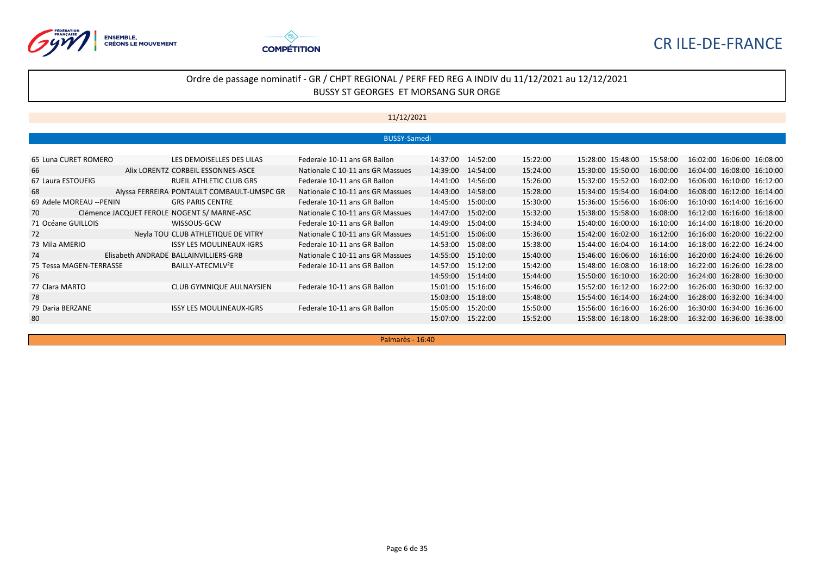



## Ordre de passage nominatif - GR / CHPT REGIONAL / PERF FED REG A INDIV du 11/12/2021 au 12/12/2021 BUSSY ST GEORGES ET MORSANG SUR ORGE

## 11/12/2021

|                          |                                             | <b>BUSSY-Samedi</b>              |          |          |          |                   |          |                            |
|--------------------------|---------------------------------------------|----------------------------------|----------|----------|----------|-------------------|----------|----------------------------|
|                          |                                             |                                  |          |          |          |                   |          |                            |
| 65 Luna CURET ROMERO     | LES DEMOISELLES DES LILAS                   | Federale 10-11 ans GR Ballon     | 14:37:00 | 14:52:00 | 15:22:00 | 15:28:00 15:48:00 | 15:58:00 | 16:02:00 16:06:00 16:08:00 |
| 66                       | Alix LORENTZ CORBEIL ESSONNES-ASCE          | Nationale C 10-11 ans GR Massues | 14:39:00 | 14:54:00 | 15:24:00 | 15:30:00 15:50:00 | 16:00:00 | 16:04:00 16:08:00 16:10:00 |
| 67 Laura ESTOUEIG        | <b>RUEIL ATHLETIC CLUB GRS</b>              | Federale 10-11 ans GR Ballon     | 14:41:00 | 14:56:00 | 15:26:00 | 15:32:00 15:52:00 | 16:02:00 | 16:06:00 16:10:00 16:12:00 |
| 68                       | Alyssa FERREIRA PONTAULT COMBAULT-UMSPC GR  | Nationale C 10-11 ans GR Massues | 14:43:00 | 14:58:00 | 15:28:00 | 15:34:00 15:54:00 | 16:04:00 | 16:08:00 16:12:00 16:14:00 |
| 69 Adele MOREAU -- PENIN | <b>GRS PARIS CENTRE</b>                     | Federale 10-11 ans GR Ballon     | 14:45:00 | 15:00:00 | 15:30:00 | 15:36:00 15:56:00 | 16:06:00 | 16:10:00 16:14:00 16:16:00 |
| 70                       | Clémence JACQUET FEROLE NOGENT S/ MARNE-ASC | Nationale C 10-11 ans GR Massues | 14:47:00 | 15:02:00 | 15:32:00 | 15:38:00 15:58:00 | 16:08:00 | 16:12:00 16:16:00 16:18:00 |
| 71 Océane GUILLOIS       | WISSOUS-GCW                                 | Federale 10-11 ans GR Ballon     | 14:49:00 | 15:04:00 | 15:34:00 | 15:40:00 16:00:00 | 16:10:00 | 16:14:00 16:18:00 16:20:00 |
| 72                       | Neyla TOU CLUB ATHLETIQUE DE VITRY          | Nationale C 10-11 ans GR Massues | 14:51:00 | 15:06:00 | 15:36:00 | 15:42:00 16:02:00 | 16:12:00 | 16:16:00 16:20:00 16:22:00 |
| 73 Mila AMERIO           | <b>ISSY LES MOULINEAUX-IGRS</b>             | Federale 10-11 ans GR Ballon     | 14:53:00 | 15:08:00 | 15:38:00 | 15:44:00 16:04:00 | 16:14:00 | 16:18:00 16:22:00 16:24:00 |
| 74                       | Elisabeth ANDRADE BALLAINVILLIERS-GRB       | Nationale C 10-11 ans GR Massues | 14:55:00 | 15:10:00 | 15:40:00 | 15:46:00 16:06:00 | 16:16:00 | 16:20:00 16:24:00 16:26:00 |
| 75 Tessa MAGEN-TERRASSE  | BAILLY-ATECMLV <sup>2</sup> E               | Federale 10-11 ans GR Ballon     | 14:57:00 | 15:12:00 | 15:42:00 | 15:48:00 16:08:00 | 16:18:00 | 16:22:00 16:26:00 16:28:00 |
| 76                       |                                             |                                  | 14:59:00 | 15:14:00 | 15:44:00 | 15:50:00 16:10:00 | 16:20:00 | 16:24:00 16:28:00 16:30:00 |
| 77 Clara MARTO           | CLUB GYMNIQUE AULNAYSIEN                    | Federale 10-11 ans GR Ballon     | 15:01:00 | 15:16:00 | 15:46:00 | 15:52:00 16:12:00 | 16:22:00 | 16:26:00 16:30:00 16:32:00 |
| 78                       |                                             |                                  | 15:03:00 | 15:18:00 | 15:48:00 | 15:54:00 16:14:00 | 16:24:00 | 16:28:00 16:32:00 16:34:00 |
| 79 Daria BERZANE         | <b>ISSY LES MOULINEAUX-IGRS</b>             | Federale 10-11 ans GR Ballon     | 15:05:00 | 15:20:00 | 15:50:00 | 15:56:00 16:16:00 | 16:26:00 | 16:30:00 16:34:00 16:36:00 |
| 80                       |                                             |                                  | 15:07:00 | 15:22:00 | 15:52:00 | 15:58:00 16:18:00 | 16:28:00 | 16:32:00 16:36:00 16:38:00 |

Palmarès - 16:40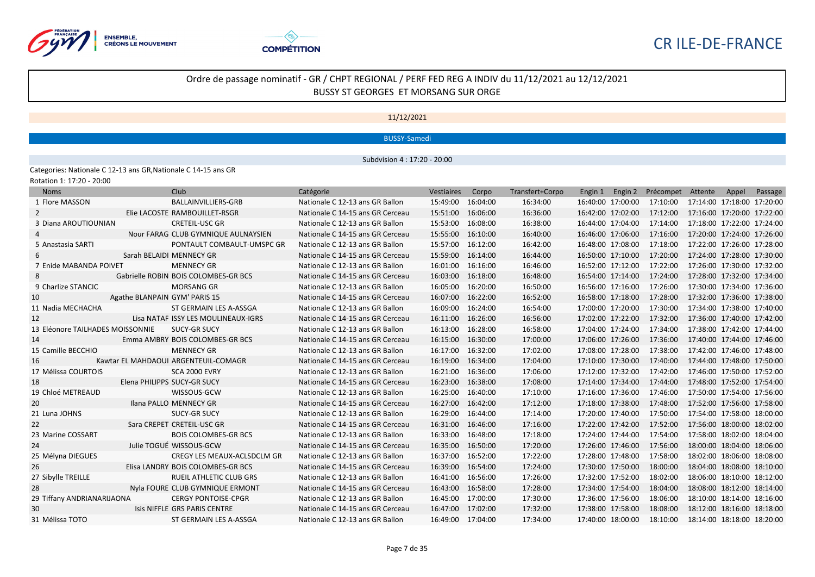



## 11/12/2021

#### BUSSY-Samedi

Subdvision 4 : 17:20 - 20:00

Categories: Nationale C 12-13 ans GR,Nationale C 14-15 ans GR Rotation 1: 17:20 - 20:00

| <b>Noms</b>                      |                               | Club                                 | Catégorie                        | <b>Vestiaires</b> | Corpo    | Transfert+Corpo | Engin 1           | Engin 2 | Précompet | Attente                    | Appel | Passage |
|----------------------------------|-------------------------------|--------------------------------------|----------------------------------|-------------------|----------|-----------------|-------------------|---------|-----------|----------------------------|-------|---------|
| 1 Flore MASSON                   |                               | <b>BALLAINVILLIERS-GRB</b>           | Nationale C 12-13 ans GR Ballon  | 15:49:00          | 16:04:00 | 16:34:00        | 16:40:00 17:00:00 |         | 17:10:00  | 17:14:00 17:18:00 17:20:00 |       |         |
| 2                                |                               | Elie LACOSTE RAMBOUILLET-RSGR        | Nationale C 14-15 ans GR Cerceau | 15:51:00          | 16:06:00 | 16:36:00        | 16:42:00 17:02:00 |         | 17:12:00  | 17:16:00 17:20:00 17:22:00 |       |         |
| 3 Diana AROUTIOUNIAN             |                               | <b>CRETEIL-USC GR</b>                | Nationale C 12-13 ans GR Ballon  | 15:53:00          | 16:08:00 | 16:38:00        | 16:44:00 17:04:00 |         | 17:14:00  | 17:18:00 17:22:00 17:24:00 |       |         |
| 4                                |                               | Nour FARAG CLUB GYMNIQUE AULNAYSIEN  | Nationale C 14-15 ans GR Cerceau | 15:55:00          | 16:10:00 | 16:40:00        | 16:46:00 17:06:00 |         | 17:16:00  | 17:20:00 17:24:00 17:26:00 |       |         |
| 5 Anastasia SARTI                |                               | PONTAULT COMBAULT-UMSPC GR           | Nationale C 12-13 ans GR Ballon  | 15:57:00          | 16:12:00 | 16:42:00        | 16:48:00 17:08:00 |         | 17:18:00  | 17:22:00 17:26:00 17:28:00 |       |         |
| 6                                |                               | Sarah BELAIDI MENNECY GR             | Nationale C 14-15 ans GR Cerceau | 15:59:00          | 16:14:00 | 16:44:00        | 16:50:00 17:10:00 |         | 17:20:00  | 17:24:00 17:28:00 17:30:00 |       |         |
| 7 Enide MABANDA POIVET           |                               | <b>MENNECY GR</b>                    | Nationale C 12-13 ans GR Ballon  | 16:01:00          | 16:16:00 | 16:46:00        | 16:52:00 17:12:00 |         | 17:22:00  | 17:26:00 17:30:00 17:32:00 |       |         |
| 8                                |                               | Gabrielle ROBIN BOIS COLOMBES-GR BCS | Nationale C 14-15 ans GR Cerceau | 16:03:00          | 16:18:00 | 16:48:00        | 16:54:00 17:14:00 |         | 17:24:00  | 17:28:00 17:32:00 17:34:00 |       |         |
| 9 Charlize STANCIC               |                               | <b>MORSANG GR</b>                    | Nationale C 12-13 ans GR Ballon  | 16:05:00          | 16:20:00 | 16:50:00        | 16:56:00 17:16:00 |         | 17:26:00  | 17:30:00 17:34:00 17:36:00 |       |         |
| 10                               | Agathe BLANPAIN GYM' PARIS 15 |                                      | Nationale C 14-15 ans GR Cerceau | 16:07:00          | 16:22:00 | 16:52:00        | 16:58:00 17:18:00 |         | 17:28:00  | 17:32:00 17:36:00 17:38:00 |       |         |
| 11 Nadia MECHACHA                |                               | ST GERMAIN LES A-ASSGA               | Nationale C 12-13 ans GR Ballon  | 16:09:00          | 16:24:00 | 16:54:00        | 17:00:00 17:20:00 |         | 17:30:00  | 17:34:00 17:38:00 17:40:00 |       |         |
| 12                               |                               | Lisa NATAF ISSY LES MOULINEAUX-IGRS  | Nationale C 14-15 ans GR Cerceau | 16:11:00          | 16:26:00 | 16:56:00        | 17:02:00 17:22:00 |         | 17:32:00  | 17:36:00 17:40:00 17:42:00 |       |         |
| 13 Eléonore TAILHADES MOISSONNIE |                               | <b>SUCY-GR SUCY</b>                  | Nationale C 12-13 ans GR Ballon  | 16:13:00          | 16:28:00 | 16:58:00        | 17:04:00 17:24:00 |         | 17:34:00  | 17:38:00 17:42:00 17:44:00 |       |         |
| 14                               |                               | Emma AMBRY BOIS COLOMBES-GR BCS      | Nationale C 14-15 ans GR Cerceau | 16:15:00          | 16:30:00 | 17:00:00        | 17:06:00 17:26:00 |         | 17:36:00  | 17:40:00 17:44:00 17:46:00 |       |         |
| 15 Camille BECCHIO               |                               | <b>MENNECY GR</b>                    | Nationale C 12-13 ans GR Ballon  | 16:17:00          | 16:32:00 | 17:02:00        | 17:08:00 17:28:00 |         | 17:38:00  | 17:42:00 17:46:00 17:48:00 |       |         |
| 16                               |                               | Kawtar EL MAHDAOUI ARGENTEUIL-COMAGR | Nationale C 14-15 ans GR Cerceau | 16:19:00          | 16:34:00 | 17:04:00        | 17:10:00 17:30:00 |         | 17:40:00  | 17:44:00 17:48:00 17:50:00 |       |         |
| 17 Mélissa COURTOIS              |                               | <b>SCA 2000 EVRY</b>                 | Nationale C 12-13 ans GR Ballon  | 16:21:00          | 16:36:00 | 17:06:00        | 17:12:00 17:32:00 |         | 17:42:00  | 17:46:00 17:50:00 17:52:00 |       |         |
| 18                               | Elena PHILIPPS SUCY-GR SUCY   |                                      | Nationale C 14-15 ans GR Cerceau | 16:23:00          | 16:38:00 | 17:08:00        | 17:14:00 17:34:00 |         | 17:44:00  | 17:48:00 17:52:00 17:54:00 |       |         |
| 19 Chloé METREAUD                |                               | WISSOUS-GCW                          | Nationale C 12-13 ans GR Ballon  | 16:25:00          | 16:40:00 | 17:10:00        | 17:16:00 17:36:00 |         | 17:46:00  | 17:50:00 17:54:00 17:56:00 |       |         |
| 20                               |                               | Ilana PALLO MENNECY GR               | Nationale C 14-15 ans GR Cerceau | 16:27:00          | 16:42:00 | 17:12:00        | 17:18:00 17:38:00 |         | 17:48:00  | 17:52:00 17:56:00 17:58:00 |       |         |
| 21 Luna JOHNS                    |                               | <b>SUCY-GR SUCY</b>                  | Nationale C 12-13 ans GR Ballon  | 16:29:00          | 16:44:00 | 17:14:00        | 17:20:00 17:40:00 |         | 17:50:00  | 17:54:00 17:58:00 18:00:00 |       |         |
| 22                               |                               | Sara CREPET CRETEIL-USC GR           | Nationale C 14-15 ans GR Cerceau | 16:31:00          | 16:46:00 | 17:16:00        | 17:22:00 17:42:00 |         | 17:52:00  | 17:56:00 18:00:00 18:02:00 |       |         |
| 23 Marine COSSART                |                               | <b>BOIS COLOMBES-GR BCS</b>          | Nationale C 12-13 ans GR Ballon  | 16:33:00          | 16:48:00 | 17:18:00        | 17:24:00 17:44:00 |         | 17:54:00  | 17:58:00 18:02:00 18:04:00 |       |         |
| 24                               |                               | Julie TOGUÉ WISSOUS-GCW              | Nationale C 14-15 ans GR Cerceau | 16:35:00          | 16:50:00 | 17:20:00        | 17:26:00 17:46:00 |         | 17:56:00  | 18:00:00 18:04:00 18:06:00 |       |         |
| 25 Mélyna DIEGUES                |                               | CREGY LES MEAUX-ACLSDCLM GR          | Nationale C 12-13 ans GR Ballon  | 16:37:00          | 16:52:00 | 17:22:00        | 17:28:00 17:48:00 |         | 17:58:00  | 18:02:00 18:06:00 18:08:00 |       |         |
| 26                               |                               | Elisa LANDRY BOIS COLOMBES-GR BCS    | Nationale C 14-15 ans GR Cerceau | 16:39:00          | 16:54:00 | 17:24:00        | 17:30:00 17:50:00 |         | 18:00:00  | 18:04:00 18:08:00 18:10:00 |       |         |
| 27 Sibylle TREILLE               |                               | RUEIL ATHLETIC CLUB GRS              | Nationale C 12-13 ans GR Ballon  | 16:41:00          | 16:56:00 | 17:26:00        | 17:32:00 17:52:00 |         | 18:02:00  | 18:06:00 18:10:00 18:12:00 |       |         |
| 28                               |                               | Nyla FOURE CLUB GYMNIQUE ERMONT      | Nationale C 14-15 ans GR Cerceau | 16:43:00          | 16:58:00 | 17:28:00        | 17:34:00 17:54:00 |         | 18:04:00  | 18:08:00 18:12:00 18:14:00 |       |         |
| 29 Tiffany ANDRIANARIJAONA       |                               | <b>CERGY PONTOISE-CPGR</b>           | Nationale C 12-13 ans GR Ballon  | 16:45:00          | 17:00:00 | 17:30:00        | 17:36:00 17:56:00 |         | 18:06:00  | 18:10:00 18:14:00 18:16:00 |       |         |
| 30                               |                               | Isis NIFFLE GRS PARIS CENTRE         | Nationale C 14-15 ans GR Cerceau | 16:47:00          | 17:02:00 | 17:32:00        | 17:38:00 17:58:00 |         | 18:08:00  | 18:12:00 18:16:00 18:18:00 |       |         |
| 31 Mélissa TOTO                  |                               | ST GERMAIN LES A-ASSGA               | Nationale C 12-13 ans GR Ballon  | 16:49:00 17:04:00 |          | 17:34:00        | 17:40:00 18:00:00 |         | 18:10:00  | 18:14:00 18:18:00 18:20:00 |       |         |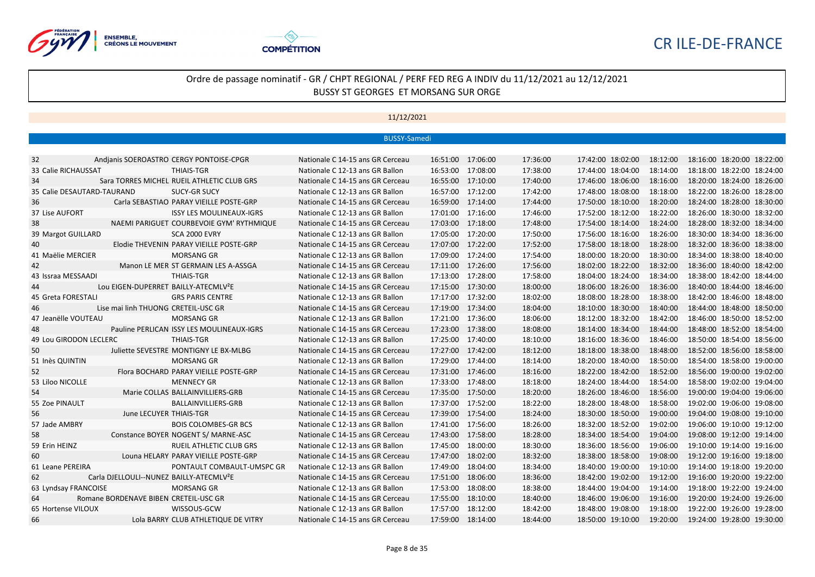



|                            |                                                      | <b>BUSSY-Samedi</b>              |                   |          |          |                   |          |                            |
|----------------------------|------------------------------------------------------|----------------------------------|-------------------|----------|----------|-------------------|----------|----------------------------|
|                            |                                                      |                                  |                   |          |          |                   |          |                            |
| 32                         | Andianis SOEROASTRO CERGY PONTOISE-CPGR              | Nationale C 14-15 ans GR Cerceau | 16:51:00          | 17:06:00 | 17:36:00 | 17:42:00 18:02:00 | 18:12:00 | 18:16:00 18:20:00 18:22:00 |
| 33 Calie RICHAUSSAT        | <b>THIAIS-TGR</b>                                    | Nationale C 12-13 ans GR Ballon  | 16:53:00          | 17:08:00 | 17:38:00 | 17:44:00 18:04:00 | 18:14:00 | 18:18:00 18:22:00 18:24:00 |
| 34                         | Sara TORRES MICHEL RUEIL ATHLETIC CLUB GRS           | Nationale C 14-15 ans GR Cerceau | 16:55:00          | 17:10:00 | 17:40:00 | 17:46:00 18:06:00 | 18:16:00 | 18:20:00 18:24:00 18:26:00 |
| 35 Calie DESAUTARD-TAURAND | <b>SUCY-GR SUCY</b>                                  | Nationale C 12-13 ans GR Ballon  | 16:57:00          | 17:12:00 | 17:42:00 | 17:48:00 18:08:00 | 18:18:00 | 18:22:00 18:26:00 18:28:00 |
| 36                         | Carla SEBASTIAO PARAY VIEILLE POSTE-GRP              | Nationale C 14-15 ans GR Cerceau | 16:59:00          | 17:14:00 | 17:44:00 | 17:50:00 18:10:00 | 18:20:00 | 18:24:00 18:28:00 18:30:00 |
| 37 Lise AUFORT             | <b>ISSY LES MOULINEAUX-IGRS</b>                      | Nationale C 12-13 ans GR Ballon  | 17:01:00          | 17:16:00 | 17:46:00 | 17:52:00 18:12:00 | 18:22:00 | 18:26:00 18:30:00 18:32:00 |
| 38                         | NAEMI PARIGUET COURBEVOIE GYM' RYTHMIQUE             | Nationale C 14-15 ans GR Cerceau | 17:03:00          | 17:18:00 | 17:48:00 | 17:54:00 18:14:00 | 18:24:00 | 18:28:00 18:32:00 18:34:00 |
| 39 Margot GUILLARD         | <b>SCA 2000 EVRY</b>                                 | Nationale C 12-13 ans GR Ballon  | 17:05:00          | 17:20:00 | 17:50:00 | 17:56:00 18:16:00 | 18:26:00 | 18:30:00 18:34:00 18:36:00 |
| 40                         | Elodie THEVENIN PARAY VIEILLE POSTE-GRP              | Nationale C 14-15 ans GR Cerceau | 17:07:00          | 17:22:00 | 17:52:00 | 17:58:00 18:18:00 | 18:28:00 | 18:32:00 18:36:00 18:38:00 |
| 41 Maëlie MERCIER          | <b>MORSANG GR</b>                                    | Nationale C 12-13 ans GR Ballon  | 17:09:00          | 17:24:00 | 17:54:00 | 18:00:00 18:20:00 | 18:30:00 | 18:34:00 18:38:00 18:40:00 |
| 42                         | Manon LE MER ST GERMAIN LES A-ASSGA                  | Nationale C 14-15 ans GR Cerceau | 17:11:00          | 17:26:00 | 17:56:00 | 18:02:00 18:22:00 | 18:32:00 | 18:36:00 18:40:00 18:42:00 |
| 43 Issraa MESSAADI         | THIAIS-TGR                                           | Nationale C 12-13 ans GR Ballon  | 17:13:00          | 17:28:00 | 17:58:00 | 18:04:00 18:24:00 | 18:34:00 | 18:38:00 18:42:00 18:44:00 |
| 44                         | Lou EIGEN-DUPERRET BAILLY-ATECMLV <sup>2</sup> E     | Nationale C 14-15 ans GR Cerceau | 17:15:00          | 17:30:00 | 18:00:00 | 18:06:00 18:26:00 | 18:36:00 | 18:40:00 18:44:00 18:46:00 |
| 45 Greta FORESTALI         | <b>GRS PARIS CENTRE</b>                              | Nationale C 12-13 ans GR Ballon  | 17:17:00          | 17:32:00 | 18:02:00 | 18:08:00 18:28:00 | 18:38:00 | 18:42:00 18:46:00 18:48:00 |
| 46                         | Lise mai linh THUONG CRETEIL-USC GR                  | Nationale C 14-15 ans GR Cerceau | 17:19:00          | 17:34:00 | 18:04:00 | 18:10:00 18:30:00 | 18:40:00 | 18:44:00 18:48:00 18:50:00 |
| 47 Jeanëlle VOUTEAU        | <b>MORSANG GR</b>                                    | Nationale C 12-13 ans GR Ballon  | 17:21:00          | 17:36:00 | 18:06:00 | 18:12:00 18:32:00 | 18:42:00 | 18:46:00 18:50:00 18:52:00 |
| 48                         | Pauline PERLICAN ISSY LES MOULINEAUX-IGRS            | Nationale C 14-15 ans GR Cerceau | 17:23:00          | 17:38:00 | 18:08:00 | 18:14:00 18:34:00 | 18:44:00 | 18:48:00 18:52:00 18:54:00 |
| 49 Lou GIRODON LECLERC     | <b>THIAIS-TGR</b>                                    | Nationale C 12-13 ans GR Ballon  | 17:25:00          | 17:40:00 | 18:10:00 | 18:16:00 18:36:00 | 18:46:00 | 18:50:00 18:54:00 18:56:00 |
| 50                         | Juliette SEVESTRE MONTIGNY LE BX-MLBG                | Nationale C 14-15 ans GR Cerceau | 17:27:00          | 17:42:00 | 18:12:00 | 18:18:00 18:38:00 | 18:48:00 | 18:52:00 18:56:00 18:58:00 |
| 51 Inès QUINTIN            | <b>MORSANG GR</b>                                    | Nationale C 12-13 ans GR Ballon  | 17:29:00          | 17:44:00 | 18:14:00 | 18:20:00 18:40:00 | 18:50:00 | 18:54:00 18:58:00 19:00:00 |
| 52                         | Flora BOCHARD PARAY VIEILLE POSTE-GRP                | Nationale C 14-15 ans GR Cerceau | 17:31:00          | 17:46:00 | 18:16:00 | 18:22:00 18:42:00 | 18:52:00 | 18:56:00 19:00:00 19:02:00 |
| 53 Liloo NICOLLE           | <b>MENNECY GR</b>                                    | Nationale C 12-13 ans GR Ballon  | 17:33:00          | 17:48:00 | 18:18:00 | 18:24:00 18:44:00 | 18:54:00 | 18:58:00 19:02:00 19:04:00 |
| 54                         | Marie COLLAS BALLAINVILLIERS-GRB                     | Nationale C 14-15 ans GR Cerceau | 17:35:00          | 17:50:00 | 18:20:00 | 18:26:00 18:46:00 | 18:56:00 | 19:00:00 19:04:00 19:06:00 |
| 55 Zoe PINAULT             | <b>BALLAINVILLIERS-GRB</b>                           | Nationale C 12-13 ans GR Ballon  | 17:37:00          | 17:52:00 | 18:22:00 | 18:28:00 18:48:00 | 18:58:00 | 19:02:00 19:06:00 19:08:00 |
| 56                         | June LECUYER THIAIS-TGR                              | Nationale C 14-15 ans GR Cerceau | 17:39:00          | 17:54:00 | 18:24:00 | 18:30:00 18:50:00 | 19:00:00 | 19:04:00 19:08:00 19:10:00 |
| 57 Jade AMBRY              | <b>BOIS COLOMBES-GR BCS</b>                          | Nationale C 12-13 ans GR Ballon  | 17:41:00          | 17:56:00 | 18:26:00 | 18:32:00 18:52:00 | 19:02:00 | 19:06:00 19:10:00 19:12:00 |
| 58                         | Constance BOYER NOGENT S/ MARNE-ASC                  | Nationale C 14-15 ans GR Cerceau | 17:43:00          | 17:58:00 | 18:28:00 | 18:34:00 18:54:00 | 19:04:00 | 19:08:00 19:12:00 19:14:00 |
| 59 Erin HEINZ              | RUEIL ATHLETIC CLUB GRS                              | Nationale C 12-13 ans GR Ballon  | 17:45:00          | 18:00:00 | 18:30:00 | 18:36:00 18:56:00 | 19:06:00 | 19:10:00 19:14:00 19:16:00 |
| 60                         | Louna HELARY PARAY VIEILLE POSTE-GRP                 | Nationale C 14-15 ans GR Cerceau | 17:47:00          | 18:02:00 | 18:32:00 | 18:38:00 18:58:00 | 19:08:00 | 19:12:00 19:16:00 19:18:00 |
| 61 Leane PEREIRA           | PONTAULT COMBAULT-UMSPC GR                           | Nationale C 12-13 ans GR Ballon  | 17:49:00          | 18:04:00 | 18:34:00 | 18:40:00 19:00:00 | 19:10:00 | 19:14:00 19:18:00 19:20:00 |
| 62                         | Carla DJELLOULI--NUNEZ BAILLY-ATECMLV <sup>2</sup> E | Nationale C 14-15 ans GR Cerceau | 17:51:00          | 18:06:00 | 18:36:00 | 18:42:00 19:02:00 | 19:12:00 | 19:16:00 19:20:00 19:22:00 |
| 63 Lyndsay FRANCOISE       | <b>MORSANG GR</b>                                    | Nationale C 12-13 ans GR Ballon  | 17:53:00          | 18:08:00 | 18:38:00 | 18:44:00 19:04:00 | 19:14:00 | 19:18:00 19:22:00 19:24:00 |
| 64                         | Romane BORDENAVE BIBEN CRETEIL-USC GR                | Nationale C 14-15 ans GR Cerceau | 17:55:00          | 18:10:00 | 18:40:00 | 18:46:00 19:06:00 | 19:16:00 | 19:20:00 19:24:00 19:26:00 |
| 65 Hortense VILOUX         | WISSOUS-GCW                                          | Nationale C 12-13 ans GR Ballon  | 17:57:00          | 18:12:00 | 18:42:00 | 18:48:00 19:08:00 | 19:18:00 | 19:22:00 19:26:00 19:28:00 |
| 66                         | Lola BARRY CLUB ATHLETIQUE DE VITRY                  | Nationale C 14-15 ans GR Cerceau | 17:59:00 18:14:00 |          | 18:44:00 | 18:50:00 19:10:00 | 19:20:00 | 19:24:00 19:28:00 19:30:00 |
|                            |                                                      |                                  |                   |          |          |                   |          |                            |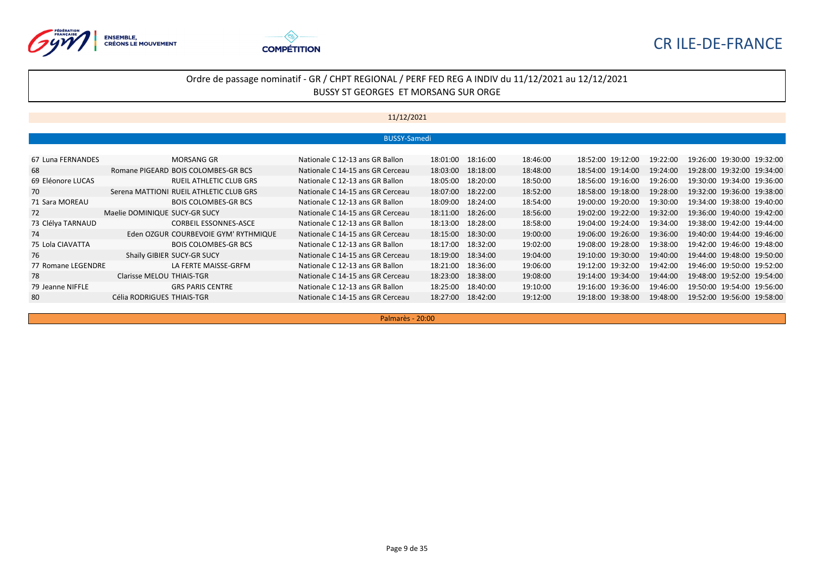



## Ordre de passage nominatif - GR / CHPT REGIONAL / PERF FED REG A INDIV du 11/12/2021 au 12/12/2021 BUSSY ST GEORGES ET MORSANG SUR ORGE

## 11/12/2021

|                    |                               |                                         | <b>BUSSY-Samedi</b>              |          |          |          |                   |          |                            |  |
|--------------------|-------------------------------|-----------------------------------------|----------------------------------|----------|----------|----------|-------------------|----------|----------------------------|--|
|                    |                               |                                         |                                  |          |          |          |                   |          |                            |  |
| 67 Luna FERNANDES  |                               | MORSANG GR                              | Nationale C 12-13 ans GR Ballon  | 18:01:00 | 18:16:00 | 18:46:00 | 18:52:00 19:12:00 | 19:22:00 | 19:26:00 19:30:00 19:32:00 |  |
| 68                 |                               | Romane PIGEARD BOIS COLOMBES-GR BCS     | Nationale C 14-15 ans GR Cerceau | 18:03:00 | 18:18:00 | 18:48:00 | 18:54:00 19:14:00 | 19:24:00 | 19:28:00 19:32:00 19:34:00 |  |
| 69 Eléonore LUCAS  |                               | <b>RUEIL ATHLETIC CLUB GRS</b>          | Nationale C 12-13 ans GR Ballon  | 18:05:00 | 18:20:00 | 18:50:00 | 18:56:00 19:16:00 | 19:26:00 | 19:30:00 19:34:00 19:36:00 |  |
| 70                 |                               | Serena MATTIONI RUEIL ATHLETIC CLUB GRS | Nationale C 14-15 ans GR Cerceau | 18:07:00 | 18:22:00 | 18:52:00 | 18:58:00 19:18:00 | 19:28:00 | 19:32:00 19:36:00 19:38:00 |  |
| 71 Sara MOREAU     |                               | <b>BOIS COLOMBES-GR BCS</b>             | Nationale C 12-13 ans GR Ballon  | 18:09:00 | 18:24:00 | 18:54:00 | 19:00:00 19:20:00 | 19:30:00 | 19:34:00 19:38:00 19:40:00 |  |
| 72                 | Maelie DOMINIQUE SUCY-GR SUCY |                                         | Nationale C 14-15 ans GR Cerceau | 18:11:00 | 18:26:00 | 18:56:00 | 19:02:00 19:22:00 | 19:32:00 | 19:36:00 19:40:00 19:42:00 |  |
| 73 Clélya TARNAUD  |                               | <b>CORBEIL ESSONNES-ASCE</b>            | Nationale C 12-13 ans GR Ballon  | 18:13:00 | 18:28:00 | 18:58:00 | 19:04:00 19:24:00 | 19:34:00 | 19:38:00 19:42:00 19:44:00 |  |
| 74                 |                               | Eden OZGUR COURBEVOIE GYM' RYTHMIQUE    | Nationale C 14-15 ans GR Cerceau | 18:15:00 | 18:30:00 | 19:00:00 | 19:06:00 19:26:00 | 19:36:00 | 19:40:00 19:44:00 19:46:00 |  |
| 75 Lola CIAVATTA   |                               | <b>BOIS COLOMBES-GR BCS</b>             | Nationale C 12-13 ans GR Ballon  | 18:17:00 | 18:32:00 | 19:02:00 | 19:08:00 19:28:00 | 19:38:00 | 19:42:00 19:46:00 19:48:00 |  |
| 76                 | Shaïly GIBIER SUCY-GR SUCY    |                                         | Nationale C 14-15 ans GR Cerceau | 18:19:00 | 18:34:00 | 19:04:00 | 19:10:00 19:30:00 | 19:40:00 | 19:44:00 19:48:00 19:50:00 |  |
| 77 Romane LEGENDRE |                               | LA FERTE MAISSE-GRFM                    | Nationale C 12-13 ans GR Ballon  | 18:21:00 | 18:36:00 | 19:06:00 | 19:12:00 19:32:00 | 19:42:00 | 19:46:00 19:50:00 19:52:00 |  |
| 78                 | Clarisse MELOU THIAIS-TGR     |                                         | Nationale C 14-15 ans GR Cerceau | 18:23:00 | 18:38:00 | 19:08:00 | 19:14:00 19:34:00 | 19:44:00 | 19:48:00 19:52:00 19:54:00 |  |
| 79 Jeanne NIFFLE   |                               | <b>GRS PARIS CENTRE</b>                 | Nationale C 12-13 ans GR Ballon  | 18:25:00 | 18:40:00 | 19:10:00 | 19:16:00 19:36:00 | 19:46:00 | 19:50:00 19:54:00 19:56:00 |  |
| 80                 | Célia RODRIGUES THIAIS-TGR    |                                         | Nationale C 14-15 ans GR Cerceau | 18:27:00 | 18:42:00 | 19:12:00 | 19:18:00 19:38:00 | 19:48:00 | 19:52:00 19:56:00 19:58:00 |  |

Palmarès - 20:00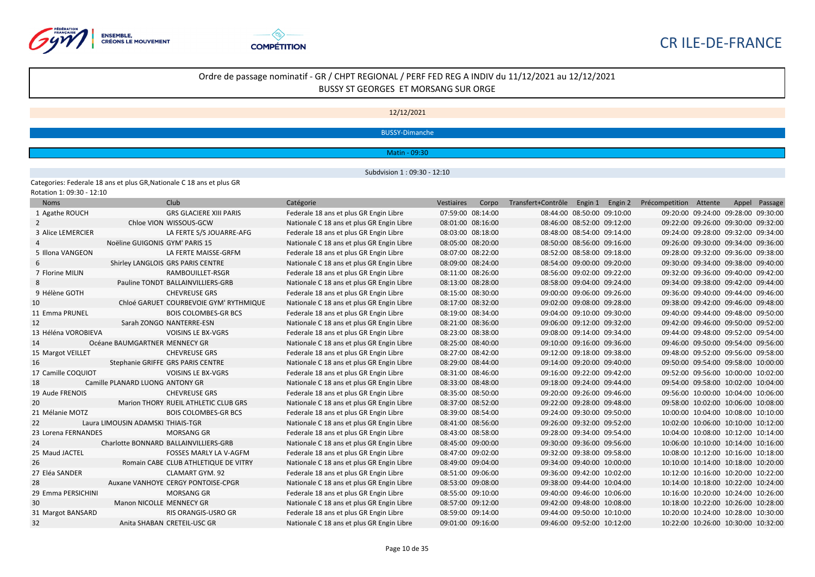



#### 12/12/2021

BUSSY-Dimanche

Matin - 09:30

Subdvision 1 : 09:30 - 12:10

Categories: Federale 18 ans et plus GR,Nationale C 18 ans et plus GR Rotation 1: 09:30 - 12:10

| <b>Noms</b>         | Club                                   |                                | Catégorie                                 | Vestiaires | Corpo             | Transfert+Contrôle Engin 1 |                            | Engin 2 | Précompetition Attente              |                                     | Appel | Passage |
|---------------------|----------------------------------------|--------------------------------|-------------------------------------------|------------|-------------------|----------------------------|----------------------------|---------|-------------------------------------|-------------------------------------|-------|---------|
| 1 Agathe ROUCH      |                                        | <b>GRS GLACIERE XIII PARIS</b> | Federale 18 ans et plus GR Engin Libre    |            | 07:59:00 08:14:00 |                            | 08:44:00 08:50:00 09:10:00 |         |                                     | 09:20:00 09:24:00 09:28:00 09:30:00 |       |         |
| $\overline{2}$      | Chloe VION WISSOUS-GCW                 |                                | Nationale C 18 ans et plus GR Engin Libre |            | 08:01:00 08:16:00 |                            | 08:46:00 08:52:00 09:12:00 |         | 09:22:00 09:26:00 09:30:00 09:32:00 |                                     |       |         |
| 3 Alice LEMERCIER   |                                        | LA FERTE S/S JOUARRE-AFG       | Federale 18 ans et plus GR Engin Libre    |            | 08:03:00 08:18:00 |                            | 08:48:00 08:54:00 09:14:00 |         | 09:24:00 09:28:00 09:32:00 09:34:00 |                                     |       |         |
|                     | Noëline GUIGONIS GYM' PARIS 15         |                                | Nationale C 18 ans et plus GR Engin Libre |            | 08:05:00 08:20:00 |                            | 08:50:00 08:56:00 09:16:00 |         | 09:26:00 09:30:00 09:34:00 09:36:00 |                                     |       |         |
| 5 Illona VANGEON    |                                        | LA FERTE MAISSE-GRFM           | Federale 18 ans et plus GR Engin Libre    |            | 08:07:00 08:22:00 |                            | 08:52:00 08:58:00 09:18:00 |         |                                     | 09:28:00 09:32:00 09:36:00 09:38:00 |       |         |
| 6                   | Shirley LANGLOIS GRS PARIS CENTRE      |                                | Nationale C 18 ans et plus GR Engin Libre |            | 08:09:00 08:24:00 |                            | 08:54:00 09:00:00 09:20:00 |         | 09:30:00 09:34:00 09:38:00 09:40:00 |                                     |       |         |
| 7 Florine MILIN     |                                        | RAMBOUILLET-RSGR               | Federale 18 ans et plus GR Engin Libre    |            | 08:11:00 08:26:00 |                            | 08:56:00 09:02:00 09:22:00 |         | 09:32:00 09:36:00 09:40:00 09:42:00 |                                     |       |         |
|                     | Pauline TONDT BALLAINVILLIERS-GRB      |                                | Nationale C 18 ans et plus GR Engin Libre |            | 08:13:00 08:28:00 |                            | 08:58:00 09:04:00 09:24:00 |         | 09:34:00 09:38:00 09:42:00 09:44:00 |                                     |       |         |
| 9 Hélène GOTH       | <b>CHEVREUSE GRS</b>                   |                                | Federale 18 ans et plus GR Engin Libre    |            | 08:15:00 08:30:00 | 09:00:00 09:06:00 09:26:00 |                            |         | 09:36:00 09:40:00 09:44:00 09:46:00 |                                     |       |         |
| 10                  | Chloé GARUET COURBEVOIE GYM' RYTHMIQUE |                                | Nationale C 18 ans et plus GR Engin Libre |            | 08:17:00 08:32:00 |                            | 09:02:00 09:08:00 09:28:00 |         | 09:38:00 09:42:00 09:46:00 09:48:00 |                                     |       |         |
| 11 Emma PRUNEL      |                                        | <b>BOIS COLOMBES-GR BCS</b>    | Federale 18 ans et plus GR Engin Libre    |            | 08:19:00 08:34:00 |                            | 09:04:00 09:10:00 09:30:00 |         | 09:40:00 09:44:00 09:48:00 09:50:00 |                                     |       |         |
| 12                  | Sarah ZONGO NANTERRE-ESN               |                                | Nationale C 18 ans et plus GR Engin Libre |            | 08:21:00 08:36:00 |                            | 09:06:00 09:12:00 09:32:00 |         |                                     | 09:42:00 09:46:00 09:50:00 09:52:00 |       |         |
| 13 Héléna VOROBIEVA |                                        | <b>VOISINS LE BX-VGRS</b>      | Federale 18 ans et plus GR Engin Libre    |            | 08:23:00 08:38:00 |                            | 09:08:00 09:14:00 09:34:00 |         | 09:44:00 09:48:00 09:52:00 09:54:00 |                                     |       |         |
| 14                  | Océane BAUMGARTNER MENNECY GR          |                                | Nationale C 18 ans et plus GR Engin Libre |            | 08:25:00 08:40:00 |                            | 09:10:00 09:16:00 09:36:00 |         | 09:46:00 09:50:00 09:54:00 09:56:00 |                                     |       |         |
| 15 Margot VEILLET   | <b>CHEVREUSE GRS</b>                   |                                | Federale 18 ans et plus GR Engin Libre    |            | 08:27:00 08:42:00 |                            | 09:12:00 09:18:00 09:38:00 |         |                                     | 09:48:00 09:52:00 09:56:00 09:58:00 |       |         |
| 16                  | Stephanie GRIFFE GRS PARIS CENTRE      |                                | Nationale C 18 ans et plus GR Engin Libre |            | 08:29:00 08:44:00 |                            | 09:14:00 09:20:00 09:40:00 |         | 09:50:00 09:54:00 09:58:00 10:00:00 |                                     |       |         |
| 17 Camille COQUIOT  |                                        | <b>VOISINS LE BX-VGRS</b>      | Federale 18 ans et plus GR Engin Libre    |            | 08:31:00 08:46:00 |                            | 09:16:00 09:22:00 09:42:00 |         | 09:52:00 09:56:00 10:00:00 10:02:00 |                                     |       |         |
| 18                  | Camille PLANARD LUONG ANTONY GR        |                                | Nationale C 18 ans et plus GR Engin Libre |            | 08:33:00 08:48:00 |                            | 09:18:00 09:24:00 09:44:00 |         |                                     | 09:54:00 09:58:00 10:02:00 10:04:00 |       |         |
| 19 Aude FRENOIS     | <b>CHEVREUSE GRS</b>                   |                                | Federale 18 ans et plus GR Engin Libre    |            | 08:35:00 08:50:00 |                            | 09:20:00 09:26:00 09:46:00 |         |                                     | 09:56:00 10:00:00 10:04:00 10:06:00 |       |         |
| 20                  | Marion THORY RUEIL ATHLETIC CLUB GRS   |                                | Nationale C 18 ans et plus GR Engin Libre |            | 08:37:00 08:52:00 |                            | 09:22:00 09:28:00 09:48:00 |         | 09:58:00 10:02:00 10:06:00 10:08:00 |                                     |       |         |
| 21 Mélanie MOTZ     |                                        | <b>BOIS COLOMBES-GR BCS</b>    | Federale 18 ans et plus GR Engin Libre    |            | 08:39:00 08:54:00 |                            | 09:24:00 09:30:00 09:50:00 |         |                                     | 10:00:00 10:04:00 10:08:00 10:10:00 |       |         |
| 22                  | Laura LIMOUSIN ADAMSKI THIAIS-TGR      |                                | Nationale C 18 ans et plus GR Engin Libre |            | 08:41:00 08:56:00 |                            | 09:26:00 09:32:00 09:52:00 |         | 10:02:00 10:06:00 10:10:00 10:12:00 |                                     |       |         |
| 23 Lorena FERNANDES | <b>MORSANG GR</b>                      |                                | Federale 18 ans et plus GR Engin Libre    |            | 08:43:00 08:58:00 |                            | 09:28:00 09:34:00 09:54:00 |         |                                     | 10:04:00 10:08:00 10:12:00 10:14:00 |       |         |
| 24                  | Charlotte BONNARD BALLAINVILLIERS-GRB  |                                | Nationale C 18 ans et plus GR Engin Libre |            | 08:45:00 09:00:00 |                            | 09:30:00 09:36:00 09:56:00 |         | 10:06:00 10:10:00 10:14:00 10:16:00 |                                     |       |         |
| 25 Maud JACTEL      |                                        | <b>FOSSES MARLY LA V-AGFM</b>  | Federale 18 ans et plus GR Engin Libre    |            | 08:47:00 09:02:00 |                            | 09:32:00 09:38:00 09:58:00 |         |                                     | 10:08:00 10:12:00 10:16:00 10:18:00 |       |         |
| 26                  | Romain CABE CLUB ATHLETIQUE DE VITRY   |                                | Nationale C 18 ans et plus GR Engin Libre |            | 08:49:00 09:04:00 |                            | 09:34:00 09:40:00 10:00:00 |         | 10:10:00 10:14:00 10:18:00 10:20:00 |                                     |       |         |
| 27 Eléa SANDER      |                                        | <b>CLAMART GYM, 92</b>         | Federale 18 ans et plus GR Engin Libre    |            | 08:51:00 09:06:00 |                            | 09:36:00 09:42:00 10:02:00 |         |                                     | 10:12:00 10:16:00 10:20:00 10:22:00 |       |         |
| 28                  | Auxane VANHOYE CERGY PONTOISE-CPGR     |                                | Nationale C 18 ans et plus GR Engin Libre |            | 08:53:00 09:08:00 |                            | 09:38:00 09:44:00 10:04:00 |         | 10:14:00 10:18:00 10:22:00 10:24:00 |                                     |       |         |
| 29 Emma PERSICHINI  | <b>MORSANG GR</b>                      |                                | Federale 18 ans et plus GR Engin Libre    |            | 08:55:00 09:10:00 | 09:40:00 09:46:00 10:06:00 |                            |         | 10:16:00 10:20:00 10:24:00 10:26:00 |                                     |       |         |
| 30                  | Manon NICOLLE MENNECY GR               |                                | Nationale C 18 ans et plus GR Engin Libre |            | 08:57:00 09:12:00 |                            | 09:42:00 09:48:00 10:08:00 |         | 10:18:00 10:22:00 10:26:00 10:28:00 |                                     |       |         |
| 31 Margot BANSARD   |                                        | RIS ORANGIS-USRO GR            | Federale 18 ans et plus GR Engin Libre    |            | 08:59:00 09:14:00 |                            | 09:44:00 09:50:00 10:10:00 |         |                                     | 10:20:00 10:24:00 10:28:00 10:30:00 |       |         |
| 32                  | Anita SHABAN CRETEIL-USC GR            |                                | Nationale C 18 ans et plus GR Engin Libre |            | 09:01:00 09:16:00 |                            | 09:46:00 09:52:00 10:12:00 |         |                                     | 10:22:00 10:26:00 10:30:00 10:32:00 |       |         |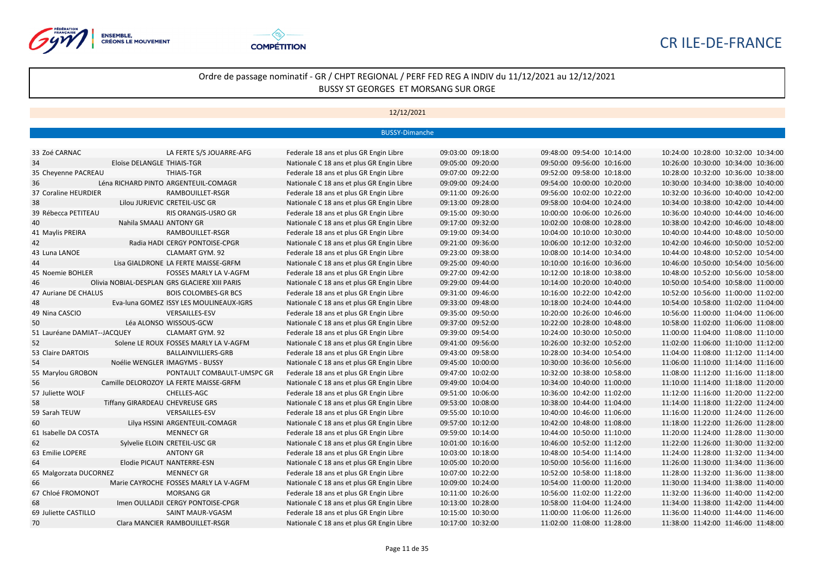



|                             |                                               | <b>BUSSY-Dimanche</b>                     |                   |                            |                                     |
|-----------------------------|-----------------------------------------------|-------------------------------------------|-------------------|----------------------------|-------------------------------------|
|                             |                                               |                                           |                   |                            |                                     |
| 33 Zoé CARNAC               | LA FERTE S/S JOUARRE-AFG                      | Federale 18 ans et plus GR Engin Libre    | 09:03:00 09:18:00 | 09:48:00 09:54:00 10:14:00 | 10:24:00 10:28:00 10:32:00 10:34:00 |
| 34                          | Eloïse DELANGLE THIAIS-TGR                    | Nationale C 18 ans et plus GR Engin Libre | 09:05:00 09:20:00 | 09:50:00 09:56:00 10:16:00 | 10:26:00 10:30:00 10:34:00 10:36:00 |
| 35 Cheyenne PACREAU         | <b>THIAIS-TGR</b>                             | Federale 18 ans et plus GR Engin Libre    | 09:07:00 09:22:00 | 09:52:00 09:58:00 10:18:00 | 10:28:00 10:32:00 10:36:00 10:38:00 |
| 36                          | Léna RICHARD PINTO ARGENTEUIL-COMAGR          | Nationale C 18 ans et plus GR Engin Libre | 09:09:00 09:24:00 | 09:54:00 10:00:00 10:20:00 | 10:30:00 10:34:00 10:38:00 10:40:00 |
| 37 Coraline HEURDIER        | RAMBOUILLET-RSGR                              | Federale 18 ans et plus GR Engin Libre    | 09:11:00 09:26:00 | 09:56:00 10:02:00 10:22:00 | 10:32:00 10:36:00 10:40:00 10:42:00 |
| 38                          | Lilou JURJEVIC CRETEIL-USC GR                 | Nationale C 18 ans et plus GR Engin Libre | 09:13:00 09:28:00 | 09:58:00 10:04:00 10:24:00 | 10:34:00 10:38:00 10:42:00 10:44:00 |
| 39 Rébecca PETITEAU         | RIS ORANGIS-USRO GR                           | Federale 18 ans et plus GR Engin Libre    | 09:15:00 09:30:00 | 10:00:00 10:06:00 10:26:00 | 10:36:00 10:40:00 10:44:00 10:46:00 |
| 40                          | Nahila SMAALI ANTONY GR                       | Nationale C 18 ans et plus GR Engin Libre | 09:17:00 09:32:00 | 10:02:00 10:08:00 10:28:00 | 10:38:00 10:42:00 10:46:00 10:48:00 |
| 41 Maylis PREIRA            | RAMBOUILLET-RSGR                              | Federale 18 ans et plus GR Engin Libre    | 09:19:00 09:34:00 | 10:04:00 10:10:00 10:30:00 | 10:40:00 10:44:00 10:48:00 10:50:00 |
| 42                          | Radia HADI CERGY PONTOISE-CPGR                | Nationale C 18 ans et plus GR Engin Libre | 09:21:00 09:36:00 | 10:06:00 10:12:00 10:32:00 | 10:42:00 10:46:00 10:50:00 10:52:00 |
| 43 Luna LANOE               | <b>CLAMART GYM. 92</b>                        | Federale 18 ans et plus GR Engin Libre    | 09:23:00 09:38:00 | 10:08:00 10:14:00 10:34:00 | 10:44:00 10:48:00 10:52:00 10:54:00 |
| 44                          | Lisa GIALDRONE LA FERTE MAISSE-GRFM           | Nationale C 18 ans et plus GR Engin Libre | 09:25:00 09:40:00 | 10:10:00 10:16:00 10:36:00 | 10:46:00 10:50:00 10:54:00 10:56:00 |
| 45 Noemie BOHLER            | <b>FOSSES MARLY LA V-AGFM</b>                 | Federale 18 ans et plus GR Engin Libre    | 09:27:00 09:42:00 | 10:12:00 10:18:00 10:38:00 | 10:48:00 10:52:00 10:56:00 10:58:00 |
| 46                          | Olivia NOBIAL-DESPLAN GRS GLACIERE XIII PARIS | Nationale C 18 ans et plus GR Engin Libre | 09:29:00 09:44:00 | 10:14:00 10:20:00 10:40:00 | 10:50:00 10:54:00 10:58:00 11:00:00 |
| 47 Auriane DE CHALUS        | <b>BOIS COLOMBES-GR BCS</b>                   | Federale 18 ans et plus GR Engin Libre    | 09:31:00 09:46:00 | 10:16:00 10:22:00 10:42:00 | 10:52:00 10:56:00 11:00:00 11:02:00 |
| 48                          | Eva-luna GOMEZ ISSY LES MOULINEAUX-IGRS       | Nationale C 18 ans et plus GR Engin Libre | 09:33:00 09:48:00 | 10:18:00 10:24:00 10:44:00 | 10:54:00 10:58:00 11:02:00 11:04:00 |
| 49 Nina CASCIO              | <b>VERSAILLES-ESV</b>                         | Federale 18 ans et plus GR Engin Libre    | 09:35:00 09:50:00 | 10:20:00 10:26:00 10:46:00 | 10:56:00 11:00:00 11:04:00 11:06:00 |
| 50                          | Léa ALONSO WISSOUS-GCW                        | Nationale C 18 ans et plus GR Engin Libre | 09:37:00 09:52:00 | 10:22:00 10:28:00 10:48:00 | 10:58:00 11:02:00 11:06:00 11:08:00 |
| 51 Lauréane DAMIAT--JACQUEY | <b>CLAMART GYM. 92</b>                        | Federale 18 ans et plus GR Engin Libre    | 09:39:00 09:54:00 | 10:24:00 10:30:00 10:50:00 | 11:00:00 11:04:00 11:08:00 11:10:00 |
| 52                          | Solene LE ROUX FOSSES MARLY LA V-AGFM         | Nationale C 18 ans et plus GR Engin Libre | 09:41:00 09:56:00 | 10:26:00 10:32:00 10:52:00 | 11:02:00 11:06:00 11:10:00 11:12:00 |
| 53 Claire DARTOIS           | BALLAINVILLIERS-GRB                           | Federale 18 ans et plus GR Engin Libre    | 09:43:00 09:58:00 | 10:28:00 10:34:00 10:54:00 | 11:04:00 11:08:00 11:12:00 11:14:00 |
| 54                          | Noélie WENGLER IMAGYMS - BUSSY                | Nationale C 18 ans et plus GR Engin Libre | 09:45:00 10:00:00 | 10:30:00 10:36:00 10:56:00 | 11:06:00 11:10:00 11:14:00 11:16:00 |
| 55 Marylou GROBON           | PONTAULT COMBAULT-UMSPC GR                    | Federale 18 ans et plus GR Engin Libre    | 09:47:00 10:02:00 | 10:32:00 10:38:00 10:58:00 | 11:08:00 11:12:00 11:16:00 11:18:00 |
| 56                          | Camille DELOROZOY LA FERTE MAISSE-GRFM        | Nationale C 18 ans et plus GR Engin Libre | 09:49:00 10:04:00 | 10:34:00 10:40:00 11:00:00 | 11:10:00 11:14:00 11:18:00 11:20:00 |
| 57 Juliette WOLF            | CHELLES-AGC                                   | Federale 18 ans et plus GR Engin Libre    | 09:51:00 10:06:00 | 10:36:00 10:42:00 11:02:00 | 11:12:00 11:16:00 11:20:00 11:22:00 |
| 58                          | Tiffany GIRARDEAU CHEVREUSE GRS               | Nationale C 18 ans et plus GR Engin Libre | 09:53:00 10:08:00 | 10:38:00 10:44:00 11:04:00 | 11:14:00 11:18:00 11:22:00 11:24:00 |
| 59 Sarah TEUW               | <b>VERSAILLES-ESV</b>                         | Federale 18 ans et plus GR Engin Libre    | 09:55:00 10:10:00 | 10:40:00 10:46:00 11:06:00 | 11:16:00 11:20:00 11:24:00 11:26:00 |
| 60                          | Lilya HSSINI ARGENTEUIL-COMAGR                | Nationale C 18 ans et plus GR Engin Libre | 09:57:00 10:12:00 | 10:42:00 10:48:00 11:08:00 | 11:18:00 11:22:00 11:26:00 11:28:00 |
| 61 Isabelle DA COSTA        | <b>MENNECY GR</b>                             | Federale 18 ans et plus GR Engin Libre    | 09:59:00 10:14:00 | 10:44:00 10:50:00 11:10:00 | 11:20:00 11:24:00 11:28:00 11:30:00 |
| 62                          | Sylvelie ELOIN CRETEIL-USC GR                 | Nationale C 18 ans et plus GR Engin Libre | 10:01:00 10:16:00 | 10:46:00 10:52:00 11:12:00 | 11:22:00 11:26:00 11:30:00 11:32:00 |
| 63 Emilie LOPERE            | <b>ANTONY GR</b>                              | Federale 18 ans et plus GR Engin Libre    | 10:03:00 10:18:00 | 10:48:00 10:54:00 11:14:00 | 11:24:00 11:28:00 11:32:00 11:34:00 |
| 64                          | Elodie PICAUT NANTERRE-ESN                    | Nationale C 18 ans et plus GR Engin Libre | 10:05:00 10:20:00 | 10:50:00 10:56:00 11:16:00 | 11:26:00 11:30:00 11:34:00 11:36:00 |
| 65 Malgorzata DUCORNEZ      | <b>MENNECY GR</b>                             | Federale 18 ans et plus GR Engin Libre    | 10:07:00 10:22:00 | 10:52:00 10:58:00 11:18:00 | 11:28:00 11:32:00 11:36:00 11:38:00 |
| 66                          | Marie CAYROCHE FOSSES MARLY LA V-AGFM         | Nationale C 18 ans et plus GR Engin Libre | 10:09:00 10:24:00 | 10:54:00 11:00:00 11:20:00 | 11:30:00 11:34:00 11:38:00 11:40:00 |
| 67 Chloé FROMONOT           | <b>MORSANG GR</b>                             | Federale 18 ans et plus GR Engin Libre    | 10:11:00 10:26:00 | 10:56:00 11:02:00 11:22:00 | 11:32:00 11:36:00 11:40:00 11:42:00 |
| 68                          | Imen OULLADJI CERGY PONTOISE-CPGR             | Nationale C 18 ans et plus GR Engin Libre | 10:13:00 10:28:00 | 10:58:00 11:04:00 11:24:00 | 11:34:00 11:38:00 11:42:00 11:44:00 |
| 69 Juliette CASTILLO        | SAINT MAUR-VGASM                              | Federale 18 ans et plus GR Engin Libre    | 10:15:00 10:30:00 | 11:00:00 11:06:00 11:26:00 | 11:36:00 11:40:00 11:44:00 11:46:00 |
| 70                          | Clara MANCIER RAMBOUILLET-RSGR                | Nationale C 18 ans et plus GR Engin Libre | 10:17:00 10:32:00 | 11:02:00 11:08:00 11:28:00 | 11:38:00 11:42:00 11:46:00 11:48:00 |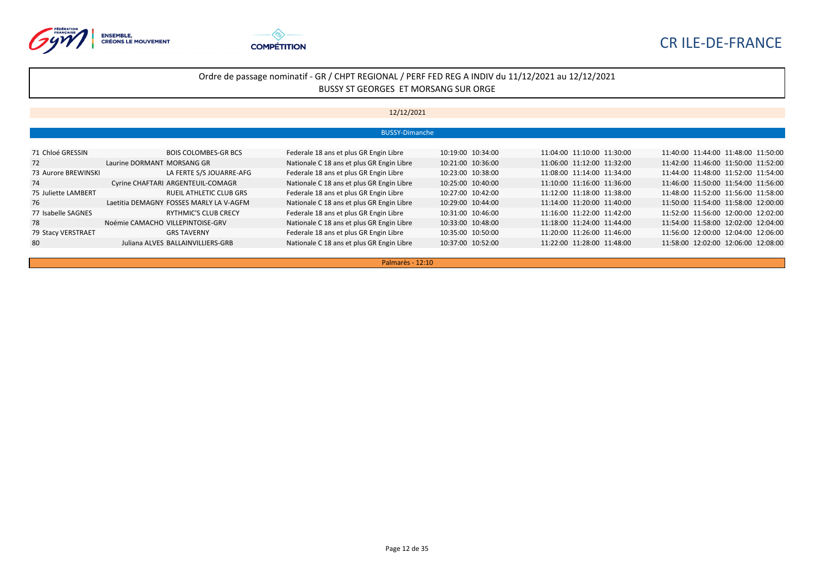



#### 12/12/2021

|                     | <b>BUSSY-Dimanche</b>                   |                                           |                   |                            |                                     |  |  |  |  |  |
|---------------------|-----------------------------------------|-------------------------------------------|-------------------|----------------------------|-------------------------------------|--|--|--|--|--|
|                     |                                         |                                           |                   |                            |                                     |  |  |  |  |  |
| 71 Chloé GRESSIN    | <b>BOIS COLOMBES-GR BCS</b>             | Federale 18 ans et plus GR Engin Libre    | 10:19:00 10:34:00 | 11:04:00 11:10:00 11:30:00 | 11:40:00 11:44:00 11:48:00 11:50:00 |  |  |  |  |  |
| 72                  | Laurine DORMANT MORSANG GR              | Nationale C 18 ans et plus GR Engin Libre | 10:21:00 10:36:00 | 11:06:00 11:12:00 11:32:00 | 11:42:00 11:46:00 11:50:00 11:52:00 |  |  |  |  |  |
| 73 Aurore BREWINSKI | LA FERTE S/S JOUARRE-AFG                | Federale 18 ans et plus GR Engin Libre    | 10:23:00 10:38:00 | 11:08:00 11:14:00 11:34:00 | 11:44:00 11:48:00 11:52:00 11:54:00 |  |  |  |  |  |
| 74                  | Cyrine CHAFTARI ARGENTEUIL-COMAGR       | Nationale C 18 ans et plus GR Engin Libre | 10:25:00 10:40:00 | 11:10:00 11:16:00 11:36:00 | 11:46:00 11:50:00 11:54:00 11:56:00 |  |  |  |  |  |
| 75 Juliette LAMBERT | RUEIL ATHLETIC CLUB GRS                 | Federale 18 ans et plus GR Engin Libre    | 10:27:00 10:42:00 | 11:12:00 11:18:00 11:38:00 | 11:48:00 11:52:00 11:56:00 11:58:00 |  |  |  |  |  |
| 76                  | Laetitia DEMAGNY FOSSES MARLY LA V-AGFM | Nationale C 18 ans et plus GR Engin Libre | 10:29:00 10:44:00 | 11:14:00 11:20:00 11:40:00 | 11:50:00 11:54:00 11:58:00 12:00:00 |  |  |  |  |  |
| 77 Isabelle SAGNES  | RYTHMIC'S CLUB CRECY                    | Federale 18 ans et plus GR Engin Libre    | 10:31:00 10:46:00 | 11:16:00 11:22:00 11:42:00 | 11:52:00 11:56:00 12:00:00 12:02:00 |  |  |  |  |  |
| 78                  | Noémie CAMACHO VILLEPINTOISE-GRV        | Nationale C 18 ans et plus GR Engin Libre | 10:33:00 10:48:00 | 11:18:00 11:24:00 11:44:00 | 11:54:00 11:58:00 12:02:00 12:04:00 |  |  |  |  |  |
| 79 Stacy VERSTRAET  | <b>GRS TAVERNY</b>                      | Federale 18 ans et plus GR Engin Libre    | 10:35:00 10:50:00 | 11:20:00 11:26:00 11:46:00 | 11:56:00 12:00:00 12:04:00 12:06:00 |  |  |  |  |  |
| 80                  | Juliana ALVES BALLAINVILLIERS-GRB       | Nationale C 18 ans et plus GR Engin Libre | 10:37:00 10:52:00 | 11:22:00 11:28:00 11:48:00 | 11:58:00 12:02:00 12:06:00 12:08:00 |  |  |  |  |  |

Palmarès - 12:10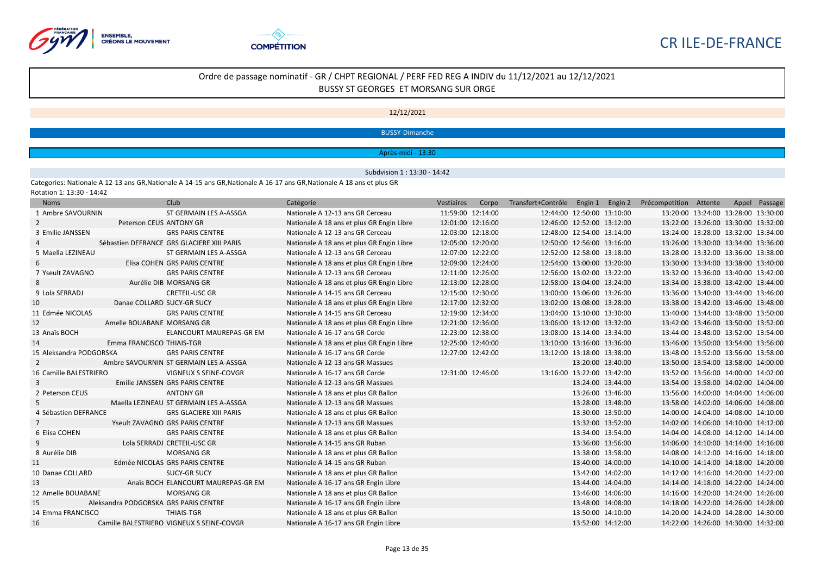



#### 12/12/2021

#### BUSSY-Dimanche

#### Après-midi - 13:30

#### Subdvision 1 : 13:30 - 14:42

Categories: Nationale A 12-13 ans GR,Nationale A 14-15 ans GR,Nationale A 16-17 ans GR,Nationale A 18 ans et plus GR Rotation 1: 13:30 - 14:42

| <b>Noms</b>             |                                       | Club.                                      | Catégorie                                 | Vestiaires        | Corpo | Transfert+Contrôle Engin 1 |                   | Engin 2 | Précompetition Attente              |  | Appel Passage |
|-------------------------|---------------------------------------|--------------------------------------------|-------------------------------------------|-------------------|-------|----------------------------|-------------------|---------|-------------------------------------|--|---------------|
| 1 Ambre SAVOURNIN       |                                       | ST GERMAIN LES A-ASSGA                     | Nationale A 12-13 ans GR Cerceau          | 11:59:00 12:14:00 |       | 12:44:00 12:50:00 13:10:00 |                   |         | 13:20:00 13:24:00 13:28:00 13:30:00 |  |               |
| $\overline{2}$          | Peterson CEUS ANTONY GR               |                                            | Nationale A 18 ans et plus GR Engin Libre | 12:01:00 12:16:00 |       | 12:46:00 12:52:00 13:12:00 |                   |         | 13:22:00 13:26:00 13:30:00 13:32:00 |  |               |
| 3 Emilie JANSSEN        |                                       | <b>GRS PARIS CENTRE</b>                    | Nationale A 12-13 ans GR Cerceau          | 12:03:00 12:18:00 |       | 12:48:00 12:54:00 13:14:00 |                   |         | 13:24:00 13:28:00 13:32:00 13:34:00 |  |               |
|                         |                                       | Sébastien DEFRANCE GRS GLACIERE XIII PARIS | Nationale A 18 ans et plus GR Engin Libre | 12:05:00 12:20:00 |       | 12:50:00 12:56:00 13:16:00 |                   |         | 13:26:00 13:30:00 13:34:00 13:36:00 |  |               |
| 5 Maella LEZINEAU       |                                       | ST GERMAIN LES A-ASSGA                     | Nationale A 12-13 ans GR Cerceau          | 12:07:00 12:22:00 |       | 12:52:00 12:58:00 13:18:00 |                   |         | 13:28:00 13:32:00 13:36:00 13:38:00 |  |               |
| 6                       |                                       | Elisa COHEN GRS PARIS CENTRE               | Nationale A 18 ans et plus GR Engin Libre | 12:09:00 12:24:00 |       | 12:54:00 13:00:00 13:20:00 |                   |         | 13:30:00 13:34:00 13:38:00 13:40:00 |  |               |
| 7 Yseult ZAVAGNO        |                                       | <b>GRS PARIS CENTRE</b>                    | Nationale A 12-13 ans GR Cerceau          | 12:11:00 12:26:00 |       | 12:56:00 13:02:00 13:22:00 |                   |         | 13:32:00 13:36:00 13:40:00 13:42:00 |  |               |
| 8                       |                                       | Aurélie DIB MORSANG GR                     | Nationale A 18 ans et plus GR Engin Libre | 12:13:00 12:28:00 |       | 12:58:00 13:04:00 13:24:00 |                   |         | 13:34:00 13:38:00 13:42:00 13:44:00 |  |               |
| 9 Lola SERRADJ          |                                       | <b>CRETEIL-USC GR</b>                      | Nationale A 14-15 ans GR Cerceau          | 12:15:00 12:30:00 |       | 13:00:00 13:06:00 13:26:00 |                   |         | 13:36:00 13:40:00 13:44:00 13:46:00 |  |               |
| 10                      | Danae COLLARD SUCY-GR SUCY            |                                            | Nationale A 18 ans et plus GR Engin Libre | 12:17:00 12:32:00 |       | 13:02:00 13:08:00 13:28:00 |                   |         | 13:38:00 13:42:00 13:46:00 13:48:00 |  |               |
| 11 Edmée NICOLAS        |                                       | <b>GRS PARIS CENTRE</b>                    | Nationale A 14-15 ans GR Cerceau          | 12:19:00 12:34:00 |       | 13:04:00 13:10:00 13:30:00 |                   |         | 13:40:00 13:44:00 13:48:00 13:50:00 |  |               |
| 12                      | Amelle BOUABANE MORSANG GR            |                                            | Nationale A 18 ans et plus GR Engin Libre | 12:21:00 12:36:00 |       | 13:06:00 13:12:00 13:32:00 |                   |         | 13:42:00 13:46:00 13:50:00 13:52:00 |  |               |
| 13 Anaïs BOCH           |                                       | ELANCOURT MAUREPAS-GR EM                   | Nationale A 16-17 ans GR Corde            | 12:23:00 12:38:00 |       | 13:08:00 13:14:00 13:34:00 |                   |         | 13:44:00 13:48:00 13:52:00 13:54:00 |  |               |
| 14                      | Emma FRANCISCO THIAIS-TGR             |                                            | Nationale A 18 ans et plus GR Engin Libre | 12:25:00 12:40:00 |       | 13:10:00 13:16:00 13:36:00 |                   |         | 13:46:00 13:50:00 13:54:00 13:56:00 |  |               |
| 15 Aleksandra PODGORSKA |                                       | <b>GRS PARIS CENTRE</b>                    | Nationale A 16-17 ans GR Corde            | 12:27:00 12:42:00 |       | 13:12:00 13:18:00 13:38:00 |                   |         | 13:48:00 13:52:00 13:56:00 13:58:00 |  |               |
| 2                       |                                       | Ambre SAVOURNIN ST GERMAIN LES A-ASSGA     | Nationale A 12-13 ans GR Massues          |                   |       |                            | 13:20:00 13:40:00 |         | 13:50:00 13:54:00 13:58:00 14:00:00 |  |               |
| 16 Camille BALESTRIERO  |                                       | VIGNEUX S SEINE-COVGR                      | Nationale A 16-17 ans GR Corde            | 12:31:00 12:46:00 |       | 13:16:00 13:22:00 13:42:00 |                   |         | 13:52:00 13:56:00 14:00:00 14:02:00 |  |               |
| 3                       |                                       | Emilie JANSSEN GRS PARIS CENTRE            | Nationale A 12-13 ans GR Massues          |                   |       |                            | 13:24:00 13:44:00 |         | 13:54:00 13:58:00 14:02:00 14:04:00 |  |               |
| 2 Peterson CEUS         |                                       | <b>ANTONY GR</b>                           | Nationale A 18 ans et plus GR Ballon      |                   |       |                            | 13:26:00 13:46:00 |         | 13:56:00 14:00:00 14:04:00 14:06:00 |  |               |
| 5                       |                                       | Maella LEZINEAU ST GERMAIN LES A-ASSGA     | Nationale A 12-13 ans GR Massues          |                   |       |                            | 13:28:00 13:48:00 |         | 13:58:00 14:02:00 14:06:00 14:08:00 |  |               |
| 4 Sébastien DEFRANCE    |                                       | <b>GRS GLACIERE XIII PARIS</b>             | Nationale A 18 ans et plus GR Ballon      |                   |       |                            | 13:30:00 13:50:00 |         | 14:00:00 14:04:00 14:08:00 14:10:00 |  |               |
| 7                       |                                       | Yseult ZAVAGNO GRS PARIS CENTRE            | Nationale A 12-13 ans GR Massues          |                   |       |                            | 13:32:00 13:52:00 |         | 14:02:00 14:06:00 14:10:00 14:12:00 |  |               |
| 6 Elisa COHEN           |                                       | <b>GRS PARIS CENTRE</b>                    | Nationale A 18 ans et plus GR Ballon      |                   |       |                            | 13:34:00 13:54:00 |         | 14:04:00 14:08:00 14:12:00 14:14:00 |  |               |
| 9                       |                                       | Lola SERRADJ CRETEIL-USC GR                | Nationale A 14-15 ans GR Ruban            |                   |       |                            | 13:36:00 13:56:00 |         | 14:06:00 14:10:00 14:14:00 14:16:00 |  |               |
| 8 Aurélie DIB           |                                       | <b>MORSANG GR</b>                          | Nationale A 18 ans et plus GR Ballon      |                   |       |                            | 13:38:00 13:58:00 |         | 14:08:00 14:12:00 14:16:00 14:18:00 |  |               |
| 11                      |                                       | Edmée NICOLAS GRS PARIS CENTRE             | Nationale A 14-15 ans GR Ruban            |                   |       |                            | 13:40:00 14:00:00 |         | 14:10:00 14:14:00 14:18:00 14:20:00 |  |               |
| 10 Danae COLLARD        |                                       | <b>SUCY-GR SUCY</b>                        | Nationale A 18 ans et plus GR Ballon      |                   |       |                            | 13:42:00 14:02:00 |         | 14:12:00 14:16:00 14:20:00 14:22:00 |  |               |
| 13                      |                                       | Anaïs BOCH ELANCOURT MAUREPAS-GR EM        | Nationale A 16-17 ans GR Engin Libre      |                   |       |                            | 13:44:00 14:04:00 |         | 14:14:00 14:18:00 14:22:00 14:24:00 |  |               |
| 12 Amelle BOUABANE      |                                       | <b>MORSANG GR</b>                          | Nationale A 18 ans et plus GR Ballon      |                   |       |                            | 13:46:00 14:06:00 |         | 14:16:00 14:20:00 14:24:00 14:26:00 |  |               |
| 15                      | Aleksandra PODGORSKA GRS PARIS CENTRE |                                            | Nationale A 16-17 ans GR Engin Libre      |                   |       |                            | 13:48:00 14:08:00 |         | 14:18:00 14:22:00 14:26:00 14:28:00 |  |               |
| 14 Emma FRANCISCO       |                                       | <b>THIAIS-TGR</b>                          | Nationale A 18 ans et plus GR Ballon      |                   |       |                            | 13:50:00 14:10:00 |         | 14:20:00 14:24:00 14:28:00 14:30:00 |  |               |
| 16                      |                                       | Camille BALESTRIERO VIGNEUX S SEINE-COVGR  | Nationale A 16-17 ans GR Engin Libre      |                   |       |                            | 13:52:00 14:12:00 |         | 14:22:00 14:26:00 14:30:00 14:32:00 |  |               |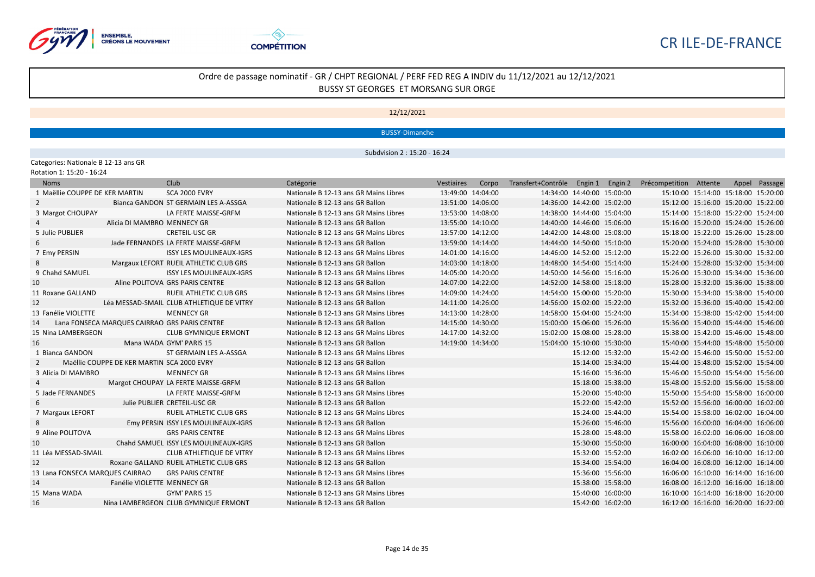



#### 12/12/2021

BUSSY-Dimanche

Subdvision 2 : 15:20 - 16:24

Categories: Nationale B 12-13 ans GR

| Rotation 1: 15:20 - 16:24 |  |  |  |  |
|---------------------------|--|--|--|--|
|---------------------------|--|--|--|--|

| <b>Noms</b>                     |                                            | Club                                          | Catégorie                             |                   | Vestiaires Corpo Transfert+Contrôle Engin 1 Engin 2 Précompetition Attente |                            |                                     |  | Appel Passage |
|---------------------------------|--------------------------------------------|-----------------------------------------------|---------------------------------------|-------------------|----------------------------------------------------------------------------|----------------------------|-------------------------------------|--|---------------|
| 1 Maëllie COUPPE DE KER MARTIN  |                                            | <b>SCA 2000 EVRY</b>                          | Nationale B 12-13 ans GR Mains Libres | 13:49:00 14:04:00 | 14:34:00 14:40:00 15:00:00                                                 |                            | 15:10:00 15:14:00 15:18:00 15:20:00 |  |               |
| $\mathbf{2}$                    |                                            | Bianca GANDON ST GERMAIN LES A-ASSGA          | Nationale B 12-13 ans GR Ballon       | 13:51:00 14:06:00 | 14:36:00 14:42:00 15:02:00                                                 |                            | 15:12:00 15:16:00 15:20:00 15:22:00 |  |               |
| 3 Margot CHOUPAY                |                                            | LA FERTE MAISSE-GRFM                          | Nationale B 12-13 ans GR Mains Libres | 13:53:00 14:08:00 | 14:38:00 14:44:00 15:04:00                                                 |                            | 15:14:00 15:18:00 15:22:00 15:24:00 |  |               |
|                                 | Alicia DI MAMBRO MENNECY GR                |                                               | Nationale B 12-13 ans GR Ballon       | 13:55:00 14:10:00 | 14:40:00 14:46:00 15:06:00                                                 |                            | 15:16:00 15:20:00 15:24:00 15:26:00 |  |               |
| 5 Julie PUBLIER                 |                                            | <b>CRETEIL-USC GR</b>                         | Nationale B 12-13 ans GR Mains Libres | 13:57:00 14:12:00 | 14:42:00 14:48:00 15:08:00                                                 |                            | 15:18:00 15:22:00 15:26:00 15:28:00 |  |               |
| 6                               |                                            | Jade FERNANDES LA FERTE MAISSE-GRFM           | Nationale B 12-13 ans GR Ballon       | 13:59:00 14:14:00 | 14:44:00 14:50:00 15:10:00                                                 |                            | 15:20:00 15:24:00 15:28:00 15:30:00 |  |               |
| 7 Emy PERSIN                    |                                            | <b>ISSY LES MOULINEAUX-IGRS</b>               | Nationale B 12-13 ans GR Mains Libres | 14:01:00 14:16:00 | 14:46:00 14:52:00 15:12:00                                                 |                            | 15:22:00 15:26:00 15:30:00 15:32:00 |  |               |
| 8                               |                                            | Margaux LEFORT RUEIL ATHLETIC CLUB GRS        | Nationale B 12-13 ans GR Ballon       | 14:03:00 14:18:00 | 14:48:00 14:54:00 15:14:00                                                 |                            | 15:24:00 15:28:00 15:32:00 15:34:00 |  |               |
| 9 Chahd SAMUEL                  |                                            | <b>ISSY LES MOULINEAUX-IGRS</b>               | Nationale B 12-13 ans GR Mains Libres | 14:05:00 14:20:00 | 14:50:00 14:56:00 15:16:00                                                 |                            | 15:26:00 15:30:00 15:34:00 15:36:00 |  |               |
| 10                              |                                            | Aline POLITOVA GRS PARIS CENTRE               | Nationale B 12-13 ans GR Ballon       | 14:07:00 14:22:00 | 14:52:00 14:58:00 15:18:00                                                 |                            | 15:28:00 15:32:00 15:36:00 15:38:00 |  |               |
| 11 Roxane GALLAND               |                                            | <b>RUEIL ATHLETIC CLUB GRS</b>                | Nationale B 12-13 ans GR Mains Libres | 14:09:00 14:24:00 |                                                                            | 14:54:00 15:00:00 15:20:00 | 15:30:00 15:34:00 15:38:00 15:40:00 |  |               |
| 12                              |                                            | Léa MESSAD-SMAIL CLUB ATHLETIQUE DE VITRY     | Nationale B 12-13 ans GR Ballon       | 14:11:00 14:26:00 | 14:56:00 15:02:00 15:22:00                                                 |                            | 15:32:00 15:36:00 15:40:00 15:42:00 |  |               |
| 13 Fanélie VIOLETTE             |                                            | <b>MENNECY GR</b>                             | Nationale B 12-13 ans GR Mains Libres | 14:13:00 14:28:00 | 14:58:00 15:04:00 15:24:00                                                 |                            | 15:34:00 15:38:00 15:42:00 15:44:00 |  |               |
| 14                              |                                            | Lana FONSECA MARQUES CAIRRAO GRS PARIS CENTRE | Nationale B 12-13 ans GR Ballon       | 14:15:00 14:30:00 | 15:00:00 15:06:00 15:26:00                                                 |                            | 15:36:00 15:40:00 15:44:00 15:46:00 |  |               |
| 15 Nina LAMBERGEON              |                                            | <b>CLUB GYMNIQUE ERMONT</b>                   | Nationale B 12-13 ans GR Mains Libres | 14:17:00 14:32:00 | 15:02:00 15:08:00 15:28:00                                                 |                            | 15:38:00 15:42:00 15:46:00 15:48:00 |  |               |
| 16                              |                                            | Mana WADA GYM' PARIS 15                       | Nationale B 12-13 ans GR Ballon       | 14:19:00 14:34:00 | 15:04:00 15:10:00 15:30:00                                                 |                            | 15:40:00 15:44:00 15:48:00 15:50:00 |  |               |
| 1 Bianca GANDON                 |                                            | ST GERMAIN LES A-ASSGA                        | Nationale B 12-13 ans GR Mains Libres |                   |                                                                            | 15:12:00 15:32:00          | 15:42:00 15:46:00 15:50:00 15:52:00 |  |               |
| $\mathbf{2}$                    | Maëllie COUPPE DE KER MARTIN SCA 2000 EVRY |                                               | Nationale B 12-13 ans GR Ballon       |                   |                                                                            | 15:14:00 15:34:00          | 15:44:00 15:48:00 15:52:00 15:54:00 |  |               |
| 3 Alicia DI MAMBRO              |                                            | <b>MENNECY GR</b>                             | Nationale B 12-13 ans GR Mains Libres |                   |                                                                            | 15:16:00 15:36:00          | 15:46:00 15:50:00 15:54:00 15:56:00 |  |               |
|                                 |                                            | Margot CHOUPAY LA FERTE MAISSE-GRFM           | Nationale B 12-13 ans GR Ballon       |                   |                                                                            | 15:18:00 15:38:00          | 15:48:00 15:52:00 15:56:00 15:58:00 |  |               |
| 5 Jade FERNANDES                |                                            | LA FERTE MAISSE-GRFM                          | Nationale B 12-13 ans GR Mains Libres |                   |                                                                            | 15:20:00 15:40:00          | 15:50:00 15:54:00 15:58:00 16:00:00 |  |               |
| 6                               |                                            | Julie PUBLIER CRETEIL-USC GR                  | Nationale B 12-13 ans GR Ballon       |                   |                                                                            | 15:22:00 15:42:00          | 15:52:00 15:56:00 16:00:00 16:02:00 |  |               |
| 7 Margaux LEFORT                |                                            | <b>RUEIL ATHLETIC CLUB GRS</b>                | Nationale B 12-13 ans GR Mains Libres |                   |                                                                            | 15:24:00 15:44:00          | 15:54:00 15:58:00 16:02:00 16:04:00 |  |               |
| 8                               |                                            | Emy PERSIN ISSY LES MOULINEAUX-IGRS           | Nationale B 12-13 ans GR Ballon       |                   |                                                                            | 15:26:00 15:46:00          | 15:56:00 16:00:00 16:04:00 16:06:00 |  |               |
| 9 Aline POLITOVA                |                                            | <b>GRS PARIS CENTRE</b>                       | Nationale B 12-13 ans GR Mains Libres |                   |                                                                            | 15:28:00 15:48:00          | 15:58:00 16:02:00 16:06:00 16:08:00 |  |               |
| 10                              |                                            | Chahd SAMUEL ISSY LES MOULINEAUX-IGRS         | Nationale B 12-13 ans GR Ballon       |                   |                                                                            | 15:30:00 15:50:00          | 16:00:00 16:04:00 16:08:00 16:10:00 |  |               |
| 11 Léa MESSAD-SMAIL             |                                            | CLUB ATHLETIQUE DE VITRY                      | Nationale B 12-13 ans GR Mains Libres |                   |                                                                            | 15:32:00 15:52:00          | 16:02:00 16:06:00 16:10:00 16:12:00 |  |               |
| 12                              |                                            | Roxane GALLAND RUEIL ATHLETIC CLUB GRS        | Nationale B 12-13 ans GR Ballon       |                   |                                                                            | 15:34:00 15:54:00          | 16:04:00 16:08:00 16:12:00 16:14:00 |  |               |
| 13 Lana FONSECA MARQUES CAIRRAO |                                            | <b>GRS PARIS CENTRE</b>                       | Nationale B 12-13 ans GR Mains Libres |                   |                                                                            | 15:36:00 15:56:00          | 16:06:00 16:10:00 16:14:00 16:16:00 |  |               |
| 14                              | Fanélie VIOLETTE MENNECY GR                |                                               | Nationale B 12-13 ans GR Ballon       |                   |                                                                            | 15:38:00 15:58:00          | 16:08:00 16:12:00 16:16:00 16:18:00 |  |               |
| 15 Mana WADA                    |                                            | GYM' PARIS 15                                 | Nationale B 12-13 ans GR Mains Libres |                   |                                                                            | 15:40:00 16:00:00          | 16:10:00 16:14:00 16:18:00 16:20:00 |  |               |
| 16                              |                                            | Nina LAMBERGEON CLUB GYMNIQUE ERMONT          | Nationale B 12-13 ans GR Ballon       |                   |                                                                            | 15:42:00 16:02:00          | 16:12:00 16:16:00 16:20:00 16:22:00 |  |               |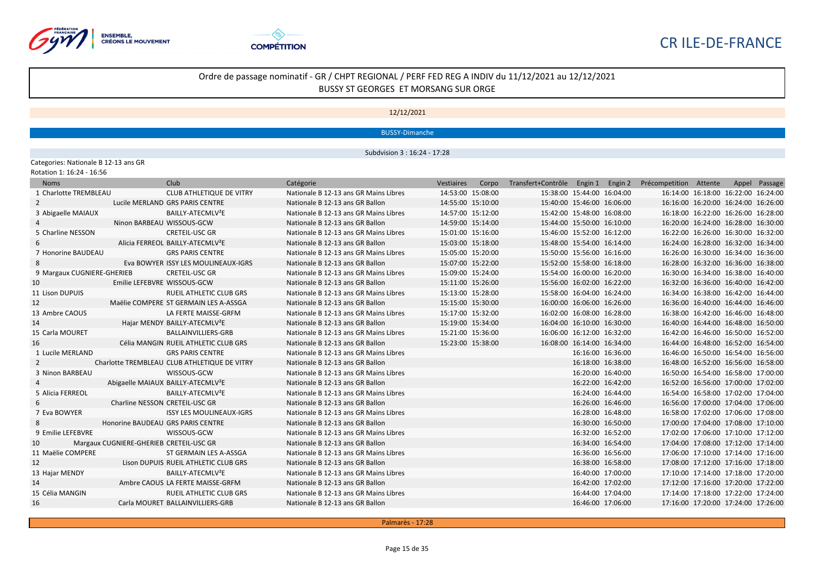



#### 12/12/2021

BUSSY-Dimanche

Subdvision 3 : 16:24 - 17:28

Categories: Nationale B 12-13 ans GR

| Rotation 1: 16:24 - 16:56 |  |  |  |  |
|---------------------------|--|--|--|--|
|---------------------------|--|--|--|--|

| <b>Noms</b>                |                                         | Club                                           | Catégorie                             | Vestiaires        | Corpo | Transfert+Contrôle Engin 1 Engin 2 Précompetition Attente |                   |  |                                     | Appel Passage |
|----------------------------|-----------------------------------------|------------------------------------------------|---------------------------------------|-------------------|-------|-----------------------------------------------------------|-------------------|--|-------------------------------------|---------------|
| 1 Charlotte TREMBLEAU      |                                         | <b>CLUB ATHLETIQUE DE VITRY</b>                | Nationale B 12-13 ans GR Mains Libres | 14:53:00 15:08:00 |       | 15:38:00 15:44:00 16:04:00                                |                   |  | 16:14:00 16:18:00 16:22:00 16:24:00 |               |
| 2                          |                                         | Lucile MERLAND GRS PARIS CENTRE                | Nationale B 12-13 ans GR Ballon       | 14:55:00 15:10:00 |       | 15:40:00 15:46:00 16:06:00                                |                   |  | 16:16:00 16:20:00 16:24:00 16:26:00 |               |
| 3 Abigaelle MAIAUX         |                                         | BAILLY-ATECMLV <sup>2</sup> E                  | Nationale B 12-13 ans GR Mains Libres | 14:57:00 15:12:00 |       | 15:42:00 15:48:00 16:08:00                                |                   |  | 16:18:00 16:22:00 16:26:00 16:28:00 |               |
|                            | Ninon BARBEAU WISSOUS-GCW               |                                                | Nationale B 12-13 ans GR Ballon       | 14:59:00 15:14:00 |       | 15:44:00 15:50:00 16:10:00                                |                   |  | 16:20:00 16:24:00 16:28:00 16:30:00 |               |
| 5 Charline NESSON          |                                         | <b>CRETEIL-USC GR</b>                          | Nationale B 12-13 ans GR Mains Libres | 15:01:00 15:16:00 |       | 15:46:00 15:52:00 16:12:00                                |                   |  | 16:22:00 16:26:00 16:30:00 16:32:00 |               |
| 6                          |                                         | Alicia FERREOL BAILLY-ATECMLV <sup>2</sup> E   | Nationale B 12-13 ans GR Ballon       | 15:03:00 15:18:00 |       | 15:48:00 15:54:00 16:14:00                                |                   |  | 16:24:00 16:28:00 16:32:00 16:34:00 |               |
| 7 Honorine BAUDEAU         |                                         | <b>GRS PARIS CENTRE</b>                        | Nationale B 12-13 ans GR Mains Libres | 15:05:00 15:20:00 |       | 15:50:00 15:56:00 16:16:00                                |                   |  | 16:26:00 16:30:00 16:34:00 16:36:00 |               |
| 8                          |                                         | Eva BOWYER ISSY LES MOULINEAUX-IGRS            | Nationale B 12-13 ans GR Ballon       | 15:07:00 15:22:00 |       | 15:52:00 15:58:00 16:18:00                                |                   |  | 16:28:00 16:32:00 16:36:00 16:38:00 |               |
| 9 Margaux CUGNIERE-GHERIEB |                                         | <b>CRETEIL-USC GR</b>                          | Nationale B 12-13 ans GR Mains Libres | 15:09:00 15:24:00 |       | 15:54:00 16:00:00 16:20:00                                |                   |  | 16:30:00 16:34:00 16:38:00 16:40:00 |               |
| 10                         | Emilie LEFEBVRE WISSOUS-GCW             |                                                | Nationale B 12-13 ans GR Ballon       | 15:11:00 15:26:00 |       | 15:56:00 16:02:00 16:22:00                                |                   |  | 16:32:00 16:36:00 16:40:00 16:42:00 |               |
| 11 Lison DUPUIS            |                                         | <b>RUEIL ATHLETIC CLUB GRS</b>                 | Nationale B 12-13 ans GR Mains Libres | 15:13:00 15:28:00 |       | 15:58:00 16:04:00 16:24:00                                |                   |  | 16:34:00 16:38:00 16:42:00 16:44:00 |               |
| 12                         |                                         | Maëlie COMPERE ST GERMAIN LES A-ASSGA          | Nationale B 12-13 ans GR Ballon       | 15:15:00 15:30:00 |       | 16:00:00 16:06:00 16:26:00                                |                   |  | 16:36:00 16:40:00 16:44:00 16:46:00 |               |
| 13 Ambre CAOUS             |                                         | LA FERTE MAISSE-GRFM                           | Nationale B 12-13 ans GR Mains Libres | 15:17:00 15:32:00 |       | 16:02:00 16:08:00 16:28:00                                |                   |  | 16:38:00 16:42:00 16:46:00 16:48:00 |               |
| 14                         |                                         | Hajar MENDY BAILLY-ATECMLV <sup>2</sup> E      | Nationale B 12-13 ans GR Ballon       | 15:19:00 15:34:00 |       | 16:04:00 16:10:00 16:30:00                                |                   |  | 16:40:00 16:44:00 16:48:00 16:50:00 |               |
| 15 Carla MOURET            |                                         | <b>BALLAINVILLIERS-GRB</b>                     | Nationale B 12-13 ans GR Mains Libres | 15:21:00 15:36:00 |       | 16:06:00 16:12:00 16:32:00                                |                   |  | 16:42:00 16:46:00 16:50:00 16:52:00 |               |
| 16                         |                                         | Célia MANGIN RUEIL ATHLETIC CLUB GRS           | Nationale B 12-13 ans GR Ballon       | 15:23:00 15:38:00 |       | 16:08:00 16:14:00 16:34:00                                |                   |  | 16:44:00 16:48:00 16:52:00 16:54:00 |               |
| 1 Lucile MERLAND           |                                         | <b>GRS PARIS CENTRE</b>                        | Nationale B 12-13 ans GR Mains Libres |                   |       |                                                           | 16:16:00 16:36:00 |  | 16:46:00 16:50:00 16:54:00 16:56:00 |               |
| 2                          |                                         | Charlotte TREMBLEAU CLUB ATHLETIQUE DE VITRY   | Nationale B 12-13 ans GR Ballon       |                   |       |                                                           | 16:18:00 16:38:00 |  | 16:48:00 16:52:00 16:56:00 16:58:00 |               |
| 3 Ninon BARBEAU            |                                         | WISSOUS-GCW                                    | Nationale B 12-13 ans GR Mains Libres |                   |       |                                                           | 16:20:00 16:40:00 |  | 16:50:00 16:54:00 16:58:00 17:00:00 |               |
| 4                          |                                         | Abigaelle MAIAUX BAILLY-ATECMLV <sup>2</sup> E | Nationale B 12-13 ans GR Ballon       |                   |       |                                                           | 16:22:00 16:42:00 |  | 16:52:00 16:56:00 17:00:00 17:02:00 |               |
| 5 Alicia FERREOL           |                                         | BAILLY-ATECMLV <sup>2</sup> E                  | Nationale B 12-13 ans GR Mains Libres |                   |       |                                                           | 16:24:00 16:44:00 |  | 16:54:00 16:58:00 17:02:00 17:04:00 |               |
| 6                          | Charline NESSON CRETEIL-USC GR          |                                                | Nationale B 12-13 ans GR Ballon       |                   |       |                                                           | 16:26:00 16:46:00 |  | 16:56:00 17:00:00 17:04:00 17:06:00 |               |
| 7 Eva BOWYER               |                                         | <b>ISSY LES MOULINEAUX-IGRS</b>                | Nationale B 12-13 ans GR Mains Libres |                   |       |                                                           | 16:28:00 16:48:00 |  | 16:58:00 17:02:00 17:06:00 17:08:00 |               |
| 8                          | Honorine BAUDEAU GRS PARIS CENTRE       |                                                | Nationale B 12-13 ans GR Ballon       |                   |       |                                                           | 16:30:00 16:50:00 |  | 17:00:00 17:04:00 17:08:00 17:10:00 |               |
| 9 Emilie LEFEBVRE          |                                         | WISSOUS-GCW                                    | Nationale B 12-13 ans GR Mains Libres |                   |       |                                                           | 16:32:00 16:52:00 |  | 17:02:00 17:06:00 17:10:00 17:12:00 |               |
| 10                         | Margaux CUGNIERE-GHERIEB CRETEIL-USC GR |                                                | Nationale B 12-13 ans GR Ballon       |                   |       |                                                           | 16:34:00 16:54:00 |  | 17:04:00 17:08:00 17:12:00 17:14:00 |               |
| 11 Maëlie COMPERE          |                                         | ST GERMAIN LES A-ASSGA                         | Nationale B 12-13 ans GR Mains Libres |                   |       |                                                           | 16:36:00 16:56:00 |  | 17:06:00 17:10:00 17:14:00 17:16:00 |               |
| 12                         |                                         | Lison DUPUIS RUEIL ATHLETIC CLUB GRS           | Nationale B 12-13 ans GR Ballon       |                   |       |                                                           | 16:38:00 16:58:00 |  | 17:08:00 17:12:00 17:16:00 17:18:00 |               |
| 13 Hajar MENDY             |                                         | BAILLY-ATECMLV <sup>2</sup> E                  | Nationale B 12-13 ans GR Mains Libres |                   |       |                                                           | 16:40:00 17:00:00 |  | 17:10:00 17:14:00 17:18:00 17:20:00 |               |
| 14                         |                                         | Ambre CAOUS LA FERTE MAISSE-GRFM               | Nationale B 12-13 ans GR Ballon       |                   |       |                                                           | 16:42:00 17:02:00 |  | 17:12:00 17:16:00 17:20:00 17:22:00 |               |
| 15 Célia MANGIN            |                                         | <b>RUEIL ATHLETIC CLUB GRS</b>                 | Nationale B 12-13 ans GR Mains Libres |                   |       |                                                           | 16:44:00 17:04:00 |  | 17:14:00 17:18:00 17:22:00 17:24:00 |               |
| 16                         |                                         | Carla MOURET BALLAINVILLIERS-GRB               | Nationale B 12-13 ans GR Ballon       |                   |       |                                                           | 16:46:00 17:06:00 |  | 17:16:00 17:20:00 17:24:00 17:26:00 |               |

Palmarès - 17:28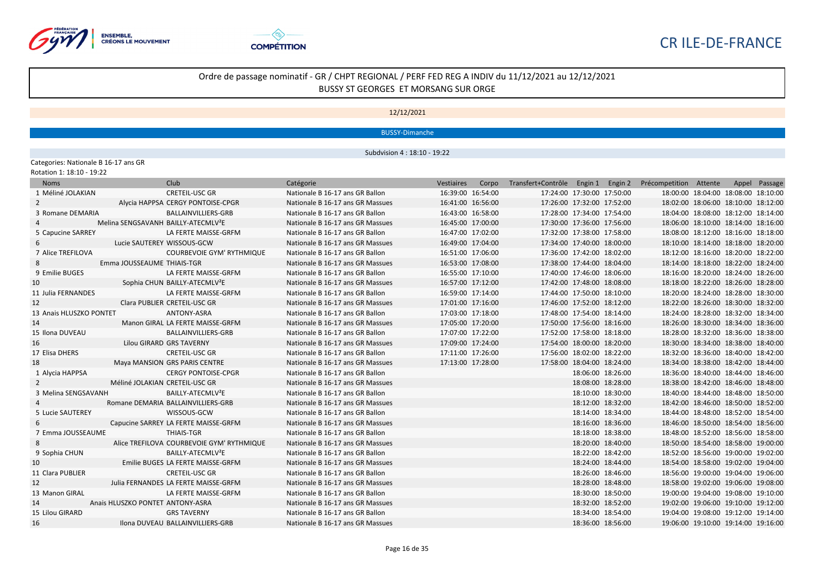



#### 12/12/2021

BUSSY-Dimanche

Subdvision 4 : 18:10 - 19:22

Categories: Nationale B 16-17 ans GR<br>Rotation 1: 18:10 - 19:22

| Rotation 1: 18:10 - 19:22 |  |
|---------------------------|--|
|---------------------------|--|

| <b>Noms</b>             | Club                                            | Catégorie                        | Vestiaires        |                   | Corpo Transfert+Contrôle Engin 1 Engin 2 Précompetition Attente |                   |  |                                     | Appel Passage |
|-------------------------|-------------------------------------------------|----------------------------------|-------------------|-------------------|-----------------------------------------------------------------|-------------------|--|-------------------------------------|---------------|
| 1 Méliné JOLAKIAN       | <b>CRETEIL-USC GR</b>                           | Nationale B 16-17 ans GR Ballon  | 16:39:00 16:54:00 |                   | 17:24:00 17:30:00 17:50:00                                      |                   |  | 18:00:00 18:04:00 18:08:00 18:10:00 |               |
| 2                       | Alycia HAPPSA CERGY PONTOISE-CPGR               | Nationale B 16-17 ans GR Massues |                   | 16:41:00 16:56:00 | 17:26:00 17:32:00 17:52:00                                      |                   |  | 18:02:00 18:06:00 18:10:00 18:12:00 |               |
| 3 Romane DEMARIA        | BALLAINVILLIERS-GRB                             | Nationale B 16-17 ans GR Ballon  |                   | 16:43:00 16:58:00 | 17:28:00 17:34:00 17:54:00                                      |                   |  | 18:04:00 18:08:00 18:12:00 18:14:00 |               |
|                         | Melina SENGSAVANH BAILLY-ATECMLV <sup>2</sup> E | Nationale B 16-17 ans GR Massues |                   | 16:45:00 17:00:00 | 17:30:00 17:36:00 17:56:00                                      |                   |  | 18:06:00 18:10:00 18:14:00 18:16:00 |               |
| 5 Capucine SARREY       | LA FERTE MAISSE-GRFM                            | Nationale B 16-17 ans GR Ballon  | 16:47:00 17:02:00 |                   | 17:32:00 17:38:00 17:58:00                                      |                   |  | 18:08:00 18:12:00 18:16:00 18:18:00 |               |
|                         | Lucie SAUTEREY WISSOUS-GCW                      | Nationale B 16-17 ans GR Massues |                   | 16:49:00 17:04:00 | 17:34:00 17:40:00 18:00:00                                      |                   |  | 18:10:00 18:14:00 18:18:00 18:20:00 |               |
| 7 Alice TREFILOVA       | <b>COURBEVOIE GYM' RYTHMIQUE</b>                | Nationale B 16-17 ans GR Ballon  |                   | 16:51:00 17:06:00 | 17:36:00 17:42:00 18:02:00                                      |                   |  | 18:12:00 18:16:00 18:20:00 18:22:00 |               |
|                         | Emma JOUSSEAUME THIAIS-TGR                      | Nationale B 16-17 ans GR Massues |                   | 16:53:00 17:08:00 | 17:38:00 17:44:00 18:04:00                                      |                   |  | 18:14:00 18:18:00 18:22:00 18:24:00 |               |
| 9 Emilie BUGES          | LA FERTE MAISSE-GRFM                            | Nationale B 16-17 ans GR Ballon  |                   | 16:55:00 17:10:00 | 17:40:00 17:46:00 18:06:00                                      |                   |  | 18:16:00 18:20:00 18:24:00 18:26:00 |               |
| 10                      | Sophia CHUN BAILLY-ATECMLV <sup>2</sup> E       | Nationale B 16-17 ans GR Massues |                   | 16:57:00 17:12:00 | 17:42:00 17:48:00 18:08:00                                      |                   |  | 18:18:00 18:22:00 18:26:00 18:28:00 |               |
| 11 Julia FERNANDES      | LA FERTE MAISSE-GRFM                            | Nationale B 16-17 ans GR Ballon  |                   | 16:59:00 17:14:00 | 17:44:00 17:50:00 18:10:00                                      |                   |  | 18:20:00 18:24:00 18:28:00 18:30:00 |               |
| 12                      | Clara PUBLIER CRETEIL-USC GR                    | Nationale B 16-17 ans GR Massues | 17:01:00 17:16:00 |                   | 17:46:00 17:52:00 18:12:00                                      |                   |  | 18:22:00 18:26:00 18:30:00 18:32:00 |               |
| 13 Anais HLUSZKO PONTET | ANTONY-ASRA                                     | Nationale B 16-17 ans GR Ballon  | 17:03:00 17:18:00 |                   | 17:48:00 17:54:00 18:14:00                                      |                   |  | 18:24:00 18:28:00 18:32:00 18:34:00 |               |
| 14                      | Manon GIRAL LA FERTE MAISSE-GRFM                | Nationale B 16-17 ans GR Massues | 17:05:00 17:20:00 |                   | 17:50:00 17:56:00 18:16:00                                      |                   |  | 18:26:00 18:30:00 18:34:00 18:36:00 |               |
| 15 Ilona DUVEAU         | BALLAINVILLIERS-GRB                             | Nationale B 16-17 ans GR Ballon  |                   | 17:07:00 17:22:00 | 17:52:00 17:58:00 18:18:00                                      |                   |  | 18:28:00 18:32:00 18:36:00 18:38:00 |               |
| 16                      | Lilou GIRARD GRS TAVERNY                        | Nationale B 16-17 ans GR Massues |                   | 17:09:00 17:24:00 | 17:54:00 18:00:00 18:20:00                                      |                   |  | 18:30:00 18:34:00 18:38:00 18:40:00 |               |
| 17 Elisa DHERS          | <b>CRETEIL-USC GR</b>                           | Nationale B 16-17 ans GR Ballon  | 17:11:00 17:26:00 |                   | 17:56:00 18:02:00 18:22:00                                      |                   |  | 18:32:00 18:36:00 18:40:00 18:42:00 |               |
| 18                      | Maya MANSION GRS PARIS CENTRE                   | Nationale B 16-17 ans GR Massues | 17:13:00 17:28:00 |                   | 17:58:00 18:04:00 18:24:00                                      |                   |  | 18:34:00 18:38:00 18:42:00 18:44:00 |               |
| 1 Alycia HAPPSA         | <b>CERGY PONTOISE-CPGR</b>                      | Nationale B 16-17 ans GR Ballon  |                   |                   |                                                                 | 18:06:00 18:26:00 |  | 18:36:00 18:40:00 18:44:00 18:46:00 |               |
| $2^{\circ}$             | Méliné JOLAKIAN CRETEIL-USC GR                  | Nationale B 16-17 ans GR Massues |                   |                   |                                                                 | 18:08:00 18:28:00 |  | 18:38:00 18:42:00 18:46:00 18:48:00 |               |
| 3 Melina SENGSAVANH     | BAILLY-ATECMLV <sup>2</sup> E                   | Nationale B 16-17 ans GR Ballon  |                   |                   |                                                                 | 18:10:00 18:30:00 |  | 18:40:00 18:44:00 18:48:00 18:50:00 |               |
|                         | Romane DEMARIA BALLAINVILLIERS-GRB              | Nationale B 16-17 ans GR Massues |                   |                   |                                                                 | 18:12:00 18:32:00 |  | 18:42:00 18:46:00 18:50:00 18:52:00 |               |
| 5 Lucie SAUTEREY        | WISSOUS-GCW                                     | Nationale B 16-17 ans GR Ballon  |                   |                   |                                                                 | 18:14:00 18:34:00 |  | 18:44:00 18:48:00 18:52:00 18:54:00 |               |
| 6                       | Capucine SARREY LA FERTE MAISSE-GRFM            | Nationale B 16-17 ans GR Massues |                   |                   |                                                                 | 18:16:00 18:36:00 |  | 18:46:00 18:50:00 18:54:00 18:56:00 |               |
| 7 Emma JOUSSEAUME       | <b>THIAIS-TGR</b>                               | Nationale B 16-17 ans GR Ballon  |                   |                   |                                                                 | 18:18:00 18:38:00 |  | 18:48:00 18:52:00 18:56:00 18:58:00 |               |
| 8                       | Alice TREFILOVA COURBEVOIE GYM' RYTHMIQUE       | Nationale B 16-17 ans GR Massues |                   |                   |                                                                 | 18:20:00 18:40:00 |  | 18:50:00 18:54:00 18:58:00 19:00:00 |               |
| 9 Sophia CHUN           | BAILLY-ATECMLV <sup>2</sup> E                   | Nationale B 16-17 ans GR Ballon  |                   |                   |                                                                 | 18:22:00 18:42:00 |  | 18:52:00 18:56:00 19:00:00 19:02:00 |               |
| 10                      | Emilie BUGES LA FERTE MAISSE-GRFM               | Nationale B 16-17 ans GR Massues |                   |                   |                                                                 | 18:24:00 18:44:00 |  | 18:54:00 18:58:00 19:02:00 19:04:00 |               |
| 11 Clara PUBLIER        | <b>CRETEIL-USC GR</b>                           | Nationale B 16-17 ans GR Ballon  |                   |                   |                                                                 | 18:26:00 18:46:00 |  | 18:56:00 19:00:00 19:04:00 19:06:00 |               |
| 12                      | Julia FERNANDES LA FERTE MAISSE-GRFM            | Nationale B 16-17 ans GR Massues |                   |                   |                                                                 | 18:28:00 18:48:00 |  | 18:58:00 19:02:00 19:06:00 19:08:00 |               |
| 13 Manon GIRAL          | LA FERTE MAISSE-GRFM                            | Nationale B 16-17 ans GR Ballon  |                   |                   |                                                                 | 18:30:00 18:50:00 |  | 19:00:00 19:04:00 19:08:00 19:10:00 |               |
| 14                      | Anais HLUSZKO PONTET ANTONY-ASRA                | Nationale B 16-17 ans GR Massues |                   |                   |                                                                 | 18:32:00 18:52:00 |  | 19:02:00 19:06:00 19:10:00 19:12:00 |               |
| 15 Lilou GIRARD         | <b>GRS TAVERNY</b>                              | Nationale B 16-17 ans GR Ballon  |                   |                   |                                                                 | 18:34:00 18:54:00 |  | 19:04:00 19:08:00 19:12:00 19:14:00 |               |
| 16                      | Ilona DUVEAU BALLAINVILLIERS-GRB                | Nationale B 16-17 ans GR Massues |                   |                   |                                                                 | 18:36:00 18:56:00 |  | 19:06:00 19:10:00 19:14:00 19:16:00 |               |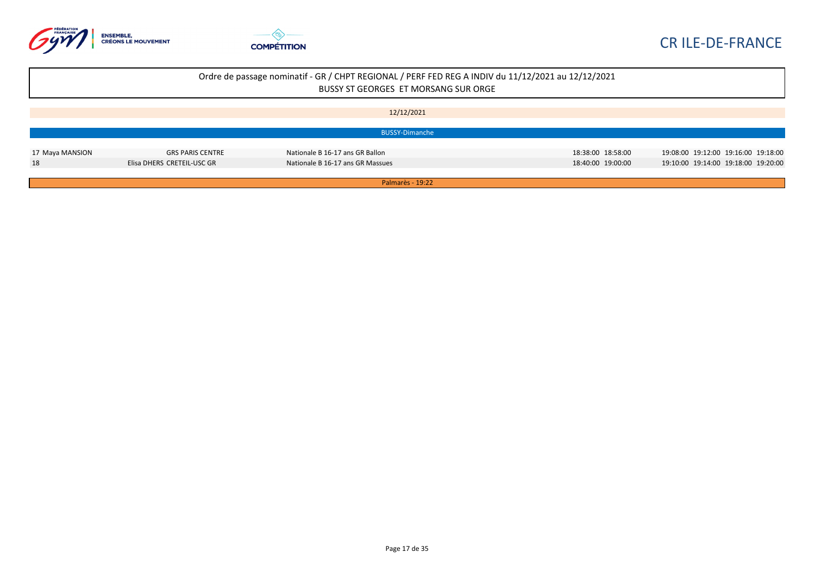



| 12/12/2021 |
|------------|
|------------|

|                 |                            | BUSSY-Dimanche                   |                   |                                     |
|-----------------|----------------------------|----------------------------------|-------------------|-------------------------------------|
| 17 Maya MANSION | GRS PARIS CENTRE           | Nationale B 16-17 ans GR Ballon  | 18:38:00 18:58:00 | 19:08:00 19:12:00 19:16:00 19:18:00 |
| 18              | Elisa DHERS_CRETEIL-USC GR | Nationale B 16-17 ans GR Massues | 18:40:00 19:00:00 | 19:10:00 19:14:00 19:18:00 19:20:00 |

Palmarès - 19:22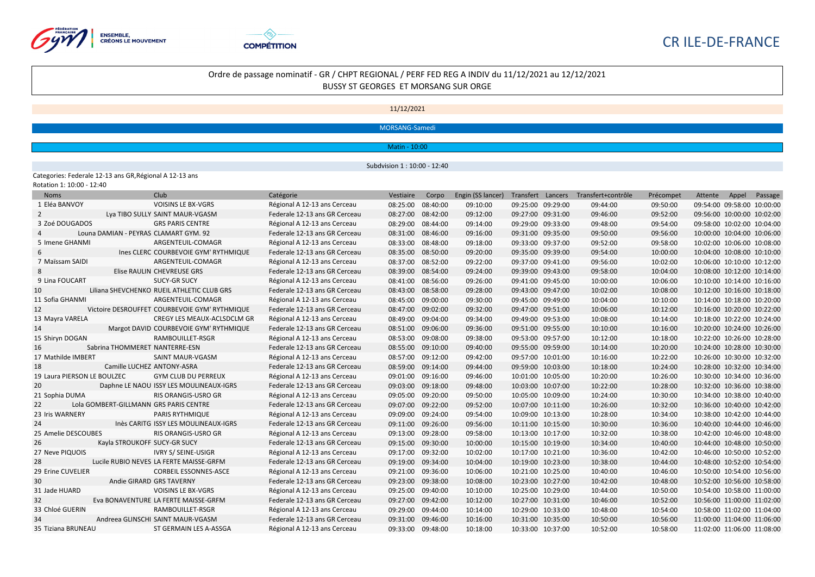



## Ordre de passage nominatif - GR / CHPT REGIONAL / PERF FED REG A INDIV du 11/12/2021 au 12/12/2021 BUSSY ST GEORGES ET MORSANG SUR ORGE

11/12/2021

MORSANG-Samedi

Matin - 10:00

Subdvision 1 : 10:00 - 12:40

#### Categories: Federale 12-13 ans GR,Régional A 12-13 ans

| Rotation 1: 10:00 - 12:40 |  |  |
|---------------------------|--|--|
|---------------------------|--|--|

| <b>Noms</b>                 | Club                                          |                             | Catégorie                     | Vestiaire | Corpo    | Engin (SS lancer) |                   | Transfert Lancers Transfert+contrôle | Précompet | Attente | Appel                      | Passage |
|-----------------------------|-----------------------------------------------|-----------------------------|-------------------------------|-----------|----------|-------------------|-------------------|--------------------------------------|-----------|---------|----------------------------|---------|
| 1 Eléa BANVOY               | <b>VOISINS LE BX-VGRS</b>                     |                             | Régional A 12-13 ans Cerceau  | 08:25:00  | 08:40:00 | 09:10:00          | 09:25:00 09:29:00 | 09:44:00                             | 09:50:00  |         | 09:54:00 09:58:00 10:00:00 |         |
| $\overline{2}$              | Lya TIBO SULLY SAINT MAUR-VGASM               |                             | Federale 12-13 ans GR Cerceau | 08:27:00  | 08:42:00 | 09:12:00          | 09:27:00 09:31:00 | 09:46:00                             | 09:52:00  |         | 09:56:00 10:00:00 10:02:00 |         |
| 3 Zoé DOUGADOS              | <b>GRS PARIS CENTRE</b>                       |                             | Régional A 12-13 ans Cerceau  | 08:29:00  | 08:44:00 | 09:14:00          | 09:29:00 09:33:00 | 09:48:00                             | 09:54:00  |         | 09:58:00 10:02:00 10:04:00 |         |
|                             | Louna DAMIAN - PEYRAS CLAMART GYM. 92         |                             | Federale 12-13 ans GR Cerceau | 08:31:00  | 08:46:00 | 09:16:00          | 09:31:00 09:35:00 | 09:50:00                             | 09:56:00  |         | 10:00:00 10:04:00 10:06:00 |         |
| 5 Imene GHANMI              | ARGENTEUIL-COMAGR                             |                             | Régional A 12-13 ans Cerceau  | 08:33:00  | 08:48:00 | 09:18:00          | 09:33:00 09:37:00 | 09:52:00                             | 09:58:00  |         | 10:02:00 10:06:00 10:08:00 |         |
| 6                           | Ines CLERC COURBEVOIE GYM' RYTHMIQUE          |                             | Federale 12-13 ans GR Cerceau | 08:35:00  | 08:50:00 | 09:20:00          | 09:35:00 09:39:00 | 09:54:00                             | 10:00:00  |         | 10:04:00 10:08:00 10:10:00 |         |
| 7 Maïssam SAIDI             | ARGENTEUIL-COMAGR                             |                             | Régional A 12-13 ans Cerceau  | 08:37:00  | 08:52:00 | 09:22:00          | 09:37:00 09:41:00 | 09:56:00                             | 10:02:00  |         | 10:06:00 10:10:00 10:12:00 |         |
| 8                           | Elise RAULIN CHEVREUSE GRS                    |                             | Federale 12-13 ans GR Cerceau | 08:39:00  | 08:54:00 | 09:24:00          | 09:39:00 09:43:00 | 09:58:00                             | 10:04:00  |         | 10:08:00 10:12:00 10:14:00 |         |
| 9 Lina FOUCART              | <b>SUCY-GR SUCY</b>                           |                             | Régional A 12-13 ans Cerceau  | 08:41:00  | 08:56:00 | 09:26:00          | 09:41:00 09:45:00 | 10:00:00                             | 10:06:00  |         | 10:10:00 10:14:00 10:16:00 |         |
| 10                          | Liliana SHEVCHENKO RUEIL ATHLETIC CLUB GRS    |                             | Federale 12-13 ans GR Cerceau | 08:43:00  | 08:58:00 | 09:28:00          | 09:43:00 09:47:00 | 10:02:00                             | 10:08:00  |         | 10:12:00 10:16:00 10:18:00 |         |
| 11 Sofia GHANMI             | ARGENTEUIL-COMAGR                             |                             | Régional A 12-13 ans Cerceau  | 08:45:00  | 09:00:00 | 09:30:00          | 09:45:00 09:49:00 | 10:04:00                             | 10:10:00  |         | 10:14:00 10:18:00 10:20:00 |         |
| 12                          | Victoire DESROUFFET COURBEVOIE GYM' RYTHMIQUE |                             | Federale 12-13 ans GR Cerceau | 08:47:00  | 09:02:00 | 09:32:00          | 09:47:00 09:51:00 | 10:06:00                             | 10:12:00  |         | 10:16:00 10:20:00 10:22:00 |         |
| 13 Mayra VARELA             |                                               | CREGY LES MEAUX-ACLSDCLM GR | Régional A 12-13 ans Cerceau  | 08:49:00  | 09:04:00 | 09:34:00          | 09:49:00 09:53:00 | 10:08:00                             | 10:14:00  |         | 10:18:00 10:22:00 10:24:00 |         |
| 14                          | Margot DAVID COURBEVOIE GYM' RYTHMIQUE        |                             | Federale 12-13 ans GR Cerceau | 08:51:00  | 09:06:00 | 09:36:00          | 09:51:00 09:55:00 | 10:10:00                             | 10:16:00  |         | 10:20:00 10:24:00 10:26:00 |         |
| 15 Shiryn DOGAN             | RAMBOUILLET-RSGR                              |                             | Régional A 12-13 ans Cerceau  | 08:53:00  | 09:08:00 | 09:38:00          | 09:53:00 09:57:00 | 10:12:00                             | 10:18:00  |         | 10:22:00 10:26:00 10:28:00 |         |
| 16                          | Sabrina THOMMERET NANTERRE-ESN                |                             | Federale 12-13 ans GR Cerceau | 08:55:00  | 09:10:00 | 09:40:00          | 09:55:00 09:59:00 | 10:14:00                             | 10:20:00  |         | 10:24:00 10:28:00 10:30:00 |         |
| 17 Mathilde IMBERT          | SAINT MAUR-VGASM                              |                             | Régional A 12-13 ans Cerceau  | 08:57:00  | 09:12:00 | 09:42:00          | 09:57:00 10:01:00 | 10:16:00                             | 10:22:00  |         | 10:26:00 10:30:00 10:32:00 |         |
| 18                          | Camille LUCHEZ ANTONY-ASRA                    |                             | Federale 12-13 ans GR Cerceau | 08:59:00  | 09:14:00 | 09:44:00          | 09:59:00 10:03:00 | 10:18:00                             | 10:24:00  |         | 10:28:00 10:32:00 10:34:00 |         |
| 19 Laura PIERSON LE BOULZEC | <b>GYM CLUB DU PERREUX</b>                    |                             | Régional A 12-13 ans Cerceau  | 09:01:00  | 09:16:00 | 09:46:00          | 10:01:00 10:05:00 | 10:20:00                             | 10:26:00  |         | 10:30:00 10:34:00 10:36:00 |         |
| 20                          | Daphne LE NAOU ISSY LES MOULINEAUX-IGRS       |                             | Federale 12-13 ans GR Cerceau | 09:03:00  | 09:18:00 | 09:48:00          | 10:03:00 10:07:00 | 10:22:00                             | 10:28:00  |         | 10:32:00 10:36:00 10:38:00 |         |
| 21 Sophia DUMA              | RIS ORANGIS-USRO GR                           |                             | Régional A 12-13 ans Cerceau  | 09:05:00  | 09:20:00 | 09:50:00          | 10:05:00 10:09:00 | 10:24:00                             | 10:30:00  |         | 10:34:00 10:38:00 10:40:00 |         |
| 22                          | Lola GOMBERT-GILLMANN GRS PARIS CENTRE        |                             | Federale 12-13 ans GR Cerceau | 09:07:00  | 09:22:00 | 09:52:00          | 10:07:00 10:11:00 | 10:26:00                             | 10:32:00  |         | 10:36:00 10:40:00 10:42:00 |         |
| 23 Iris WARNERY             | PARIS RYTHMIQUE                               |                             | Régional A 12-13 ans Cerceau  | 09:09:00  | 09:24:00 | 09:54:00          | 10:09:00 10:13:00 | 10:28:00                             | 10:34:00  |         | 10:38:00 10:42:00 10:44:00 |         |
| 24                          | Inès CARITG ISSY LES MOULINEAUX-IGRS          |                             | Federale 12-13 ans GR Cerceau | 09:11:00  | 09:26:00 | 09:56:00          | 10:11:00 10:15:00 | 10:30:00                             | 10:36:00  |         | 10:40:00 10:44:00 10:46:00 |         |
| 25 Amelie DESCOUBES         | <b>RIS ORANGIS-USRO GR</b>                    |                             | Régional A 12-13 ans Cerceau  | 09:13:00  | 09:28:00 | 09:58:00          | 10:13:00 10:17:00 | 10:32:00                             | 10:38:00  |         | 10:42:00 10:46:00 10:48:00 |         |
| 26                          | Kayla STROUKOFF SUCY-GR SUCY                  |                             | Federale 12-13 ans GR Cerceau | 09:15:00  | 09:30:00 | 10:00:00          | 10:15:00 10:19:00 | 10:34:00                             | 10:40:00  |         | 10:44:00 10:48:00 10:50:00 |         |
| 27 Neve PIQUOIS             | <b>IVRY S/ SEINE-USIGR</b>                    |                             | Régional A 12-13 ans Cerceau  | 09:17:00  | 09:32:00 | 10:02:00          | 10:17:00 10:21:00 | 10:36:00                             | 10:42:00  |         | 10:46:00 10:50:00 10:52:00 |         |
| 28                          | Lucile RUBIO NEVES LA FERTE MAISSE-GRFM       |                             | Federale 12-13 ans GR Cerceau | 09:19:00  | 09:34:00 | 10:04:00          | 10:19:00 10:23:00 | 10:38:00                             | 10:44:00  |         | 10:48:00 10:52:00 10:54:00 |         |
| 29 Erine CUVELIER           | <b>CORBEIL ESSONNES-ASCE</b>                  |                             | Régional A 12-13 ans Cerceau  | 09:21:00  | 09:36:00 | 10:06:00          | 10:21:00 10:25:00 | 10:40:00                             | 10:46:00  |         | 10:50:00 10:54:00 10:56:00 |         |
| 30                          | Andie GIRARD GRS TAVERNY                      |                             | Federale 12-13 ans GR Cerceau | 09:23:00  | 09:38:00 | 10:08:00          | 10:23:00 10:27:00 | 10:42:00                             | 10:48:00  |         | 10:52:00 10:56:00 10:58:00 |         |
| 31 Jade HUARD               | <b>VOISINS LE BX-VGRS</b>                     |                             | Régional A 12-13 ans Cerceau  | 09:25:00  | 09:40:00 | 10:10:00          | 10:25:00 10:29:00 | 10:44:00                             | 10:50:00  |         | 10:54:00 10:58:00 11:00:00 |         |
| 32                          | Eva BONAVENTURE LA FERTE MAISSE-GRFM          |                             | Federale 12-13 ans GR Cerceau | 09:27:00  | 09:42:00 | 10:12:00          | 10:27:00 10:31:00 | 10:46:00                             | 10:52:00  |         | 10:56:00 11:00:00 11:02:00 |         |
| 33 Chloé GUERIN             | RAMBOUILLET-RSGR                              |                             | Régional A 12-13 ans Cerceau  | 09:29:00  | 09:44:00 | 10:14:00          | 10:29:00 10:33:00 | 10:48:00                             | 10:54:00  |         | 10:58:00 11:02:00 11:04:00 |         |
| 34                          | Andreea GLINSCHI SAINT MAUR-VGASM             |                             | Federale 12-13 ans GR Cerceau | 09:31:00  | 09:46:00 | 10:16:00          | 10:31:00 10:35:00 | 10:50:00                             | 10:56:00  |         | 11:00:00 11:04:00 11:06:00 |         |
| 35 Tiziana BRUNEAU          | ST GERMAIN LES A-ASSGA                        |                             | Régional A 12-13 ans Cerceau  | 09:33:00  | 09:48:00 | 10:18:00          | 10:33:00 10:37:00 | 10:52:00                             | 10:58:00  |         | 11:02:00 11:06:00 11:08:00 |         |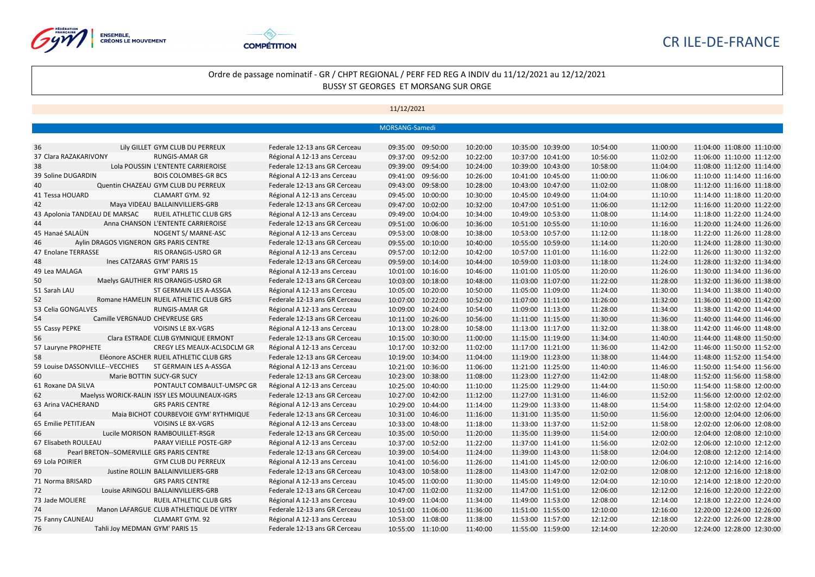



|                                 |                                               |                               | MORSANG-Samedi       |          |                   |          |          |                            |
|---------------------------------|-----------------------------------------------|-------------------------------|----------------------|----------|-------------------|----------|----------|----------------------------|
|                                 |                                               |                               |                      |          |                   |          |          |                            |
| 36                              | Lily GILLET GYM CLUB DU PERREUX               | Federale 12-13 ans GR Cerceau | 09:35:00 09:50:00    | 10:20:00 | 10:35:00 10:39:00 | 10:54:00 | 11:00:00 | 11:04:00 11:08:00 11:10:00 |
| 37 Clara RAZAKARIVONY           | <b>RUNGIS-AMAR GR</b>                         | Régional A 12-13 ans Cerceau  | 09:52:00<br>09:37:00 | 10:22:00 | 10:37:00 10:41:00 | 10:56:00 | 11:02:00 | 11:06:00 11:10:00 11:12:00 |
| 38                              | Lola POUSSIN L'ENTENTE CARRIEROISE            | Federale 12-13 ans GR Cerceau | 09:39:00 09:54:00    | 10:24:00 | 10:39:00 10:43:00 | 10:58:00 | 11:04:00 | 11:08:00 11:12:00 11:14:00 |
| 39 Soline DUGARDIN              | <b>BOIS COLOMBES-GR BCS</b>                   | Régional A 12-13 ans Cerceau  | 09:41:00 09:56:00    | 10:26:00 | 10:41:00 10:45:00 | 11:00:00 | 11:06:00 | 11:10:00 11:14:00 11:16:00 |
| 40                              | Quentin CHAZEAU GYM CLUB DU PERREUX           | Federale 12-13 ans GR Cerceau | 09:43:00 09:58:00    | 10:28:00 | 10:43:00 10:47:00 | 11:02:00 | 11:08:00 | 11:12:00 11:16:00 11:18:00 |
| 41 Tessa HOUARD                 | CLAMART GYM. 92                               | Régional A 12-13 ans Cerceau  | 09:45:00 10:00:00    | 10:30:00 | 10:45:00 10:49:00 | 11:04:00 | 11:10:00 | 11:14:00 11:18:00 11:20:00 |
| 42                              | Maya VIDEAU BALLAINVILLIERS-GRB               | Federale 12-13 ans GR Cerceau | 09:47:00 10:02:00    | 10:32:00 | 10:47:00 10:51:00 | 11:06:00 | 11:12:00 | 11:16:00 11:20:00 11:22:00 |
| 43 Apolonia TANDEAU DE MARSAC   | RUEIL ATHLETIC CLUB GRS                       | Régional A 12-13 ans Cerceau  | 09:49:00 10:04:00    | 10:34:00 | 10:49:00 10:53:00 | 11:08:00 | 11:14:00 | 11:18:00 11:22:00 11:24:00 |
| 44                              | Anna CHANSON L'ENTENTE CARRIEROISE            | Federale 12-13 ans GR Cerceau | 09:51:00 10:06:00    | 10:36:00 | 10:51:00 10:55:00 | 11:10:00 | 11:16:00 | 11:20:00 11:24:00 11:26:00 |
| 45 Hanaé SALAÜN                 | NOGENT S/ MARNE-ASC                           | Régional A 12-13 ans Cerceau  | 09:53:00<br>10:08:00 | 10:38:00 | 10:53:00 10:57:00 | 11:12:00 | 11:18:00 | 11:22:00 11:26:00 11:28:00 |
| 46                              | Aylin DRAGOS VIGNERON GRS PARIS CENTRE        | Federale 12-13 ans GR Cerceau | 09:55:00 10:10:00    | 10:40:00 | 10:55:00 10:59:00 | 11:14:00 | 11:20:00 | 11:24:00 11:28:00 11:30:00 |
| 47 Enolane TERRASSE             | RIS ORANGIS-USRO GR                           | Régional A 12-13 ans Cerceau  | 09:57:00 10:12:00    | 10:42:00 | 10:57:00 11:01:00 | 11:16:00 | 11:22:00 | 11:26:00 11:30:00 11:32:00 |
| 48                              | Ines CATZARAS GYM' PARIS 15                   | Federale 12-13 ans GR Cerceau | 09:59:00 10:14:00    | 10:44:00 | 10:59:00 11:03:00 | 11:18:00 | 11:24:00 | 11:28:00 11:32:00 11:34:00 |
| 49 Lea MALAGA                   | GYM' PARIS 15                                 | Régional A 12-13 ans Cerceau  | 10:01:00<br>10:16:00 | 10:46:00 | 11:01:00 11:05:00 | 11:20:00 | 11:26:00 | 11:30:00 11:34:00 11:36:00 |
| 50                              | Maelys GAUTHIER RIS ORANGIS-USRO GR           | Federale 12-13 ans GR Cerceau | 10:03:00 10:18:00    | 10:48:00 | 11:03:00 11:07:00 | 11:22:00 | 11:28:00 | 11:32:00 11:36:00 11:38:00 |
| 51 Sarah LAU                    | ST GERMAIN LES A-ASSGA                        | Régional A 12-13 ans Cerceau  | 10:05:00 10:20:00    | 10:50:00 | 11:05:00 11:09:00 | 11:24:00 | 11:30:00 | 11:34:00 11:38:00 11:40:00 |
| 52                              | Romane HAMELIN RUEIL ATHLETIC CLUB GRS        | Federale 12-13 ans GR Cerceau | 10:07:00 10:22:00    | 10:52:00 | 11:07:00 11:11:00 | 11:26:00 | 11:32:00 | 11:36:00 11:40:00 11:42:00 |
| 53 Celia GONGALVES              | <b>RUNGIS-AMAR GR</b>                         | Régional A 12-13 ans Cerceau  | 10:09:00<br>10:24:00 | 10:54:00 | 11:09:00 11:13:00 | 11:28:00 | 11:34:00 | 11:38:00 11:42:00 11:44:00 |
| 54                              | Camille VERGNAUD CHEVREUSE GRS                | Federale 12-13 ans GR Cerceau | 10:11:00 10:26:00    | 10:56:00 | 11:11:00 11:15:00 | 11:30:00 | 11:36:00 | 11:40:00 11:44:00 11:46:00 |
| 55 Cassy PEPKE                  | <b>VOISINS LE BX-VGRS</b>                     | Régional A 12-13 ans Cerceau  | 10:13:00 10:28:00    | 10:58:00 | 11:13:00 11:17:00 | 11:32:00 | 11:38:00 | 11:42:00 11:46:00 11:48:00 |
| 56                              | Clara ESTRADE CLUB GYMNIQUE ERMONT            | Federale 12-13 ans GR Cerceau | 10:15:00 10:30:00    | 11:00:00 | 11:15:00 11:19:00 | 11:34:00 | 11:40:00 | 11:44:00 11:48:00 11:50:00 |
| 57 Lauryne PROPHETE             | CREGY LES MEAUX-ACLSDCLM GR                   | Régional A 12-13 ans Cerceau  | 10:17:00<br>10:32:00 | 11:02:00 | 11:17:00 11:21:00 | 11:36:00 | 11:42:00 | 11:46:00 11:50:00 11:52:00 |
| 58                              | Eléonore ASCHER RUEIL ATHLETIC CLUB GRS       | Federale 12-13 ans GR Cerceau | 10:19:00 10:34:00    | 11:04:00 | 11:19:00 11:23:00 | 11:38:00 | 11:44:00 | 11:48:00 11:52:00 11:54:00 |
| 59 Louise DASSONVILLE--VECCHIES | ST GERMAIN LES A-ASSGA                        | Régional A 12-13 ans Cerceau  | 10:21:00 10:36:00    | 11:06:00 | 11:21:00 11:25:00 | 11:40:00 | 11:46:00 | 11:50:00 11:54:00 11:56:00 |
| 60                              | Marie BOTTIN SUCY-GR SUCY                     | Federale 12-13 ans GR Cerceau | 10:23:00 10:38:00    | 11:08:00 | 11:23:00 11:27:00 | 11:42:00 | 11:48:00 | 11:52:00 11:56:00 11:58:00 |
| 61 Roxane DA SILVA              | PONTAULT COMBAULT-UMSPC GR                    | Régional A 12-13 ans Cerceau  | 10:25:00<br>10:40:00 | 11:10:00 | 11:25:00 11:29:00 | 11:44:00 | 11:50:00 | 11:54:00 11:58:00 12:00:00 |
| 62                              | Maelyss WORICK-RALIN ISSY LES MOULINEAUX-IGRS | Federale 12-13 ans GR Cerceau | 10:27:00 10:42:00    | 11:12:00 | 11:27:00 11:31:00 | 11:46:00 | 11:52:00 | 11:56:00 12:00:00 12:02:00 |
| 63 Arina VACHERAND              | <b>GRS PARIS CENTRE</b>                       | Régional A 12-13 ans Cerceau  | 10:29:00 10:44:00    | 11:14:00 | 11:29:00 11:33:00 | 11:48:00 | 11:54:00 | 11:58:00 12:02:00 12:04:00 |
| 64                              | Maia BICHOT COURBEVOIE GYM' RYTHMIQUE         | Federale 12-13 ans GR Cerceau | 10:31:00 10:46:00    | 11:16:00 | 11:31:00 11:35:00 | 11:50:00 | 11:56:00 | 12:00:00 12:04:00 12:06:00 |
| 65 Emilie PETITJEAN             | <b>VOISINS LE BX-VGRS</b>                     | Régional A 12-13 ans Cerceau  | 10:33:00 10:48:00    | 11:18:00 | 11:33:00 11:37:00 | 11:52:00 | 11:58:00 | 12:02:00 12:06:00 12:08:00 |
| 66                              | Lucile MORISON RAMBOUILLET-RSGR               | Federale 12-13 ans GR Cerceau | 10:35:00<br>10:50:00 | 11:20:00 | 11:35:00 11:39:00 | 11:54:00 | 12:00:00 | 12:04:00 12:08:00 12:10:00 |
| 67 Elisabeth ROULEAU            | PARAY VIEILLE POSTE-GRP                       | Régional A 12-13 ans Cerceau  | 10:37:00 10:52:00    | 11:22:00 | 11:37:00 11:41:00 | 11:56:00 | 12:02:00 | 12:06:00 12:10:00 12:12:00 |
| 68                              | Pearl BRETON--SOMERVILLE GRS PARIS CENTRE     | Federale 12-13 ans GR Cerceau | 10:39:00 10:54:00    | 11:24:00 | 11:39:00 11:43:00 | 11:58:00 | 12:04:00 | 12:08:00 12:12:00 12:14:00 |
| 69 Lola POIRIER                 | <b>GYM CLUB DU PERREUX</b>                    | Régional A 12-13 ans Cerceau  | 10:41:00 10:56:00    | 11:26:00 | 11:41:00 11:45:00 | 12:00:00 | 12:06:00 | 12:10:00 12:14:00 12:16:00 |
| 70                              | Justine ROLLIN BALLAINVILLIERS-GRB            | Federale 12-13 ans GR Cerceau | 10:43:00<br>10:58:00 | 11:28:00 | 11:43:00 11:47:00 | 12:02:00 | 12:08:00 | 12:12:00 12:16:00 12:18:00 |
| 71 Norma BRISARD                | <b>GRS PARIS CENTRE</b>                       | Régional A 12-13 ans Cerceau  | 10:45:00 11:00:00    | 11:30:00 | 11:45:00 11:49:00 | 12:04:00 | 12:10:00 | 12:14:00 12:18:00 12:20:00 |
| 72                              | Louise ARINGOLI BALLAINVILLIERS-GRB           | Federale 12-13 ans GR Cerceau | 10:47:00 11:02:00    | 11:32:00 | 11:47:00 11:51:00 | 12:06:00 | 12:12:00 | 12:16:00 12:20:00 12:22:00 |
| 73 Jade MOLIERE                 | RUEIL ATHLETIC CLUB GRS                       | Régional A 12-13 ans Cerceau  | 10:49:00 11:04:00    | 11:34:00 | 11:49:00 11:53:00 | 12:08:00 | 12:14:00 | 12:18:00 12:22:00 12:24:00 |
| 74                              | Manon LAFARGUE CLUB ATHLETIQUE DE VITRY       | Federale 12-13 ans GR Cerceau | 10:51:00 11:06:00    | 11:36:00 | 11:51:00 11:55:00 | 12:10:00 | 12:16:00 | 12:20:00 12:24:00 12:26:00 |
| 75 Fanny CAUNEAU                | CLAMART GYM. 92                               | Régional A 12-13 ans Cerceau  | 10:53:00 11:08:00    | 11:38:00 | 11:53:00 11:57:00 | 12:12:00 | 12:18:00 | 12:22:00 12:26:00 12:28:00 |
| 76                              | Tahli Joy MEDMAN GYM' PARIS 15                | Federale 12-13 ans GR Cerceau | 10:55:00 11:10:00    | 11:40:00 | 11:55:00 11:59:00 | 12:14:00 | 12:20:00 | 12:24:00 12:28:00 12:30:00 |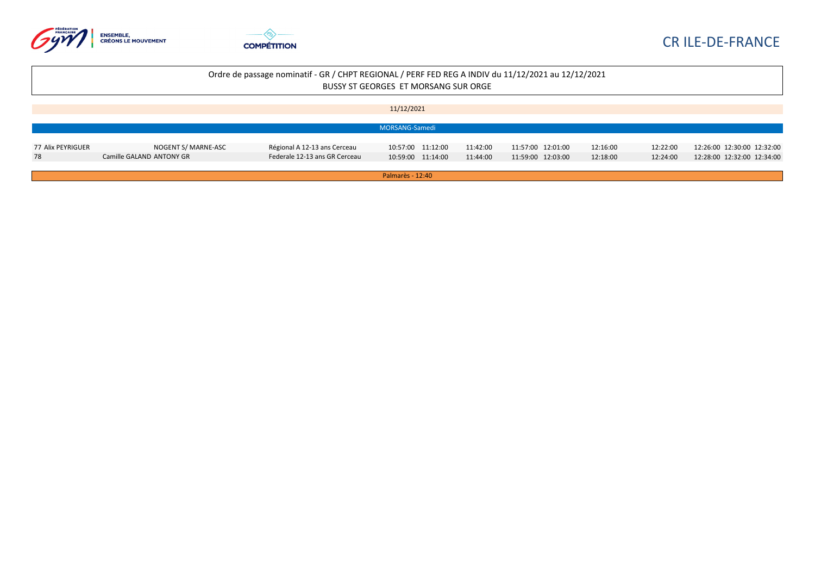



|                   |                          |                               | 11/12/2021        |          |                   |          |          |                            |
|-------------------|--------------------------|-------------------------------|-------------------|----------|-------------------|----------|----------|----------------------------|
|                   |                          |                               |                   |          |                   |          |          |                            |
|                   |                          |                               | MORSANG-Samedi    |          |                   |          |          |                            |
|                   |                          |                               |                   |          |                   |          |          |                            |
| 77 Alix PEYRIGUER | NOGENT S/ MARNE-ASC      | Régional A 12-13 ans Cerceau  | 10:57:00 11:12:00 | 11:42:00 | 11:57:00 12:01:00 | 12:16:00 | 12:22:00 | 12:26:00 12:30:00 12:32:00 |
| 78                | Camille GALAND ANTONY GR | Federale 12-13 ans GR Cerceau | 10:59:00 11:14:00 | 11:44:00 | 11:59:00 12:03:00 | 12:18:00 | 12:24:00 | 12:28:00 12:32:00 12:34:00 |
|                   |                          |                               |                   |          |                   |          |          |                            |
|                   |                          |                               | Palmarès - 12:40  |          |                   |          |          |                            |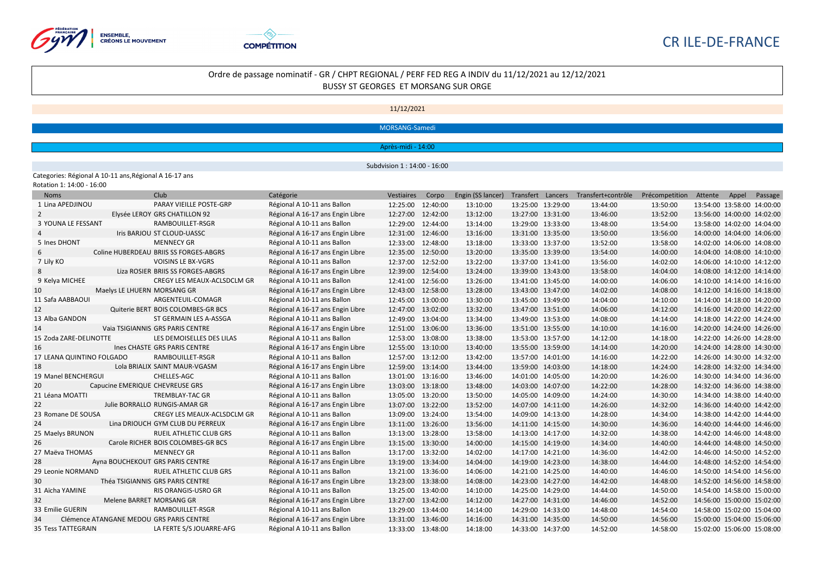



## Ordre de passage nominatif - GR / CHPT REGIONAL / PERF FED REG A INDIV du 11/12/2021 au 12/12/2021 BUSSY ST GEORGES ET MORSANG SUR ORGE

11/12/2021

MORSANG-Samedi

Après-midi - 14:00

Subdvision 1 : 14:00 - 16:00

Categories: Régional A 10-11 ans,Régional A 16-17 ans

| <b>Noms</b>               |                                 | Club                                     | Catégorie                        | Vestiaires        | Corpo    | Engin (SS lancer) |                   | Transfert Lancers Transfert+contrôle | Précompetition | Attente                    | Appel | Passage                    |
|---------------------------|---------------------------------|------------------------------------------|----------------------------------|-------------------|----------|-------------------|-------------------|--------------------------------------|----------------|----------------------------|-------|----------------------------|
| 1 Lina APEDJINOU          |                                 | PARAY VIEILLE POSTE-GRP                  | Régional A 10-11 ans Ballon      | 12:25:00 12:40:00 |          | 13:10:00          | 13:25:00 13:29:00 | 13:44:00                             | 13:50:00       | 13:54:00 13:58:00 14:00:00 |       |                            |
| $\overline{2}$            |                                 | Elysée LEROY GRS CHATILLON 92            | Régional A 16-17 ans Engin Libre | 12:27:00 12:42:00 |          | 13:12:00          | 13:27:00 13:31:00 | 13:46:00                             | 13:52:00       | 13:56:00 14:00:00 14:02:00 |       |                            |
| 3 YOUNA LE FESSANT        |                                 | RAMBOUILLET-RSGR                         | Régional A 10-11 ans Ballon      | 12:29:00          | 12:44:00 | 13:14:00          | 13:29:00 13:33:00 | 13:48:00                             | 13:54:00       | 13:58:00 14:02:00 14:04:00 |       |                            |
|                           |                                 | Iris BARJOU ST CLOUD-UASSC               | Régional A 16-17 ans Engin Libre | 12:31:00 12:46:00 |          | 13:16:00          | 13:31:00 13:35:00 | 13:50:00                             | 13:56:00       | 14:00:00 14:04:00 14:06:00 |       |                            |
| 5 Ines DHONT              |                                 | <b>MENNECY GR</b>                        | Régional A 10-11 ans Ballon      | 12:33:00 12:48:00 |          | 13:18:00          | 13:33:00 13:37:00 | 13:52:00                             | 13:58:00       | 14:02:00 14:06:00 14:08:00 |       |                            |
| 6                         |                                 | Coline HUBERDEAU BRIIS SS FORGES-ABGRS   | Régional A 16-17 ans Engin Libre | 12:35:00 12:50:00 |          | 13:20:00          | 13:35:00 13:39:00 | 13:54:00                             | 14:00:00       | 14:04:00 14:08:00 14:10:00 |       |                            |
| 7 Lily KO                 |                                 | <b>VOISINS LE BX-VGRS</b>                | Régional A 10-11 ans Ballon      | 12:37:00 12:52:00 |          | 13:22:00          | 13:37:00 13:41:00 | 13:56:00                             | 14:02:00       | 14:06:00 14:10:00 14:12:00 |       |                            |
|                           |                                 | Liza ROSIER BRIIS SS FORGES-ABGRS        | Régional A 16-17 ans Engin Libre | 12:39:00          | 12:54:00 | 13:24:00          | 13:39:00 13:43:00 | 13:58:00                             | 14:04:00       | 14:08:00 14:12:00 14:14:00 |       |                            |
| 9 Kelya MICHEE            |                                 | CREGY LES MEAUX-ACLSDCLM GR              | Régional A 10-11 ans Ballon      | 12:41:00 12:56:00 |          | 13:26:00          | 13:41:00 13:45:00 | 14:00:00                             | 14:06:00       | 14:10:00 14:14:00 14:16:00 |       |                            |
| 10                        | Maelys LE LHUERN MORSANG GR     |                                          | Régional A 16-17 ans Engin Libre | 12:43:00          | 12:58:00 | 13:28:00          | 13:43:00 13:47:00 | 14:02:00                             | 14:08:00       | 14:12:00 14:16:00 14:18:00 |       |                            |
| 11 Safa AABBAOUI          |                                 | ARGENTEUIL-COMAGR                        | Régional A 10-11 ans Ballon      | 12:45:00 13:00:00 |          | 13:30:00          | 13:45:00 13:49:00 | 14:04:00                             | 14:10:00       | 14:14:00 14:18:00 14:20:00 |       |                            |
| 12                        |                                 | Quiterie BERT BOIS COLOMBES-GR BCS       | Régional A 16-17 ans Engin Libre | 12:47:00          | 13:02:00 | 13:32:00          | 13:47:00 13:51:00 | 14:06:00                             | 14:12:00       | 14:16:00 14:20:00 14:22:00 |       |                            |
| 13 Alba GANDON            |                                 | ST GERMAIN LES A-ASSGA                   | Régional A 10-11 ans Ballon      | 12:49:00          | 13:04:00 | 13:34:00          | 13:49:00 13:53:00 | 14:08:00                             | 14:14:00       | 14:18:00 14:22:00 14:24:00 |       |                            |
| 14                        |                                 | Vaia TSIGIANNIS GRS PARIS CENTRE         | Régional A 16-17 ans Engin Libre | 12:51:00          | 13:06:00 | 13:36:00          | 13:51:00 13:55:00 | 14:10:00                             | 14:16:00       | 14:20:00 14:24:00 14:26:00 |       |                            |
| 15 Zoda ZARE-DELINOTTE    |                                 | LES DEMOISELLES DES LILAS                | Régional A 10-11 ans Ballon      | 12:53:00          | 13:08:00 | 13:38:00          | 13:53:00 13:57:00 | 14:12:00                             | 14:18:00       | 14:22:00 14:26:00 14:28:00 |       |                            |
| 16                        |                                 | Ines CHASTE GRS PARIS CENTRE             | Régional A 16-17 ans Engin Libre | 12:55:00          | 13:10:00 | 13:40:00          | 13:55:00 13:59:00 | 14:14:00                             | 14:20:00       | 14:24:00 14:28:00 14:30:00 |       |                            |
| 17 LEANA QUINTINO FOLGADO |                                 | RAMBOUILLET-RSGR                         | Régional A 10-11 ans Ballon      | 12:57:00 13:12:00 |          | 13:42:00          | 13:57:00 14:01:00 | 14:16:00                             | 14:22:00       | 14:26:00 14:30:00 14:32:00 |       |                            |
| 18                        |                                 | Lola BRIALIX SAINT MAUR-VGASM            | Régional A 16-17 ans Engin Libre | 12:59:00 13:14:00 |          | 13:44:00          | 13:59:00 14:03:00 | 14:18:00                             | 14:24:00       |                            |       | 14:28:00 14:32:00 14:34:00 |
| 19 Manel BENCHERGUI       |                                 | CHELLES-AGC                              | Régional A 10-11 ans Ballon      | 13:01:00 13:16:00 |          | 13:46:00          | 14:01:00 14:05:00 | 14:20:00                             | 14:26:00       | 14:30:00 14:34:00 14:36:00 |       |                            |
| 20                        | Capucine EMERIQUE CHEVREUSE GRS |                                          | Régional A 16-17 ans Engin Libre | 13:03:00          | 13:18:00 | 13:48:00          | 14:03:00 14:07:00 | 14:22:00                             | 14:28:00       | 14:32:00 14:36:00 14:38:00 |       |                            |
| 21 Léana MOATTI           |                                 | <b>TREMBLAY-TAC GR</b>                   | Régional A 10-11 ans Ballon      | 13:05:00          | 13:20:00 | 13:50:00          | 14:05:00 14:09:00 | 14:24:00                             | 14:30:00       | 14:34:00 14:38:00 14:40:00 |       |                            |
| 22                        |                                 | Julie BORRALLO RUNGIS-AMAR GR            | Régional A 16-17 ans Engin Libre | 13:07:00          | 13:22:00 | 13:52:00          | 14:07:00 14:11:00 | 14:26:00                             | 14:32:00       | 14:36:00 14:40:00 14:42:00 |       |                            |
| 23 Romane DE SOUSA        |                                 | CREGY LES MEAUX-ACLSDCLM GR              | Régional A 10-11 ans Ballon      | 13:09:00          | 13:24:00 | 13:54:00          | 14:09:00 14:13:00 | 14:28:00                             | 14:34:00       | 14:38:00 14:42:00 14:44:00 |       |                            |
| 24                        |                                 | Lina DRIOUCH GYM CLUB DU PERREUX         | Régional A 16-17 ans Engin Libre | 13:11:00          | 13:26:00 | 13:56:00          | 14:11:00 14:15:00 | 14:30:00                             | 14:36:00       | 14:40:00 14:44:00 14:46:00 |       |                            |
| 25 Maelys BRUNON          |                                 | <b>RUEIL ATHLETIC CLUB GRS</b>           | Régional A 10-11 ans Ballon      | 13:13:00 13:28:00 |          | 13:58:00          | 14:13:00 14:17:00 | 14:32:00                             | 14:38:00       | 14:42:00 14:46:00 14:48:00 |       |                            |
| 26                        |                                 | Carole RICHER BOIS COLOMBES-GR BCS       | Régional A 16-17 ans Engin Libre | 13:15:00          | 13:30:00 | 14:00:00          | 14:15:00 14:19:00 | 14:34:00                             | 14:40:00       | 14:44:00 14:48:00 14:50:00 |       |                            |
| 27 Maëva THOMAS           |                                 | <b>MENNECY GR</b>                        | Régional A 10-11 ans Ballon      | 13:17:00 13:32:00 |          | 14:02:00          | 14:17:00 14:21:00 | 14:36:00                             | 14:42:00       |                            |       | 14:46:00 14:50:00 14:52:00 |
| 28                        |                                 | Ayna BOUCHEKOUT GRS PARIS CENTRE         | Régional A 16-17 ans Engin Libre | 13:19:00          | 13:34:00 | 14:04:00          | 14:19:00 14:23:00 | 14:38:00                             | 14:44:00       | 14:48:00 14:52:00 14:54:00 |       |                            |
| 29 Leonie NORMAND         |                                 | <b>RUEIL ATHLETIC CLUB GRS</b>           | Régional A 10-11 ans Ballon      | 13:21:00 13:36:00 |          | 14:06:00          | 14:21:00 14:25:00 | 14:40:00                             | 14:46:00       | 14:50:00 14:54:00 14:56:00 |       |                            |
| 30                        |                                 | Théa TSIGIANNIS GRS PARIS CENTRE         | Régional A 16-17 ans Engin Libre | 13:23:00 13:38:00 |          | 14:08:00          | 14:23:00 14:27:00 | 14:42:00                             | 14:48:00       | 14:52:00 14:56:00 14:58:00 |       |                            |
| 31 Aïcha YAMINE           |                                 | <b>RIS ORANGIS-USRO GR</b>               | Régional A 10-11 ans Ballon      | 13:25:00 13:40:00 |          | 14:10:00          | 14:25:00 14:29:00 | 14:44:00                             | 14:50:00       | 14:54:00 14:58:00 15:00:00 |       |                            |
| 32                        | Melene BARRET MORSANG GR        |                                          | Régional A 16-17 ans Engin Libre | 13:27:00          | 13:42:00 | 14:12:00          | 14:27:00 14:31:00 | 14:46:00                             | 14:52:00       | 14:56:00 15:00:00 15:02:00 |       |                            |
| 33 Emilie GUERIN          |                                 | RAMBOUILLET-RSGR                         | Régional A 10-11 ans Ballon      | 13:29:00          | 13:44:00 | 14:14:00          | 14:29:00 14:33:00 | 14:48:00                             | 14:54:00       | 14:58:00 15:02:00 15:04:00 |       |                            |
| 34                        |                                 | Clémence ATANGANE MEDOU GRS PARIS CENTRE | Régional A 16-17 ans Engin Libre | 13:31:00          | 13:46:00 | 14:16:00          | 14:31:00 14:35:00 | 14:50:00                             | 14:56:00       |                            |       | 15:00:00 15:04:00 15:06:00 |
| 35 Tess TATTEGRAIN        |                                 | LA FERTE S/S JOUARRE-AFG                 | Régional A 10-11 ans Ballon      | 13:33:00 13:48:00 |          | 14:18:00          | 14:33:00 14:37:00 | 14:52:00                             | 14:58:00       | 15:02:00 15:06:00 15:08:00 |       |                            |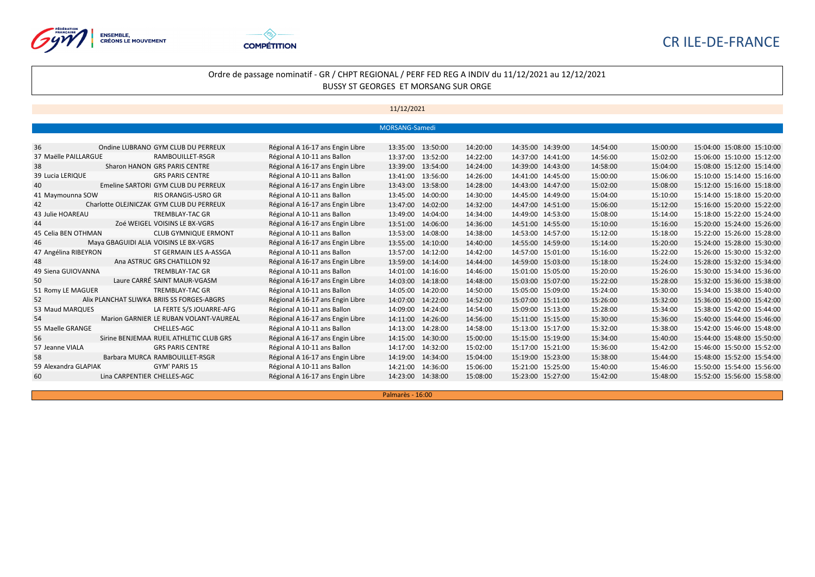



### 11/12/2021

|                      |                                            |                                  | MORSANG-Samedi    |                   |          |                   |          |          |                            |
|----------------------|--------------------------------------------|----------------------------------|-------------------|-------------------|----------|-------------------|----------|----------|----------------------------|
|                      |                                            |                                  |                   |                   |          |                   |          |          |                            |
| 36                   | Ondine LUBRANO GYM CLUB DU PERREUX         | Régional A 16-17 ans Engin Libre | 13:35:00 13:50:00 |                   | 14:20:00 | 14:35:00 14:39:00 | 14:54:00 | 15:00:00 | 15:04:00 15:08:00 15:10:00 |
| 37 Maëlle PAILLARGUE | RAMBOUILLET-RSGR                           | Régional A 10-11 ans Ballon      | 13:37:00 13:52:00 |                   | 14:22:00 | 14:37:00 14:41:00 | 14:56:00 | 15:02:00 | 15:06:00 15:10:00 15:12:00 |
| 38                   | Sharon HANON GRS PARIS CENTRE              | Régional A 16-17 ans Engin Libre | 13:39:00 13:54:00 |                   | 14:24:00 | 14:39:00 14:43:00 | 14:58:00 | 15:04:00 | 15:08:00 15:12:00 15:14:00 |
| 39 Lucia LERIQUE     | <b>GRS PARIS CENTRE</b>                    | Régional A 10-11 ans Ballon      | 13:41:00 13:56:00 |                   | 14:26:00 | 14:41:00 14:45:00 | 15:00:00 | 15:06:00 | 15:10:00 15:14:00 15:16:00 |
| 40                   | Emeline SARTORI GYM CLUB DU PERREUX        | Régional A 16-17 ans Engin Libre | 13:43:00 13:58:00 |                   | 14:28:00 | 14:43:00 14:47:00 | 15:02:00 | 15:08:00 | 15:12:00 15:16:00 15:18:00 |
| 41 Maymounna SOW     | RIS ORANGIS-USRO GR                        | Régional A 10-11 ans Ballon      | 13:45:00 14:00:00 |                   | 14:30:00 | 14:45:00 14:49:00 | 15:04:00 | 15:10:00 | 15:14:00 15:18:00 15:20:00 |
| 42                   | Charlotte OLEJNICZAK GYM CLUB DU PERREUX   | Régional A 16-17 ans Engin Libre | 13:47:00          | 14:02:00          | 14:32:00 | 14:47:00 14:51:00 | 15:06:00 | 15:12:00 | 15:16:00 15:20:00 15:22:00 |
| 43 Julie HOAREAU     | TREMBLAY-TAC GR                            | Régional A 10-11 ans Ballon      | 13:49:00 14:04:00 |                   | 14:34:00 | 14:49:00 14:53:00 | 15:08:00 | 15:14:00 | 15:18:00 15:22:00 15:24:00 |
| 44                   | Zoé WEIGEL VOISINS LE BX-VGRS              | Régional A 16-17 ans Engin Libre | 13:51:00 14:06:00 |                   | 14:36:00 | 14:51:00 14:55:00 | 15:10:00 | 15:16:00 | 15:20:00 15:24:00 15:26:00 |
| 45 Celia BEN OTHMAN  | <b>CLUB GYMNIQUE ERMONT</b>                | Régional A 10-11 ans Ballon      | 13:53:00 14:08:00 |                   | 14:38:00 | 14:53:00 14:57:00 | 15:12:00 | 15:18:00 | 15:22:00 15:26:00 15:28:00 |
| 46                   | Maya GBAGUIDI ALIA VOISINS LE BX-VGRS      | Régional A 16-17 ans Engin Libre | 13:55:00          | 14:10:00          | 14:40:00 | 14:55:00 14:59:00 | 15:14:00 | 15:20:00 | 15:24:00 15:28:00 15:30:00 |
| 47 Angélina RIBEYRON | ST GERMAIN LES A-ASSGA                     | Régional A 10-11 ans Ballon      | 13:57:00 14:12:00 |                   | 14:42:00 | 14:57:00 15:01:00 | 15:16:00 | 15:22:00 | 15:26:00 15:30:00 15:32:00 |
| 48                   | Ana ASTRUC GRS CHATILLON 92                | Régional A 16-17 ans Engin Libre | 13:59:00 14:14:00 |                   | 14:44:00 | 14:59:00 15:03:00 | 15:18:00 | 15:24:00 | 15:28:00 15:32:00 15:34:00 |
| 49 Siena GUIOVANNA   | TREMBLAY-TAC GR                            | Régional A 10-11 ans Ballon      | 14:01:00 14:16:00 |                   | 14:46:00 | 15:01:00 15:05:00 | 15:20:00 | 15:26:00 | 15:30:00 15:34:00 15:36:00 |
| 50                   | Laure CARRÉ SAINT MAUR-VGASM               | Régional A 16-17 ans Engin Libre | 14:03:00          | 14:18:00          | 14:48:00 | 15:03:00 15:07:00 | 15:22:00 | 15:28:00 | 15:32:00 15:36:00 15:38:00 |
| 51 Romy LE MAGUER    | <b>TREMBLAY-TAC GR</b>                     | Régional A 10-11 ans Ballon      | 14:05:00 14:20:00 |                   | 14:50:00 | 15:05:00 15:09:00 | 15:24:00 | 15:30:00 | 15:34:00 15:38:00 15:40:00 |
| 52                   | Alix PLANCHAT SLIWKA BRIIS SS FORGES-ABGRS | Régional A 16-17 ans Engin Libre | 14:07:00 14:22:00 |                   | 14:52:00 | 15:07:00 15:11:00 | 15:26:00 | 15:32:00 | 15:36:00 15:40:00 15:42:00 |
| 53 Maud MARQUES      | LA FERTE S/S JOUARRE-AFG                   | Régional A 10-11 ans Ballon      | 14:09:00          | 14:24:00          | 14:54:00 | 15:09:00 15:13:00 | 15:28:00 | 15:34:00 | 15:38:00 15:42:00 15:44:00 |
| 54                   | Marion GARNIER LE RUBAN VOLANT-VAUREAL     | Régional A 16-17 ans Engin Libre | 14:11:00          | 14:26:00          | 14:56:00 | 15:11:00 15:15:00 | 15:30:00 | 15:36:00 | 15:40:00 15:44:00 15:46:00 |
| 55 Maelle GRANGE     | CHELLES-AGC                                | Régional A 10-11 ans Ballon      | 14:13:00          | 14:28:00          | 14:58:00 | 15:13:00 15:17:00 | 15:32:00 | 15:38:00 | 15:42:00 15:46:00 15:48:00 |
| 56                   | Sirine BENJEMAA RUEIL ATHLETIC CLUB GRS    | Régional A 16-17 ans Engin Libre | 14:15:00 14:30:00 |                   | 15:00:00 | 15:15:00 15:19:00 | 15:34:00 | 15:40:00 | 15:44:00 15:48:00 15:50:00 |
| 57 Jeanne VIALA      | <b>GRS PARIS CENTRE</b>                    | Régional A 10-11 ans Ballon      | 14:17:00          | 14:32:00          | 15:02:00 | 15:17:00 15:21:00 | 15:36:00 | 15:42:00 | 15:46:00 15:50:00 15:52:00 |
| 58                   | Barbara MURCA RAMBOUILLET-RSGR             | Régional A 16-17 ans Engin Libre | 14:19:00          | 14:34:00          | 15:04:00 | 15:19:00 15:23:00 | 15:38:00 | 15:44:00 | 15:48:00 15:52:00 15:54:00 |
| 59 Alexandra GLAPIAK | GYM' PARIS 15                              | Régional A 10-11 ans Ballon      | 14:21:00          | 14:36:00          | 15:06:00 | 15:21:00 15:25:00 | 15:40:00 | 15:46:00 | 15:50:00 15:54:00 15:56:00 |
| 60                   | Lina CARPENTIER CHELLES-AGC                | Régional A 16-17 ans Engin Libre |                   | 14:23:00 14:38:00 | 15:08:00 | 15:23:00 15:27:00 | 15:42:00 | 15:48:00 | 15:52:00 15:56:00 15:58:00 |

Palmarès - 16:00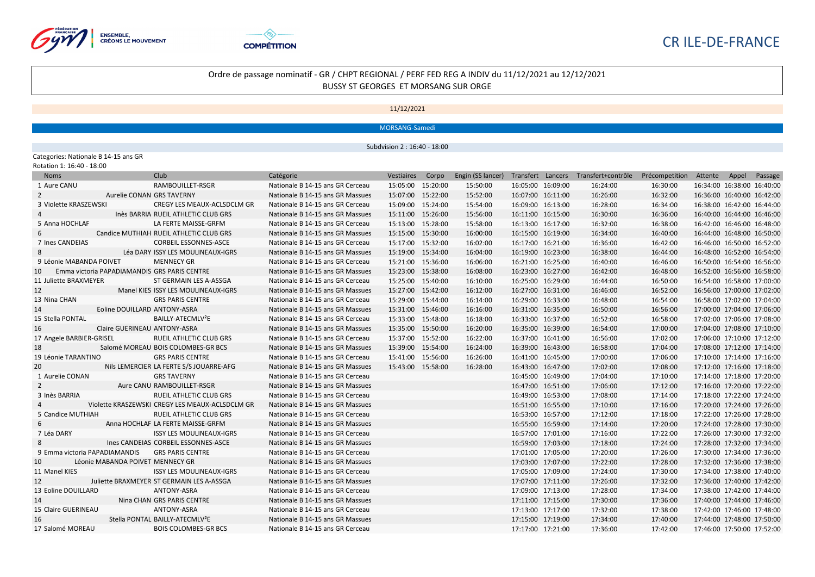



## Ordre de passage nominatif - GR / CHPT REGIONAL / PERF FED REG A INDIV du 11/12/2021 au 12/12/2021 BUSSY ST GEORGES ET MORSANG SUR ORGE

11/12/2021

MORSANG-Samedi

Subdvision 2 : 16:40 - 18:00

Categories: Nationale B 14-15 ans GR Rotation 1: 16:40 - 18:00

| 10.00 - 10. <del>1</del> 0 - 10.00 |                                                 |                                  |                   |                   |                   |                                      |                                      |                            |  |
|------------------------------------|-------------------------------------------------|----------------------------------|-------------------|-------------------|-------------------|--------------------------------------|--------------------------------------|----------------------------|--|
| <b>Noms</b>                        | Club                                            | Catégorie                        | Vestiaires Corpo  | Engin (SS lancer) |                   | Transfert Lancers Transfert+contrôle | Précompetition Attente Appel Passage |                            |  |
| 1 Aure CANU                        | RAMBOUILLET-RSGR                                | Nationale B 14-15 ans GR Cerceau | 15:05:00 15:20:00 | 15:50:00          | 16:05:00 16:09:00 | 16:24:00                             | 16:30:00                             | 16:34:00 16:38:00 16:40:00 |  |
| $\overline{2}$                     | Aurelie CONAN GRS TAVERNY                       | Nationale B 14-15 ans GR Massues | 15:07:00 15:22:00 | 15:52:00          | 16:07:00 16:11:00 | 16:26:00                             | 16:32:00                             | 16:36:00 16:40:00 16:42:00 |  |
| 3 Violette KRASZEWSKI              | CREGY LES MEAUX-ACLSDCLM GR                     | Nationale B 14-15 ans GR Cerceau | 15:09:00 15:24:00 | 15:54:00          | 16:09:00 16:13:00 | 16:28:00                             | 16:34:00                             | 16:38:00 16:42:00 16:44:00 |  |
| 4                                  | Inès BARRIA RUEIL ATHLETIC CLUB GRS             | Nationale B 14-15 ans GR Massues | 15:11:00 15:26:00 | 15:56:00          | 16:11:00 16:15:00 | 16:30:00                             | 16:36:00                             | 16:40:00 16:44:00 16:46:00 |  |
| 5 Anna HOCHLAF                     | LA FERTE MAISSE-GRFM                            | Nationale B 14-15 ans GR Cerceau | 15:13:00 15:28:00 | 15:58:00          | 16:13:00 16:17:00 | 16:32:00                             | 16:38:00                             | 16:42:00 16:46:00 16:48:00 |  |
| 6                                  | Candice MUTHIAH RUEIL ATHLETIC CLUB GRS         | Nationale B 14-15 ans GR Massues | 15:15:00 15:30:00 | 16:00:00          | 16:15:00 16:19:00 | 16:34:00                             | 16:40:00                             | 16:44:00 16:48:00 16:50:00 |  |
| 7 Ines CANDEIAS                    | <b>CORBEIL ESSONNES-ASCE</b>                    | Nationale B 14-15 ans GR Cerceau | 15:17:00 15:32:00 | 16:02:00          | 16:17:00 16:21:00 | 16:36:00                             | 16:42:00                             | 16:46:00 16:50:00 16:52:00 |  |
| 8                                  | Léa DARY ISSY LES MOULINEAUX-IGRS               | Nationale B 14-15 ans GR Massues | 15:19:00 15:34:00 | 16:04:00          | 16:19:00 16:23:00 | 16:38:00                             | 16:44:00                             | 16:48:00 16:52:00 16:54:00 |  |
| 9 Léonie MABANDA POIVET            | <b>MENNECY GR</b>                               | Nationale B 14-15 ans GR Cerceau | 15:21:00 15:36:00 | 16:06:00          | 16:21:00 16:25:00 | 16:40:00                             | 16:46:00                             | 16:50:00 16:54:00 16:56:00 |  |
| 10                                 | Emma victoria PAPADIAMANDIS GRS PARIS CENTRE    | Nationale B 14-15 ans GR Massues | 15:23:00 15:38:00 | 16:08:00          | 16:23:00 16:27:00 | 16:42:00                             | 16:48:00                             | 16:52:00 16:56:00 16:58:00 |  |
| 11 Juliette BRAXMEYER              | ST GERMAIN LES A-ASSGA                          | Nationale B 14-15 ans GR Cerceau | 15:25:00 15:40:00 | 16:10:00          | 16:25:00 16:29:00 | 16:44:00                             | 16:50:00                             | 16:54:00 16:58:00 17:00:00 |  |
| 12                                 | Manel KIES ISSY LES MOULINEAUX-IGRS             | Nationale B 14-15 ans GR Massues | 15:27:00 15:42:00 | 16:12:00          | 16:27:00 16:31:00 | 16:46:00                             | 16:52:00                             | 16:56:00 17:00:00 17:02:00 |  |
| 13 Nina CHAN                       | <b>GRS PARIS CENTRE</b>                         | Nationale B 14-15 ans GR Cerceau | 15:29:00 15:44:00 | 16:14:00          | 16:29:00 16:33:00 | 16:48:00                             | 16:54:00                             | 16:58:00 17:02:00 17:04:00 |  |
| 14                                 | Eoline DOUILLARD ANTONY-ASRA                    | Nationale B 14-15 ans GR Massues | 15:31:00 15:46:00 | 16:16:00          | 16:31:00 16:35:00 | 16:50:00                             | 16:56:00                             | 17:00:00 17:04:00 17:06:00 |  |
| 15 Stella PONTAL                   | BAILLY-ATECMLV <sup>2</sup> E                   | Nationale B 14-15 ans GR Cerceau | 15:33:00 15:48:00 | 16:18:00          | 16:33:00 16:37:00 | 16:52:00                             | 16:58:00                             | 17:02:00 17:06:00 17:08:00 |  |
| 16                                 | Claire GUERINEAU ANTONY-ASRA                    | Nationale B 14-15 ans GR Massues | 15:35:00 15:50:00 | 16:20:00          | 16:35:00 16:39:00 | 16:54:00                             | 17:00:00                             | 17:04:00 17:08:00 17:10:00 |  |
| 17 Angele BARBIER-GRISEL           | RUEIL ATHLETIC CLUB GRS                         | Nationale B 14-15 ans GR Cerceau | 15:37:00 15:52:00 | 16:22:00          | 16:37:00 16:41:00 | 16:56:00                             | 17:02:00                             | 17:06:00 17:10:00 17:12:00 |  |
| 18                                 | Salomé MOREAU BOIS COLOMBES-GR BCS              | Nationale B 14-15 ans GR Massues | 15:39:00 15:54:00 | 16:24:00          | 16:39:00 16:43:00 | 16:58:00                             | 17:04:00                             | 17:08:00 17:12:00 17:14:00 |  |
| 19 Léonie TARANTINO                | <b>GRS PARIS CENTRE</b>                         | Nationale B 14-15 ans GR Cerceau | 15:41:00 15:56:00 | 16:26:00          | 16:41:00 16:45:00 | 17:00:00                             | 17:06:00                             | 17:10:00 17:14:00 17:16:00 |  |
| 20                                 | Nils LEMERCIER LA FERTE S/S JOUARRE-AFG         | Nationale B 14-15 ans GR Massues | 15:43:00 15:58:00 | 16:28:00          | 16:43:00 16:47:00 | 17:02:00                             | 17:08:00                             | 17:12:00 17:16:00 17:18:00 |  |
| 1 Aurelie CONAN                    | <b>GRS TAVERNY</b>                              | Nationale B 14-15 ans GR Cerceau |                   |                   | 16:45:00 16:49:00 | 17:04:00                             | 17:10:00                             | 17:14:00 17:18:00 17:20:00 |  |
| 2                                  | Aure CANU RAMBOUILLET-RSGR                      | Nationale B 14-15 ans GR Massues |                   |                   | 16:47:00 16:51:00 | 17:06:00                             | 17:12:00                             | 17:16:00 17:20:00 17:22:00 |  |
| 3 Inès BARRIA                      | RUEIL ATHLETIC CLUB GRS                         | Nationale B 14-15 ans GR Cerceau |                   |                   | 16:49:00 16:53:00 | 17:08:00                             | 17:14:00                             | 17:18:00 17:22:00 17:24:00 |  |
|                                    | Violette KRASZEWSKI CREGY LES MEAUX-ACLSDCLM GR | Nationale B 14-15 ans GR Massues |                   |                   | 16:51:00 16:55:00 | 17:10:00                             | 17:16:00                             | 17:20:00 17:24:00 17:26:00 |  |
| 5 Candice MUTHIAH                  | RUEIL ATHLETIC CLUB GRS                         | Nationale B 14-15 ans GR Cerceau |                   |                   | 16:53:00 16:57:00 | 17:12:00                             | 17:18:00                             | 17:22:00 17:26:00 17:28:00 |  |
| 6                                  | Anna HOCHLAF LA FERTE MAISSE-GRFM               | Nationale B 14-15 ans GR Massues |                   |                   | 16:55:00 16:59:00 | 17:14:00                             | 17:20:00                             | 17:24:00 17:28:00 17:30:00 |  |
| 7 Léa DARY                         | <b>ISSY LES MOULINEAUX-IGRS</b>                 | Nationale B 14-15 ans GR Cerceau |                   |                   | 16:57:00 17:01:00 | 17:16:00                             | 17:22:00                             | 17:26:00 17:30:00 17:32:00 |  |
| 8                                  | Ines CANDEIAS CORBEIL ESSONNES-ASCE             | Nationale B 14-15 ans GR Massues |                   |                   | 16:59:00 17:03:00 | 17:18:00                             | 17:24:00                             | 17:28:00 17:32:00 17:34:00 |  |
| 9 Emma victoria PAPADIAMANDIS      | <b>GRS PARIS CENTRE</b>                         | Nationale B 14-15 ans GR Cerceau |                   |                   | 17:01:00 17:05:00 | 17:20:00                             | 17:26:00                             | 17:30:00 17:34:00 17:36:00 |  |
| 10                                 | Léonie MABANDA POIVET MENNECY GR                | Nationale B 14-15 ans GR Massues |                   |                   | 17:03:00 17:07:00 | 17:22:00                             | 17:28:00                             | 17:32:00 17:36:00 17:38:00 |  |
| 11 Manel KIES                      | <b>ISSY LES MOULINEAUX-IGRS</b>                 | Nationale B 14-15 ans GR Cerceau |                   |                   | 17:05:00 17:09:00 | 17:24:00                             | 17:30:00                             | 17:34:00 17:38:00 17:40:00 |  |
| 12                                 | Juliette BRAXMEYER ST GERMAIN LES A-ASSGA       | Nationale B 14-15 ans GR Massues |                   |                   | 17:07:00 17:11:00 | 17:26:00                             | 17:32:00                             | 17:36:00 17:40:00 17:42:00 |  |
| 13 Eoline DOUILLARD                | ANTONY-ASRA                                     | Nationale B 14-15 ans GR Cerceau |                   |                   | 17:09:00 17:13:00 | 17:28:00                             | 17:34:00                             | 17:38:00 17:42:00 17:44:00 |  |
| 14                                 | Nina CHAN GRS PARIS CENTRE                      | Nationale B 14-15 ans GR Massues |                   |                   | 17:11:00 17:15:00 | 17:30:00                             | 17:36:00                             | 17:40:00 17:44:00 17:46:00 |  |
| 15 Claire GUERINEAU                | ANTONY-ASRA                                     | Nationale B 14-15 ans GR Cerceau |                   |                   | 17:13:00 17:17:00 | 17:32:00                             | 17:38:00                             | 17:42:00 17:46:00 17:48:00 |  |
| 16                                 | Stella PONTAL BAILLY-ATECMLV <sup>2</sup> E     | Nationale B 14-15 ans GR Massues |                   |                   | 17:15:00 17:19:00 | 17:34:00                             | 17:40:00                             | 17:44:00 17:48:00 17:50:00 |  |
| 17 Salomé MOREAU                   | <b>BOIS COLOMBES-GR BCS</b>                     | Nationale B 14-15 ans GR Cerceau |                   |                   | 17:17:00 17:21:00 | 17:36:00                             | 17:42:00                             | 17:46:00 17:50:00 17:52:00 |  |
|                                    |                                                 |                                  |                   |                   |                   |                                      |                                      |                            |  |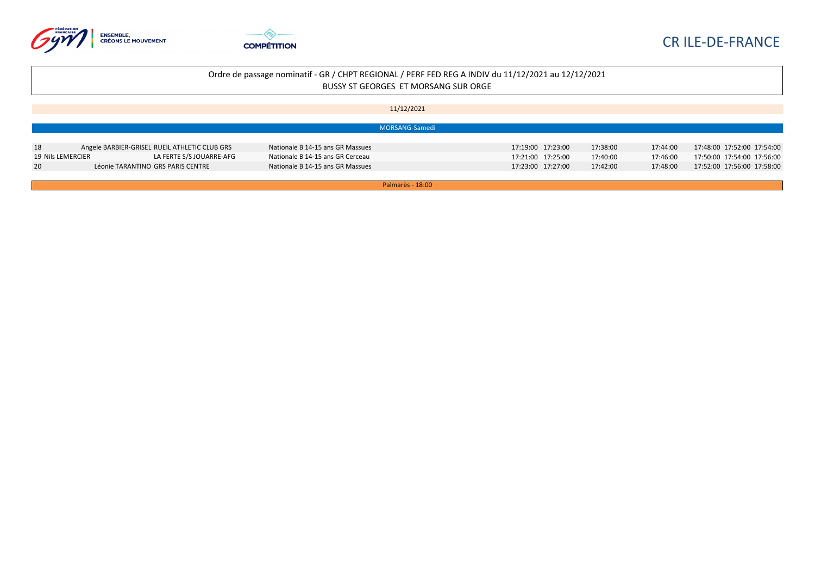



| 11/12/2021 |  |  |
|------------|--|--|
|------------|--|--|

|                   |                                               | MORSANG-Samedi                   |                   |          |          |                            |
|-------------------|-----------------------------------------------|----------------------------------|-------------------|----------|----------|----------------------------|
| 18                | Angele BARBIER-GRISEL RUEIL ATHLETIC CLUB GRS | Nationale B 14-15 ans GR Massues | 17:19:00 17:23:00 | 17:38:00 | 17:44:00 | 17:48:00 17:52:00 17:54:00 |
| 19 Nils LEMERCIER | LA FERTE S/S JOUARRE-AFG                      | Nationale B 14-15 ans GR Cerceau | 17:21:00 17:25:00 | 17:40:00 | 17:46:00 | 17:50:00 17:54:00 17:56:00 |
| 20                | Léonie TARANTINO GRS PARIS CENTRE             | Nationale B 14-15 ans GR Massues | 17:23:00 17:27:00 | 17:42:00 | 17:48:00 | 17:52:00 17:56:00 17:58:00 |

Palmarès - 18:00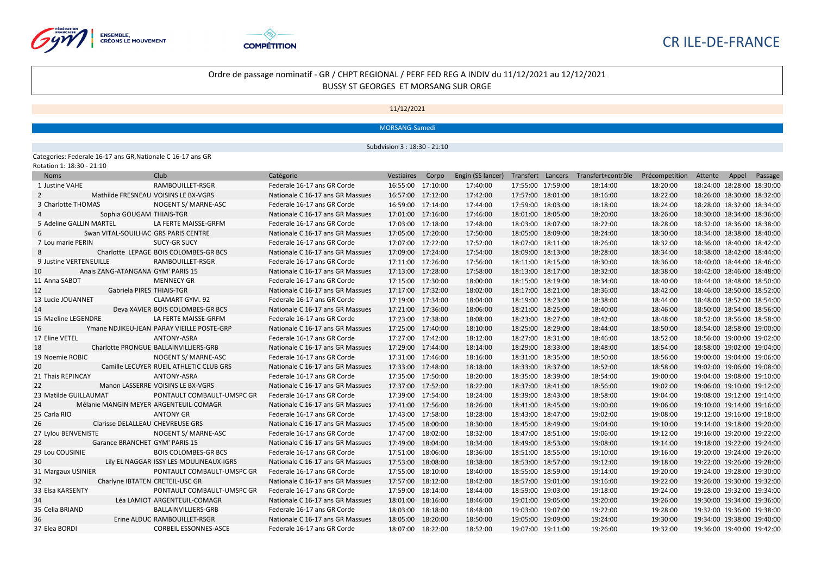



## Ordre de passage nominatif - GR / CHPT REGIONAL / PERF FED REG A INDIV du 11/12/2021 au 12/12/2021 BUSSY ST GEORGES ET MORSANG SUR ORGE

11/12/2021

MORSANG-Samedi

Subdvision 3 : 18:30 - 21:10

Categories: Federale 16-17 ans GR,Nationale C 16-17 ans GR Rotation 1: 18:30 - 21:10

| <b>Noms</b>                                  | Club                                       | Catégorie                        | Vestiaires        | Corpo    | Engin (SS lancer) |                   | Transfert Lancers Transfert+contrôle | Précompetition | Attente                    | Appel | Passage |
|----------------------------------------------|--------------------------------------------|----------------------------------|-------------------|----------|-------------------|-------------------|--------------------------------------|----------------|----------------------------|-------|---------|
| 1 Justine VAHE                               | RAMBOUILLET-RSGR                           | Federale 16-17 ans GR Corde      | 16:55:00 17:10:00 |          | 17:40:00          | 17:55:00 17:59:00 | 18:14:00                             | 18:20:00       | 18:24:00 18:28:00 18:30:00 |       |         |
| $\overline{2}$                               | Mathilde FRESNEAU VOISINS LE BX-VGRS       | Nationale C 16-17 ans GR Massues | 16:57:00 17:12:00 |          | 17:42:00          | 17:57:00 18:01:00 | 18:16:00                             | 18:22:00       | 18:26:00 18:30:00 18:32:00 |       |         |
| 3 Charlotte THOMAS                           | NOGENT S/ MARNE-ASC                        | Federale 16-17 ans GR Corde      | 16:59:00 17:14:00 |          | 17:44:00          | 17:59:00 18:03:00 | 18:18:00                             | 18:24:00       | 18:28:00 18:32:00 18:34:00 |       |         |
| Sophia GOUGAM THIAIS-TGR                     |                                            | Nationale C 16-17 ans GR Massues | 17:01:00 17:16:00 |          | 17:46:00          | 18:01:00 18:05:00 | 18:20:00                             | 18:26:00       | 18:30:00 18:34:00 18:36:00 |       |         |
| 5 Adeline GALLIN MARTEL                      | LA FERTE MAISSE-GRFM                       | Federale 16-17 ans GR Corde      | 17:03:00 17:18:00 |          | 17:48:00          | 18:03:00 18:07:00 | 18:22:00                             | 18:28:00       | 18:32:00 18:36:00 18:38:00 |       |         |
| Swan VITAL-SOUILHAC GRS PARIS CENTRE<br>-6   |                                            | Nationale C 16-17 ans GR Massues | 17:05:00 17:20:00 |          | 17:50:00          | 18:05:00 18:09:00 | 18:24:00                             | 18:30:00       | 18:34:00 18:38:00 18:40:00 |       |         |
| 7 Lou marie PERIN                            | SUCY-GR SUCY                               | Federale 16-17 ans GR Corde      | 17:07:00 17:22:00 |          | 17:52:00          | 18:07:00 18:11:00 | 18:26:00                             | 18:32:00       | 18:36:00 18:40:00 18:42:00 |       |         |
| 8                                            | Charlotte LEPAGE BOIS COLOMBES-GR BCS      | Nationale C 16-17 ans GR Massues | 17:09:00 17:24:00 |          | 17:54:00          | 18:09:00 18:13:00 | 18:28:00                             | 18:34:00       | 18:38:00 18:42:00 18:44:00 |       |         |
| 9 Justine VERTENEUILLE                       | RAMBOUILLET-RSGR                           | Federale 16-17 ans GR Corde      | 17:11:00 17:26:00 |          | 17:56:00          | 18:11:00 18:15:00 | 18:30:00                             | 18:36:00       | 18:40:00 18:44:00 18:46:00 |       |         |
| 10<br>Anais ZANG-ATANGANA GYM' PARIS 15      |                                            | Nationale C 16-17 ans GR Massues | 17:13:00 17:28:00 |          | 17:58:00          | 18:13:00 18:17:00 | 18:32:00                             | 18:38:00       | 18:42:00 18:46:00 18:48:00 |       |         |
| 11 Anna SABOT                                | <b>MENNECY GR</b>                          | Federale 16-17 ans GR Corde      | 17:15:00 17:30:00 |          | 18:00:00          | 18:15:00 18:19:00 | 18:34:00                             | 18:40:00       | 18:44:00 18:48:00 18:50:00 |       |         |
| 12<br>Gabriela PIRES THIAIS-TGR              |                                            | Nationale C 16-17 ans GR Massues | 17:17:00 17:32:00 |          | 18:02:00          | 18:17:00 18:21:00 | 18:36:00                             | 18:42:00       | 18:46:00 18:50:00 18:52:00 |       |         |
| 13 Lucie JOUANNET                            | <b>CLAMART GYM. 92</b>                     | Federale 16-17 ans GR Corde      | 17:19:00 17:34:00 |          | 18:04:00          | 18:19:00 18:23:00 | 18:38:00                             | 18:44:00       | 18:48:00 18:52:00 18:54:00 |       |         |
| 14                                           | Deva XAVIER BOIS COLOMBES-GR BCS           | Nationale C 16-17 ans GR Massues | 17:21:00 17:36:00 |          | 18:06:00          | 18:21:00 18:25:00 | 18:40:00                             | 18:46:00       | 18:50:00 18:54:00 18:56:00 |       |         |
| 15 Maeline LEGENDRE                          | LA FERTE MAISSE-GRFM                       | Federale 16-17 ans GR Corde      | 17:23:00 17:38:00 |          | 18:08:00          | 18:23:00 18:27:00 | 18:42:00                             | 18:48:00       | 18:52:00 18:56:00 18:58:00 |       |         |
| 16                                           | Ymane NDJIKEU-JEAN PARAY VIEILLE POSTE-GRP | Nationale C 16-17 ans GR Massues | 17:25:00          | 17:40:00 | 18:10:00          | 18:25:00 18:29:00 | 18:44:00                             | 18:50:00       | 18:54:00 18:58:00 19:00:00 |       |         |
| 17 Eline VETEL                               | <b>ANTONY-ASRA</b>                         | Federale 16-17 ans GR Corde      | 17:27:00          | 17:42:00 | 18:12:00          | 18:27:00 18:31:00 | 18:46:00                             | 18:52:00       | 18:56:00 19:00:00 19:02:00 |       |         |
| 18                                           | Charlotte PRONGUE BALLAINVILLIERS-GRB      | Nationale C 16-17 ans GR Massues | 17:29:00          | 17:44:00 | 18:14:00          | 18:29:00 18:33:00 | 18:48:00                             | 18:54:00       | 18:58:00 19:02:00 19:04:00 |       |         |
| 19 Noemie ROBIC                              | NOGENT S/ MARNE-ASC                        | Federale 16-17 ans GR Corde      | 17:31:00 17:46:00 |          | 18:16:00          | 18:31:00 18:35:00 | 18:50:00                             | 18:56:00       | 19:00:00 19:04:00 19:06:00 |       |         |
| 20                                           | Camille LECUYER RUEIL ATHLETIC CLUB GRS    | Nationale C 16-17 ans GR Massues | 17:33:00 17:48:00 |          | 18:18:00          | 18:33:00 18:37:00 | 18:52:00                             | 18:58:00       | 19:02:00 19:06:00 19:08:00 |       |         |
| 21 Thais REPINCAY                            | ANTONY-ASRA                                | Federale 16-17 ans GR Corde      | 17:35:00 17:50:00 |          | 18:20:00          | 18:35:00 18:39:00 | 18:54:00                             | 19:00:00       | 19:04:00 19:08:00 19:10:00 |       |         |
| 22                                           | Manon LASSERRE VOISINS LE BX-VGRS          | Nationale C 16-17 ans GR Massues | 17:37:00 17:52:00 |          | 18:22:00          | 18:37:00 18:41:00 | 18:56:00                             | 19:02:00       | 19:06:00 19:10:00 19:12:00 |       |         |
| 23 Matilde GUILLAUMAT                        | PONTAULT COMBAULT-UMSPC GR                 | Federale 16-17 ans GR Corde      | 17:39:00 17:54:00 |          | 18:24:00          | 18:39:00 18:43:00 | 18:58:00                             | 19:04:00       | 19:08:00 19:12:00 19:14:00 |       |         |
| Mélanie MANGIN MEYER ARGENTEUIL-COMAGR<br>24 |                                            | Nationale C 16-17 ans GR Massues | 17:41:00 17:56:00 |          | 18:26:00          | 18:41:00 18:45:00 | 19:00:00                             | 19:06:00       | 19:10:00 19:14:00 19:16:00 |       |         |
| 25 Carla RIO                                 | <b>ANTONY GR</b>                           | Federale 16-17 ans GR Corde      | 17:43:00 17:58:00 |          | 18:28:00          | 18:43:00 18:47:00 | 19:02:00                             | 19:08:00       | 19:12:00 19:16:00 19:18:00 |       |         |
| Clarisse DELALLEAU CHEVREUSE GRS<br>26       |                                            | Nationale C 16-17 ans GR Massues | 17:45:00          | 18:00:00 | 18:30:00          | 18:45:00 18:49:00 | 19:04:00                             | 19:10:00       | 19:14:00 19:18:00 19:20:00 |       |         |
| 27 Lylou BENVENISTE                          | NOGENT S/ MARNE-ASC                        | Federale 16-17 ans GR Corde      | 17:47:00          | 18:02:00 | 18:32:00          | 18:47:00 18:51:00 | 19:06:00                             | 19:12:00       | 19:16:00 19:20:00 19:22:00 |       |         |
| Garance BRANCHET GYM' PARIS 15<br>28         |                                            | Nationale C 16-17 ans GR Massues | 17:49:00          | 18:04:00 | 18:34:00          | 18:49:00 18:53:00 | 19:08:00                             | 19:14:00       | 19:18:00 19:22:00 19:24:00 |       |         |
| 29 Lou COUSINIE                              | <b>BOIS COLOMBES-GR BCS</b>                | Federale 16-17 ans GR Corde      | 17:51:00          | 18:06:00 | 18:36:00          | 18:51:00 18:55:00 | 19:10:00                             | 19:16:00       | 19:20:00 19:24:00 19:26:00 |       |         |
| 30                                           | Lily EL NAGGAR ISSY LES MOULINEAUX-IGRS    | Nationale C 16-17 ans GR Massues | 17:53:00          | 18:08:00 | 18:38:00          | 18:53:00 18:57:00 | 19:12:00                             | 19:18:00       | 19:22:00 19:26:00 19:28:00 |       |         |
| 31 Margaux USINIER                           | PONTAULT COMBAULT-UMSPC GR                 | Federale 16-17 ans GR Corde      | 17:55:00          | 18:10:00 | 18:40:00          | 18:55:00 18:59:00 | 19:14:00                             | 19:20:00       | 19:24:00 19:28:00 19:30:00 |       |         |
| Charlyne IBTATEN CRETEIL-USC GR<br>32        |                                            | Nationale C 16-17 ans GR Massues | 17:57:00          | 18:12:00 | 18:42:00          | 18:57:00 19:01:00 | 19:16:00                             | 19:22:00       | 19:26:00 19:30:00 19:32:00 |       |         |
| 33 Elsa KARSENTY                             | PONTAULT COMBAULT-UMSPC GR                 | Federale 16-17 ans GR Corde      | 17:59:00          | 18:14:00 | 18:44:00          | 18:59:00 19:03:00 | 19:18:00                             | 19:24:00       | 19:28:00 19:32:00 19:34:00 |       |         |
| 34                                           | Léa LAMIOT ARGENTEUIL-COMAGR               | Nationale C 16-17 ans GR Massues | 18:01:00          | 18:16:00 | 18:46:00          | 19:01:00 19:05:00 | 19:20:00                             | 19:26:00       | 19:30:00 19:34:00 19:36:00 |       |         |
| 35 Celia BRIAND                              | BALLAINVILLIERS-GRB                        | Federale 16-17 ans GR Corde      | 18:03:00          | 18:18:00 | 18:48:00          | 19:03:00 19:07:00 | 19:22:00                             | 19:28:00       | 19:32:00 19:36:00 19:38:00 |       |         |
| 36                                           | Erine ALDUC RAMBOUILLET-RSGR               | Nationale C 16-17 ans GR Massues | 18:05:00          | 18:20:00 | 18:50:00          | 19:05:00 19:09:00 | 19:24:00                             | 19:30:00       | 19:34:00 19:38:00 19:40:00 |       |         |
| 37 Elea BORDI                                | <b>CORBEIL ESSONNES-ASCE</b>               | Federale 16-17 ans GR Corde      | 18:07:00          | 18:22:00 | 18:52:00          | 19:07:00 19:11:00 | 19:26:00                             | 19:32:00       | 19:36:00 19:40:00 19:42:00 |       |         |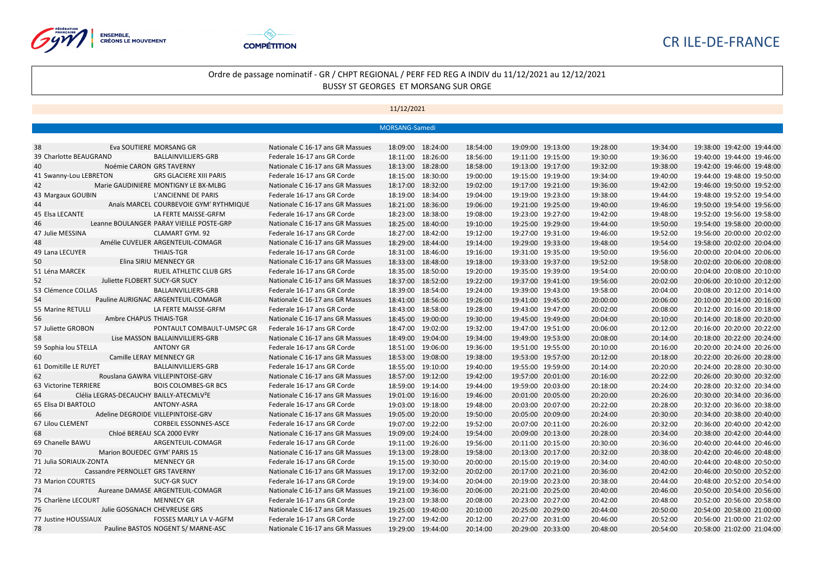



|                                                            |                                                              | MORSANG-Samedi |                   |          |                   |          |          |                            |
|------------------------------------------------------------|--------------------------------------------------------------|----------------|-------------------|----------|-------------------|----------|----------|----------------------------|
|                                                            |                                                              |                |                   |          |                   |          |          |                            |
| 38<br>Eva SOUTIERE MORSANG GR                              | Nationale C 16-17 ans GR Massues                             |                | 18:09:00 18:24:00 | 18:54:00 | 19:09:00 19:13:00 | 19:28:00 | 19:34:00 | 19:38:00 19:42:00 19:44:00 |
| 39 Charlotte BEAUGRAND<br>BALLAINVILLIERS-GRB              | Federale 16-17 ans GR Corde                                  |                | 18:11:00 18:26:00 | 18:56:00 | 19:11:00 19:15:00 | 19:30:00 | 19:36:00 | 19:40:00 19:44:00 19:46:00 |
| 40<br>Noémie CARON GRS TAVERNY                             | Nationale C 16-17 ans GR Massues                             |                | 18:13:00 18:28:00 | 18:58:00 | 19:13:00 19:17:00 | 19:32:00 | 19:38:00 | 19:42:00 19:46:00 19:48:00 |
| 41 Swanny-Lou LEBRETON<br><b>GRS GLACIERE XIII PARIS</b>   | Federale 16-17 ans GR Corde                                  |                | 18:15:00 18:30:00 | 19:00:00 | 19:15:00 19:19:00 | 19:34:00 | 19:40:00 | 19:44:00 19:48:00 19:50:00 |
| 42<br>Marie GAUDINIERE MONTIGNY LE BX-MLBG                 | Nationale C 16-17 ans GR Massues                             |                | 18:17:00 18:32:00 | 19:02:00 | 19:17:00 19:21:00 | 19:36:00 | 19:42:00 | 19:46:00 19:50:00 19:52:00 |
| 43 Margaux GOUBIN<br>L'ANCIENNE DE PARIS                   | Federale 16-17 ans GR Corde                                  |                | 18:19:00 18:34:00 | 19:04:00 | 19:19:00 19:23:00 | 19:38:00 | 19:44:00 | 19:48:00 19:52:00 19:54:00 |
| 44<br>Anaïs MARCEL COURBEVOIE GYM' RYTHMIQUE               | Nationale C 16-17 ans GR Massues                             |                | 18:21:00 18:36:00 | 19:06:00 | 19:21:00 19:25:00 | 19:40:00 | 19:46:00 | 19:50:00 19:54:00 19:56:00 |
| 45 Elsa LECANTE<br>LA FERTE MAISSE-GRFM                    | Federale 16-17 ans GR Corde                                  |                | 18:23:00 18:38:00 | 19:08:00 | 19:23:00 19:27:00 | 19:42:00 | 19:48:00 | 19:52:00 19:56:00 19:58:00 |
| Leanne BOULANGER PARAY VIEILLE POSTE-GRP<br>46             | Nationale C 16-17 ans GR Massues                             |                | 18:25:00 18:40:00 | 19:10:00 | 19:25:00 19:29:00 | 19:44:00 | 19:50:00 | 19:54:00 19:58:00 20:00:00 |
| 47 Julie MESSINA<br>CLAMART GYM. 92                        | Federale 16-17 ans GR Corde                                  |                | 18:27:00 18:42:00 | 19:12:00 | 19:27:00 19:31:00 | 19:46:00 | 19:52:00 | 19:56:00 20:00:00 20:02:00 |
| 48<br>Amélie CUVELIER ARGENTEUIL-COMAGR                    | Nationale C 16-17 ans GR Massues                             |                | 18:29:00 18:44:00 | 19:14:00 | 19:29:00 19:33:00 | 19:48:00 | 19:54:00 | 19:58:00 20:02:00 20:04:00 |
| 49 Lana LECUYER<br><b>THIAIS-TGR</b>                       | Federale 16-17 ans GR Corde                                  |                | 18:31:00 18:46:00 | 19:16:00 | 19:31:00 19:35:00 | 19:50:00 | 19:56:00 | 20:00:00 20:04:00 20:06:00 |
| 50<br>Elina SIRIU MENNECY GR                               | Nationale C 16-17 ans GR Massues                             |                | 18:33:00 18:48:00 | 19:18:00 | 19:33:00 19:37:00 | 19:52:00 | 19:58:00 | 20:02:00 20:06:00 20:08:00 |
| 51 Léna MARCEK                                             | RUEIL ATHLETIC CLUB GRS<br>Federale 16-17 ans GR Corde       |                | 18:35:00 18:50:00 | 19:20:00 | 19:35:00 19:39:00 | 19:54:00 | 20:00:00 | 20:04:00 20:08:00 20:10:00 |
| 52<br>Juliette FLOBERT SUCY-GR SUCY                        | Nationale C 16-17 ans GR Massues                             |                | 18:37:00 18:52:00 | 19:22:00 | 19:37:00 19:41:00 | 19:56:00 | 20:02:00 | 20:06:00 20:10:00 20:12:00 |
| 53 Clémence COLLAS<br>BALLAINVILLIERS-GRB                  | Federale 16-17 ans GR Corde                                  |                | 18:39:00 18:54:00 | 19:24:00 | 19:39:00 19:43:00 | 19:58:00 | 20:04:00 | 20:08:00 20:12:00 20:14:00 |
| Pauline AURIGNAC ARGENTEUIL-COMAGR<br>54                   | Nationale C 16-17 ans GR Massues                             |                | 18:41:00 18:56:00 | 19:26:00 | 19:41:00 19:45:00 | 20:00:00 | 20:06:00 | 20:10:00 20:14:00 20:16:00 |
| 55 Marine RETULLI<br>LA FERTE MAISSE-GRFM                  | Federale 16-17 ans GR Corde                                  |                | 18:43:00 18:58:00 | 19:28:00 | 19:43:00 19:47:00 | 20:02:00 | 20:08:00 | 20:12:00 20:16:00 20:18:00 |
| 56<br>Ambre CHAPUS THIAIS-TGR                              | Nationale C 16-17 ans GR Massues                             |                | 18:45:00 19:00:00 | 19:30:00 | 19:45:00 19:49:00 | 20:04:00 | 20:10:00 | 20:14:00 20:18:00 20:20:00 |
| 57 Juliette GROBON                                         | PONTAULT COMBAULT-UMSPC GR<br>Federale 16-17 ans GR Corde    |                | 18:47:00 19:02:00 | 19:32:00 | 19:47:00 19:51:00 | 20:06:00 | 20:12:00 | 20:16:00 20:20:00 20:22:00 |
| 58<br>Lise MASSON BALLAINVILLIERS-GRB                      | Nationale C 16-17 ans GR Massues                             |                | 18:49:00 19:04:00 | 19:34:00 | 19:49:00 19:53:00 | 20:08:00 | 20:14:00 | 20:18:00 20:22:00 20:24:00 |
| 59 Sophia lou STELLA<br>ANTONY GR                          | Federale 16-17 ans GR Corde                                  |                | 18:51:00 19:06:00 | 19:36:00 | 19:51:00 19:55:00 | 20:10:00 | 20:16:00 | 20:20:00 20:24:00 20:26:00 |
| 60<br>Camille LERAY MENNECY GR                             | Nationale C 16-17 ans GR Massues                             |                | 18:53:00 19:08:00 | 19:38:00 | 19:53:00 19:57:00 | 20:12:00 | 20:18:00 | 20:22:00 20:26:00 20:28:00 |
| 61 Domitille LE RUYET<br>BALLAINVILLIERS-GRB               | Federale 16-17 ans GR Corde                                  |                | 18:55:00 19:10:00 | 19:40:00 | 19:55:00 19:59:00 | 20:14:00 | 20:20:00 | 20:24:00 20:28:00 20:30:00 |
| Rouslana GAWRA VILLEPINTOISE-GRV<br>62                     | Nationale C 16-17 ans GR Massues                             |                | 18:57:00 19:12:00 | 19:42:00 | 19:57:00 20:01:00 | 20:16:00 | 20:22:00 | 20:26:00 20:30:00 20:32:00 |
| 63 Victorine TERRIERE<br><b>BOIS COLOMBES-GR BCS</b>       | Federale 16-17 ans GR Corde                                  |                | 18:59:00 19:14:00 | 19:44:00 | 19:59:00 20:03:00 | 20:18:00 | 20:24:00 | 20:28:00 20:32:00 20:34:00 |
| 64<br>Clélia LEGRAS-DECAUCHY BAILLY-ATECMLV <sup>2</sup> E | Nationale C 16-17 ans GR Massues                             |                | 19:01:00 19:16:00 | 19:46:00 | 20:01:00 20:05:00 | 20:20:00 | 20:26:00 | 20:30:00 20:34:00 20:36:00 |
| 65 Elisa DI BARTOLO<br><b>ANTONY-ASRA</b>                  | Federale 16-17 ans GR Corde                                  |                | 19:03:00 19:18:00 | 19:48:00 | 20:03:00 20:07:00 | 20:22:00 | 20:28:00 | 20:32:00 20:36:00 20:38:00 |
| 66<br>Adeline DEGROIDE VILLEPINTOISE-GRV                   | Nationale C 16-17 ans GR Massues                             |                | 19:05:00 19:20:00 | 19:50:00 | 20:05:00 20:09:00 | 20:24:00 | 20:30:00 | 20:34:00 20:38:00 20:40:00 |
| 67 Lilou CLEMENT                                           | <b>CORBEIL ESSONNES-ASCE</b><br>Federale 16-17 ans GR Corde  |                | 19:07:00 19:22:00 | 19:52:00 | 20:07:00 20:11:00 | 20:26:00 | 20:32:00 | 20:36:00 20:40:00 20:42:00 |
| 68<br>Chloé BEREAU SCA 2000 EVRY                           | Nationale C 16-17 ans GR Massues                             |                | 19:09:00 19:24:00 | 19:54:00 | 20:09:00 20:13:00 | 20:28:00 | 20:34:00 | 20:38:00 20:42:00 20:44:00 |
| 69 Chanelle BAWU<br>ARGENTEUIL-COMAGR                      | Federale 16-17 ans GR Corde                                  |                | 19:11:00 19:26:00 | 19:56:00 | 20:11:00 20:15:00 | 20:30:00 | 20:36:00 | 20:40:00 20:44:00 20:46:00 |
| Marion BOUEDEC GYM' PARIS 15<br>70                         | Nationale C 16-17 ans GR Massues                             |                | 19:13:00 19:28:00 | 19:58:00 | 20:13:00 20:17:00 | 20:32:00 | 20:38:00 | 20:42:00 20:46:00 20:48:00 |
| 71 Julia SORIAUX-ZONTA<br><b>MENNECY GR</b>                | Federale 16-17 ans GR Corde                                  |                | 19:15:00 19:30:00 | 20:00:00 | 20:15:00 20:19:00 | 20:34:00 | 20:40:00 | 20:44:00 20:48:00 20:50:00 |
| 72<br>Cassandre PERNOLLET GRS TAVERNY                      | Nationale C 16-17 ans GR Massues                             |                | 19:17:00 19:32:00 | 20:02:00 | 20:17:00 20:21:00 | 20:36:00 | 20:42:00 | 20:46:00 20:50:00 20:52:00 |
| 73 Marion COURTES<br><b>SUCY-GR SUCY</b>                   | Federale 16-17 ans GR Corde                                  |                | 19:19:00 19:34:00 | 20:04:00 | 20:19:00 20:23:00 | 20:38:00 | 20:44:00 | 20:48:00 20:52:00 20:54:00 |
| 74<br>Aureane DAMASE ARGENTEUIL-COMAGR                     | Nationale C 16-17 ans GR Massues                             |                | 19:21:00 19:36:00 | 20:06:00 | 20:21:00 20:25:00 | 20:40:00 | 20:46:00 | 20:50:00 20:54:00 20:56:00 |
| 75 Charlène LECOURT<br><b>MENNECY GR</b>                   | Federale 16-17 ans GR Corde                                  |                | 19:23:00 19:38:00 | 20:08:00 | 20:23:00 20:27:00 | 20:42:00 | 20:48:00 | 20:52:00 20:56:00 20:58:00 |
| 76<br>Julie GOSGNACH CHEVREUSE GRS                         | Nationale C 16-17 ans GR Massues                             |                | 19:25:00 19:40:00 | 20:10:00 | 20:25:00 20:29:00 | 20:44:00 | 20:50:00 | 20:54:00 20:58:00 21:00:00 |
| 77 Justine HOUSSIAUX                                       | <b>FOSSES MARLY LA V-AGFM</b><br>Federale 16-17 ans GR Corde |                | 19:27:00 19:42:00 | 20:12:00 | 20:27:00 20:31:00 | 20:46:00 | 20:52:00 | 20:56:00 21:00:00 21:02:00 |
| Pauline BASTOS NOGENT S/ MARNE-ASC<br>78                   | Nationale C 16-17 ans GR Massues                             |                | 19:29:00 19:44:00 | 20:14:00 | 20:29:00 20:33:00 | 20:48:00 | 20:54:00 | 20:58:00 21:02:00 21:04:00 |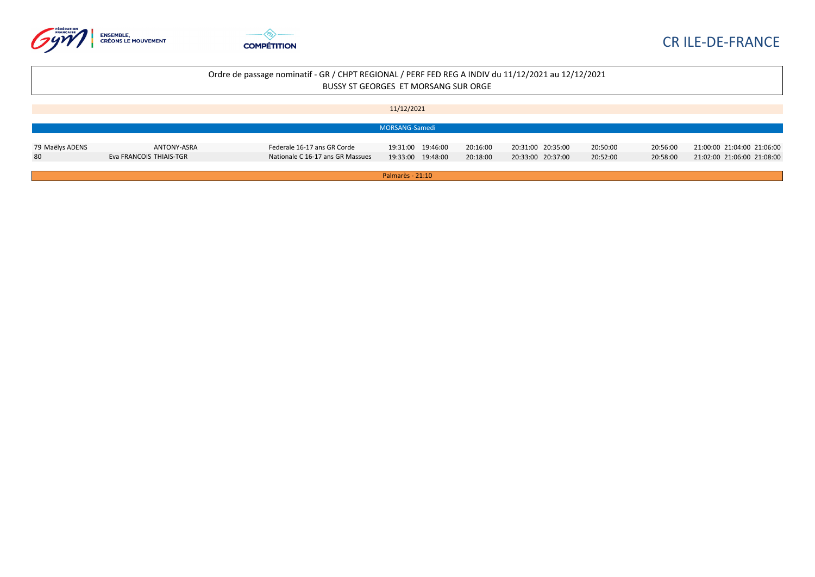



|                 |                         |                                  | 11/12/2021         |          |                   |          |          |                            |
|-----------------|-------------------------|----------------------------------|--------------------|----------|-------------------|----------|----------|----------------------------|
|                 |                         |                                  |                    |          |                   |          |          |                            |
|                 |                         |                                  | MORSANG-Samedi     |          |                   |          |          |                            |
|                 |                         |                                  |                    |          |                   |          |          |                            |
| 79 Maëlys ADENS | ANTONY-ASRA             | Federale 16-17 ans GR Corde      | 19:31:00  19:46:00 | 20:16:00 | 20:31:00 20:35:00 | 20:50:00 | 20:56:00 | 21:00:00 21:04:00 21:06:00 |
| 80              | Eva FRANCOIS THIAIS-TGR | Nationale C 16-17 ans GR Massues | 19:33:00 19:48:00  | 20:18:00 | 20:33:00 20:37:00 | 20:52:00 | 20:58:00 | 21:02:00 21:06:00 21:08:00 |
|                 |                         |                                  |                    |          |                   |          |          |                            |
|                 |                         |                                  | Palmarès - 21:10   |          |                   |          |          |                            |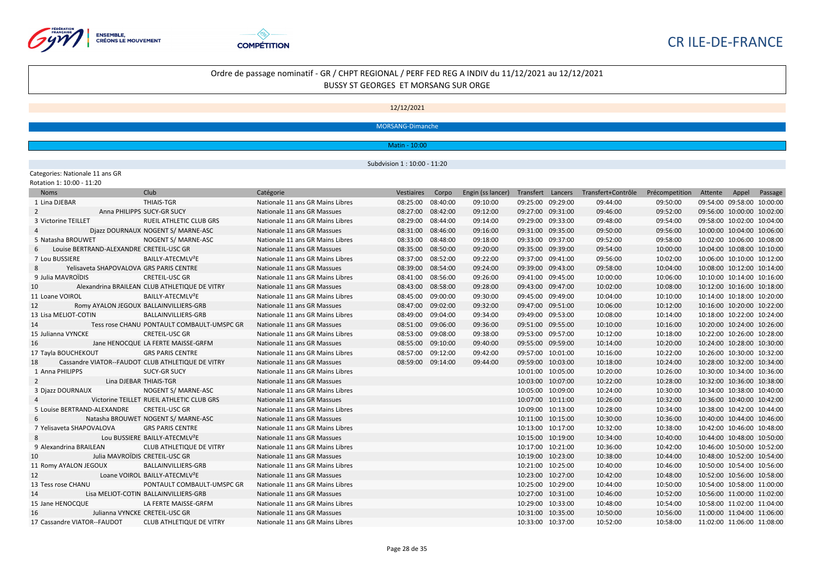



#### 12/12/2021

MORSANG-Dimanche

Matin - 10:00

Subdvision 1 : 10:00 - 11:20

Categories: Nationale 11 ans GR Rotation 1: 10:00 - 11:20

Noms Club Catégorie Vestiaires Corpo Engin (ss lancer) Transfert Lancers Transfert+Contrôle Précompetition Attente Appel Passage Lina DJEBAR THIAIS-TGR Nationale 11 ans GR Mains Libres 08:25:00 08:40:00 09:10:00 09:25:00 09:29:00 09:44:00 09:50:00 09:54:00 09:58:00 10:00:00 Anna PHILIPPS SUCY-GR SUCY Nationale 11 ans GR Massues 08:27:00 08:42:00 09:12:00 09:27:00 09:31:00 09:46:00 09:52:00 09:56:00 10:00:00 10:02:00 Victorine TEILLET RUEIL ATHLETIC CLUB GRS Nationale 11 ans GR Mains Libres 08:29:00 08:44:00 09:14:00 09:29:00 09:33:00 09:48:00 09:54:00 09:58:00 10:02:00 10:04:00 Djazz DOURNAUX NOGENT S/ MARNE-ASC Nationale 11 ans GR Massues 08:31:00 08:46:00 09:16:00 09:31:00 09:35:00 09:50:00 09:56:00 10:00:00 10:04:00 10:06:00 Natasha BROUWET NOGENT S/ MARNE-ASC Nationale 11 ans GR Mains Libres 08:33:00 08:48:00 09:18:00 09:33:00 09:37:00 09:52:00 09:58:00 10:02:00 10:06:00 10:08:00 Louise BERTRAND-ALEXANDRE CRETEIL-USC GR Nationale 11 ans GR Massues 08:35:00 08:50:00 09:20:00 09:35:00 09:39:00 09:54:00 10:00:00 10:04:00 10:08:00 10:10:00 Lou BUSSIERE BAILLY-ATECMLV²E Nationale 11 ans GR Mains Libres 08:37:00 08:52:00 09:22:00 09:37:00 09:41:00 09:56:00 10:02:00 10:06:00 10:10:00 10:12:00 Yelisaveta SHAPOVALOVA GRS PARIS CENTRE Nationale 11 ans GR Massues 08:39:00 08:54:00 09:24:00 09:39:00 09:43:00 09:58:00 10:04:00 10:08:00 10:12:00 10:14:00 Julia MAVROÏDIS CRETEIL-USC GR Nationale 11 ans GR Mains Libres 08:41:00 08:56:00 09:26:00 09:41:00 09:45:00 10:00:00 10:06:00 10:10:00 10:14:00 10:16:00 Alexandrina BRAILEAN CLUB ATHLETIQUE DE VITRY Nationale 11 ans GR Massues 08:43:00 08:58:00 09:28:00 09:43:00 09:47:00 10:02:00 10:08:00 10:12:00 10:16:00 10:18:00 Loane VOIROL BAILLY-ATECMLV²E Nationale 11 ans GR Mains Libres 08:45:00 09:00:00 09:30:00 09:45:00 09:49:00 10:04:00 10:10:00 10:14:00 10:18:00 10:20:00 Romy AYALON JEGOUX BALLAINVILLIERS-GRB Nationale 11 ans GR Massues 08:47:00 09:02:00 09:32:00 09:47:00 09:51:00 10:06:00 10:12:00 10:16:00 10:20:00 10:22:00 Lisa MELIOT-COTIN BALLAINVILLIERS-GRB Nationale 11 ans GR Mains Libres 08:49:00 09:04:00 09:34:00 09:49:00 09:53:00 10:08:00 10:14:00 10:18:00 10:22:00 10:24:00 Tess rose CHANU PONTAULT COMBAULT-UMSPC GR Nationale 11 ans GR Massues 08:51:00 09:06:00 09:36:00 09:51:00 09:55:00 10:10:00 10:16:00 10:20:00 10:24:00 10:26:00 Julianna VYNCKE CRETEIL-USC GR Nationale 11 ans GR Mains Libres 08:53:00 09:08:00 09:38:00 09:53:00 09:57:00 10:12:00 10:18:00 10:22:00 10:26:00 10:28:00 Jane HENOCQUE LA FERTE MAISSE-GRFM Nationale 11 ans GR Massues 08:55:00 09:10:00 09:40:00 09:55:00 09:59:00 10:14:00 10:20:00 10:24:00 10:28:00 10:30:00 Tayla BOUCHEKOUT GRS PARIS CENTRE Nationale 11 ans GR Mains Libres 08:57:00 09:12:00 09:42:00 09:57:00 10:01:00 10:16:00 10:22:00 10:26:00 10:30:00 10:32:00 Cassandre VIATOR--FAUDOT CLUB ATHLETIQUE DE VITRY Nationale 11 ans GR Massues 08:59:00 09:14:00 09:44:00 09:59:00 10:03:00 10:18:00 10:24:00 10:28:00 10:32:00 10:34:00 Anna PHILIPPS SUCY-GR SUCY Nationale 11 ans GR Mains Libres 10:01:00 10:05:00 10:20:00 10:26:00 10:30:00 10:34:00 10:36:00 2 Lina DJEBAR THIAIS-TGR Nationale 11 ans GR Massues 10:03:00 10:07:00 10:07:00 10:22:00 10:28:00 10:38:00 10:38:00 10:38:00 10:38:00 10:38:00 10:38:00 10:08:00 10:08:00 10:08:00 10:38:00 10:08:00 10:38:00 10:38:00 10:38:0 Djazz DOURNAUX NOGENT S/ MARNE-ASC Nationale 11 ans GR Mains Libres 10:05:00 10:09:00 10:24:00 10:30:00 10:34:00 10:38:00 10:40:00 Victorine TEILLET RUEIL ATHLETIC CLUB GRS Nationale 11 ans GR Massues 10:07:00 10:11:00 10:26:00 10:32:00 10:36:00 10:40:00 10:42:00 Louise BERTRAND-ALEXANDRE CRETEIL-USC GR Nationale 11 ans GR Mains Libres 10:09:00 10:13:00 10:28:00 10:34:00 10:38:00 10:42:00 10:44:00 Natasha BROUWET NOGENT S/ MARNE-ASC Nationale 11 ans GR Massues 10:11:00 10:15:00 10:30:00 10:36:00 10:40:00 10:44:00 10:46:00 Yelisaveta SHAPOVALOVA GRS PARIS CENTRE Nationale 11 ans GR Mains Libres 10:13:00 10:17:00 10:32:00 10:38:00 10:42:00 10:46:00 10:48:00 Lou BUSSIERE BAILLY-ATECMLV²E Nationale 11 ans GR Massues 10:15:00 10:19:00 10:34:00 10:40:00 10:44:00 10:48:00 10:50:00 Alexandrina BRAILEAN CLUB ATHLETIQUE DE VITRY Nationale 11 ans GR Mains Libres 10:17:00 10:21:00 10:36:00 10:42:00 10:46:00 10:50:00 10:52:00 Julia MAVROÏDIS CRETEIL-USC GR Nationale 11 ans GR Massues 10:19:00 10:23:00 10:38:00 10:44:00 10:48:00 10:52:00 10:54:00 Romy AYALON JEGOUX BALLAINVILLIERS-GRB Nationale 11 ans GR Mains Libres 10:21:00 10:25:00 10:40:00 10:46:00 10:50:00 10:54:00 10:56:00 Loane VOIROL BAILLY-ATECMLV²E Nationale 11 ans GR Massues 10:23:00 10:27:00 10:42:00 10:48:00 10:52:00 10:56:00 10:58:00 Tess rose CHANU PONTAULT COMBAULT-UMSPC GR Nationale 11 ans GR Mains Libres 10:25:00 10:29:00 10:44:00 10:50:00 10:54:00 10:58:00 11:00:00 Lisa MELIOT-COTIN BALLAINVILLIERS-GRB Nationale 11 ans GR Massues 10:27:00 10:31:00 10:46:00 10:52:00 10:56:00 11:00:00 11:02:00 Jane HENOCQUE LA FERTE MAISSE-GRFM Nationale 11 ans GR Mains Libres 10:29:00 10:33:00 10:48:00 10:54:00 10:58:00 11:02:00 11:04:00 Julianna VYNCKE CRETEIL-USC GR Nationale 11 ans GR Massues 10:31:00 10:35:00 10:50:00 10:56:00 11:00:00 11:04:00 11:06:00 Cassandre VIATOR--FAUDOT CLUB ATHLETIQUE DE VITRY Nationale 11 ans GR Mains Libres 10:33:00 10:37:00 10:52:00 10:58:00 11:02:00 11:06:00 11:08:00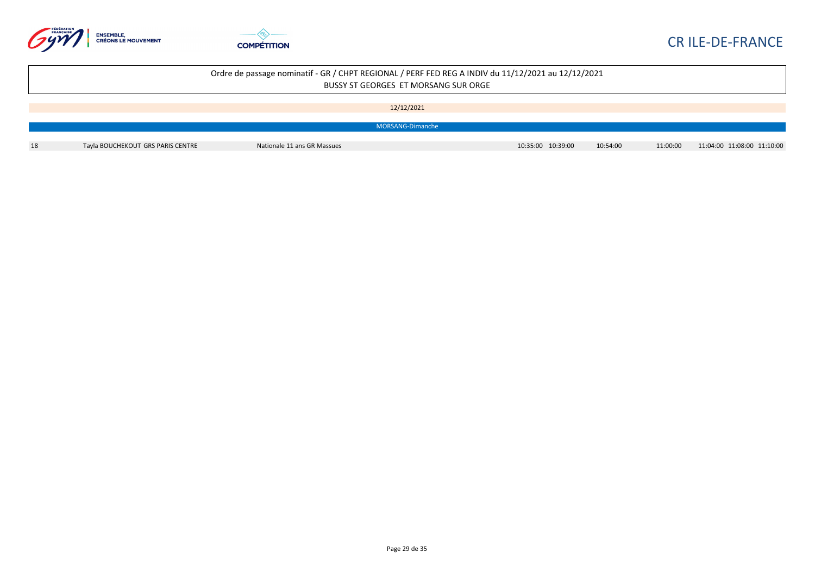



|    |                                   | Ordre de passage nominatif - GR / CHPT REGIONAL / PERF FED REG A INDIV du 11/12/2021 au 12/12/2021 | BUSSY ST GEORGES ET MORSANG SUR ORGE |                   |          |          |                            |
|----|-----------------------------------|----------------------------------------------------------------------------------------------------|--------------------------------------|-------------------|----------|----------|----------------------------|
|    |                                   |                                                                                                    | 12/12/2021                           |                   |          |          |                            |
|    |                                   |                                                                                                    | MORSANG-Dimanche                     |                   |          |          |                            |
| 18 | Tayla BOUCHEKOUT GRS PARIS CENTRE | Nationale 11 ans GR Massues                                                                        |                                      | 10:35:00 10:39:00 | 10:54:00 | 11:00:00 | 11:04:00 11:08:00 11:10:00 |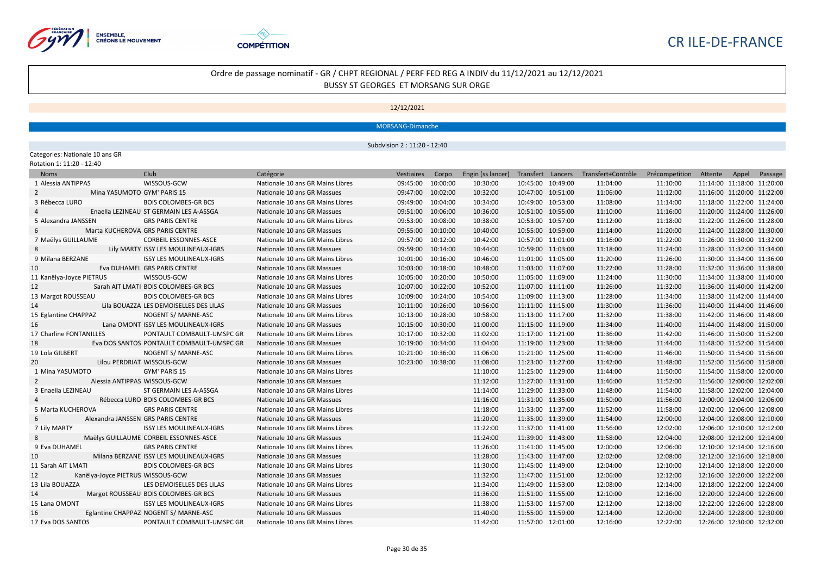



12/12/2021

MORSANG-Dimanche

Subdvision 2 : 11:20 - 12:40

#### Categories: Nationale 10 ans GR

| Rotation 1: 11:20 - 12:40 |  |  |  |
|---------------------------|--|--|--|
|---------------------------|--|--|--|

| <b>Noms</b>              | Club                                      | Catégorie                        | Vestiaires        | Corpo    | Engin (ss lancer) |                   | Transfert Lancers Transfert+Contrôle | Précompetition | Attente                    | Appel Passage |
|--------------------------|-------------------------------------------|----------------------------------|-------------------|----------|-------------------|-------------------|--------------------------------------|----------------|----------------------------|---------------|
| 1 Alessia ANTIPPAS       | WISSOUS-GCW                               | Nationale 10 ans GR Mains Libres | 09:45:00 10:00:00 |          | 10:30:00          | 10:45:00 10:49:00 | 11:04:00                             | 11:10:00       | 11:14:00 11:18:00 11:20:00 |               |
|                          | Mina YASUMOTO GYM' PARIS 15               | Nationale 10 ans GR Massues      | 09:47:00 10:02:00 |          | 10:32:00          | 10:47:00 10:51:00 | 11:06:00                             | 11:12:00       | 11:16:00 11:20:00 11:22:00 |               |
| 3 Rébecca LURO           | <b>BOIS COLOMBES-GR BCS</b>               | Nationale 10 ans GR Mains Libres | 09:49:00 10:04:00 |          | 10:34:00          | 10:49:00 10:53:00 | 11:08:00                             | 11:14:00       | 11:18:00 11:22:00 11:24:00 |               |
|                          | Enaella LEZINEAU ST GERMAIN LES A-ASSGA   | Nationale 10 ans GR Massues      | 09:51:00 10:06:00 |          | 10:36:00          | 10:51:00 10:55:00 | 11:10:00                             | 11:16:00       | 11:20:00 11:24:00 11:26:00 |               |
| 5 Alexandra JANSSEN      | <b>GRS PARIS CENTRE</b>                   | Nationale 10 ans GR Mains Libres | 09:53:00 10:08:00 |          | 10:38:00          | 10:53:00 10:57:00 | 11:12:00                             | 11:18:00       | 11:22:00 11:26:00 11:28:00 |               |
|                          | Marta KUCHEROVA GRS PARIS CENTRE          | Nationale 10 ans GR Massues      | 09:55:00 10:10:00 |          | 10:40:00          | 10:55:00 10:59:00 | 11:14:00                             | 11:20:00       | 11:24:00 11:28:00 11:30:00 |               |
| 7 Maëlys GUILLAUME       | <b>CORBEIL ESSONNES-ASCE</b>              | Nationale 10 ans GR Mains Libres | 09:57:00 10:12:00 |          | 10:42:00          | 10:57:00 11:01:00 | 11:16:00                             | 11:22:00       | 11:26:00 11:30:00 11:32:00 |               |
| 8                        | Lily MARTY ISSY LES MOULINEAUX-IGRS       | Nationale 10 ans GR Massues      | 09:59:00 10:14:00 |          | 10:44:00          | 10:59:00 11:03:00 | 11:18:00                             | 11:24:00       | 11:28:00 11:32:00 11:34:00 |               |
| 9 Milana BERZANE         | <b>ISSY LES MOULINEAUX-IGRS</b>           | Nationale 10 ans GR Mains Libres | 10:01:00 10:16:00 |          | 10:46:00          | 11:01:00 11:05:00 | 11:20:00                             | 11:26:00       | 11:30:00 11:34:00 11:36:00 |               |
| 10                       | Eva DUHAMEL GRS PARIS CENTRE              | Nationale 10 ans GR Massues      | 10:03:00 10:18:00 |          | 10:48:00          | 11:03:00 11:07:00 | 11:22:00                             | 11:28:00       | 11:32:00 11:36:00 11:38:00 |               |
| 11 Kanëlya-Joyce PIETRUS | WISSOUS-GCW                               | Nationale 10 ans GR Mains Libres | 10:05:00 10:20:00 |          | 10:50:00          | 11:05:00 11:09:00 | 11:24:00                             | 11:30:00       | 11:34:00 11:38:00 11:40:00 |               |
| 12                       | Sarah AIT LMATI BOIS COLOMBES-GR BCS      | Nationale 10 ans GR Massues      | 10:07:00 10:22:00 |          | 10:52:00          | 11:07:00 11:11:00 | 11:26:00                             | 11:32:00       | 11:36:00 11:40:00 11:42:00 |               |
| 13 Margot ROUSSEAU       | <b>BOIS COLOMBES-GR BCS</b>               | Nationale 10 ans GR Mains Libres | 10:09:00 10:24:00 |          | 10:54:00          | 11:09:00 11:13:00 | 11:28:00                             | 11:34:00       | 11:38:00 11:42:00 11:44:00 |               |
| 14                       | Lila BOUAZZA LES DEMOISELLES DES LILAS    | Nationale 10 ans GR Massues      | 10:11:00 10:26:00 |          | 10:56:00          | 11:11:00 11:15:00 | 11:30:00                             | 11:36:00       | 11:40:00 11:44:00 11:46:00 |               |
| 15 Eglantine CHAPPAZ     | NOGENT S/ MARNE-ASC                       | Nationale 10 ans GR Mains Libres | 10:13:00          | 10:28:00 | 10:58:00          | 11:13:00 11:17:00 | 11:32:00                             | 11:38:00       | 11:42:00 11:46:00 11:48:00 |               |
| 16                       | Lana OMONT ISSY LES MOULINEAUX-IGRS       | Nationale 10 ans GR Massues      | 10:15:00          | 10:30:00 | 11:00:00          | 11:15:00 11:19:00 | 11:34:00                             | 11:40:00       | 11:44:00 11:48:00 11:50:00 |               |
| 17 Charline FONTANILLES  | PONTAULT COMBAULT-UMSPC GR                | Nationale 10 ans GR Mains Libres | 10:17:00          | 10:32:00 | 11:02:00          | 11:17:00 11:21:00 | 11:36:00                             | 11:42:00       | 11:46:00 11:50:00 11:52:00 |               |
| 18                       | Eva DOS SANTOS PONTAULT COMBAULT-UMSPC GR | Nationale 10 ans GR Massues      | 10:19:00          | 10:34:00 | 11:04:00          | 11:19:00 11:23:00 | 11:38:00                             | 11:44:00       | 11:48:00 11:52:00 11:54:00 |               |
| 19 Lola GILBERT          | NOGENT S/ MARNE-ASC                       | Nationale 10 ans GR Mains Libres | 10:21:00          | 10:36:00 | 11:06:00          | 11:21:00 11:25:00 | 11:40:00                             | 11:46:00       | 11:50:00 11:54:00 11:56:00 |               |
| 20                       | Lilou PERDRIAT WISSOUS-GCW                | Nationale 10 ans GR Massues      | 10:23:00 10:38:00 |          | 11:08:00          | 11:23:00 11:27:00 | 11:42:00                             | 11:48:00       | 11:52:00 11:56:00 11:58:00 |               |
| 1 Mina YASUMOTO          | GYM' PARIS 15                             | Nationale 10 ans GR Mains Libres |                   |          | 11:10:00          | 11:25:00 11:29:00 | 11:44:00                             | 11:50:00       | 11:54:00 11:58:00 12:00:00 |               |
|                          | Alessia ANTIPPAS WISSOUS-GCW              | Nationale 10 ans GR Massues      |                   |          | 11:12:00          | 11:27:00 11:31:00 | 11:46:00                             | 11:52:00       | 11:56:00 12:00:00 12:02:00 |               |
| 3 Enaella LEZINEAU       | ST GERMAIN LES A-ASSGA                    | Nationale 10 ans GR Mains Libres |                   |          | 11:14:00          | 11:29:00 11:33:00 | 11:48:00                             | 11:54:00       | 11:58:00 12:02:00 12:04:00 |               |
|                          | Rébecca LURO BOIS COLOMBES-GR BCS         | Nationale 10 ans GR Massues      |                   |          | 11:16:00          | 11:31:00 11:35:00 | 11:50:00                             | 11:56:00       | 12:00:00 12:04:00 12:06:00 |               |
| 5 Marta KUCHEROVA        | <b>GRS PARIS CENTRE</b>                   | Nationale 10 ans GR Mains Libres |                   |          | 11:18:00          | 11:33:00 11:37:00 | 11:52:00                             | 11:58:00       | 12:02:00 12:06:00 12:08:00 |               |
| 6                        | Alexandra JANSSEN GRS PARIS CENTRE        | Nationale 10 ans GR Massues      |                   |          | 11:20:00          | 11:35:00 11:39:00 | 11:54:00                             | 12:00:00       | 12:04:00 12:08:00 12:10:00 |               |
| 7 Lily MARTY             | <b>ISSY LES MOULINEAUX-IGRS</b>           | Nationale 10 ans GR Mains Libres |                   |          | 11:22:00          | 11:37:00 11:41:00 | 11:56:00                             | 12:02:00       | 12:06:00 12:10:00 12:12:00 |               |
| 8                        | Maëlys GUILLAUME CORBEIL ESSONNES-ASCE    | Nationale 10 ans GR Massues      |                   |          | 11:24:00          | 11:39:00 11:43:00 | 11:58:00                             | 12:04:00       | 12:08:00 12:12:00 12:14:00 |               |
| 9 Eva DUHAMEL            | <b>GRS PARIS CENTRE</b>                   | Nationale 10 ans GR Mains Libres |                   |          | 11:26:00          | 11:41:00 11:45:00 | 12:00:00                             | 12:06:00       | 12:10:00 12:14:00 12:16:00 |               |
| 10                       | Milana BERZANE ISSY LES MOULINEAUX-IGRS   | Nationale 10 ans GR Massues      |                   |          | 11:28:00          | 11:43:00 11:47:00 | 12:02:00                             | 12:08:00       | 12:12:00 12:16:00 12:18:00 |               |
| 11 Sarah AIT LMATI       | <b>BOIS COLOMBES-GR BCS</b>               | Nationale 10 ans GR Mains Libres |                   |          | 11:30:00          | 11:45:00 11:49:00 | 12:04:00                             | 12:10:00       | 12:14:00 12:18:00 12:20:00 |               |
| 12                       | Kanëlya-Joyce PIETRUS WISSOUS-GCW         | Nationale 10 ans GR Massues      |                   |          | 11:32:00          | 11:47:00 11:51:00 | 12:06:00                             | 12:12:00       | 12:16:00 12:20:00 12:22:00 |               |
| 13 Lila BOUAZZA          | LES DEMOISELLES DES LILAS                 | Nationale 10 ans GR Mains Libres |                   |          | 11:34:00          | 11:49:00 11:53:00 | 12:08:00                             | 12:14:00       | 12:18:00 12:22:00 12:24:00 |               |
| 14                       | Margot ROUSSEAU BOIS COLOMBES-GR BCS      | Nationale 10 ans GR Massues      |                   |          | 11:36:00          | 11:51:00 11:55:00 | 12:10:00                             | 12:16:00       | 12:20:00 12:24:00 12:26:00 |               |
| 15 Lana OMONT            | <b>ISSY LES MOULINEAUX-IGRS</b>           | Nationale 10 ans GR Mains Libres |                   |          | 11:38:00          | 11:53:00 11:57:00 | 12:12:00                             | 12:18:00       | 12:22:00 12:26:00 12:28:00 |               |
| 16                       | Eglantine CHAPPAZ NOGENT S/ MARNE-ASC     | Nationale 10 ans GR Massues      |                   |          | 11:40:00          | 11:55:00 11:59:00 | 12:14:00                             | 12:20:00       | 12:24:00 12:28:00 12:30:00 |               |
| 17 Eva DOS SANTOS        | PONTAULT COMBAULT-UMSPC GR                | Nationale 10 ans GR Mains Libres |                   |          | 11:42:00          | 11:57:00 12:01:00 | 12:16:00                             | 12:22:00       | 12:26:00 12:30:00 12:32:00 |               |
|                          |                                           |                                  |                   |          |                   |                   |                                      |                |                            |               |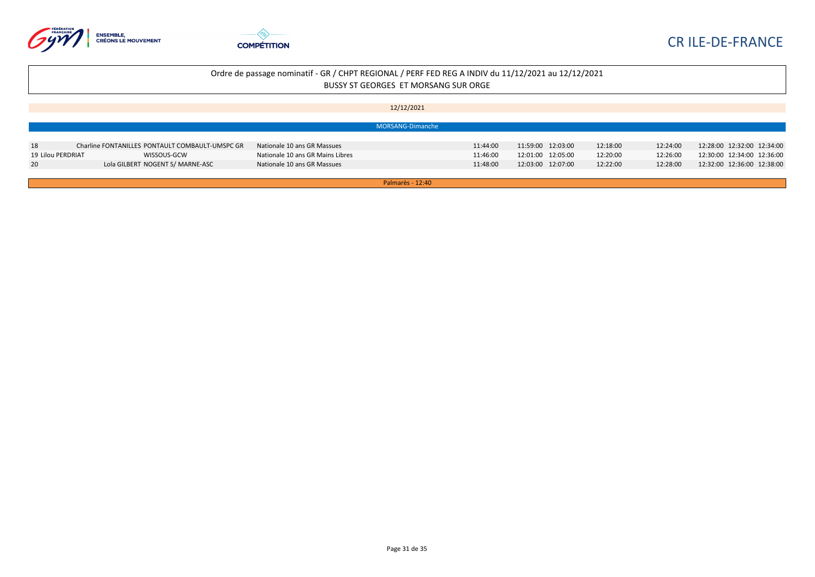



|                   |                                                 |                                  | 12/12/2021       |          |                   |          |          |                            |
|-------------------|-------------------------------------------------|----------------------------------|------------------|----------|-------------------|----------|----------|----------------------------|
|                   |                                                 |                                  |                  |          |                   |          |          |                            |
|                   |                                                 |                                  | MORSANG-Dimanche |          |                   |          |          |                            |
|                   |                                                 |                                  |                  |          |                   |          |          |                            |
| 18                | Charline FONTANILLES PONTAULT COMBAULT-UMSPC GR | Nationale 10 ans GR Massues      |                  | 11:44:00 | 11:59:00 12:03:00 | 12:18:00 | 12:24:00 | 12:28:00 12:32:00 12:34:00 |
| 19 Lilou PERDRIAT | WISSOUS-GCW                                     | Nationale 10 ans GR Mains Libres |                  | 11:46:00 | 12:01:00 12:05:00 | 12:20:00 | 12:26:00 | 12:30:00 12:34:00 12:36:00 |
| 20                | Lola GILBERT NOGENT S/ MARNE-ASC                | Nationale 10 ans GR Massues      |                  | 11:48:00 | 12:03:00 12:07:00 | 12:22:00 | 12:28:00 | 12:32:00 12:36:00 12:38:00 |
|                   |                                                 |                                  |                  |          |                   |          |          |                            |
|                   |                                                 |                                  | Palmarès - 12:40 |          |                   |          |          |                            |

Page 31 de 35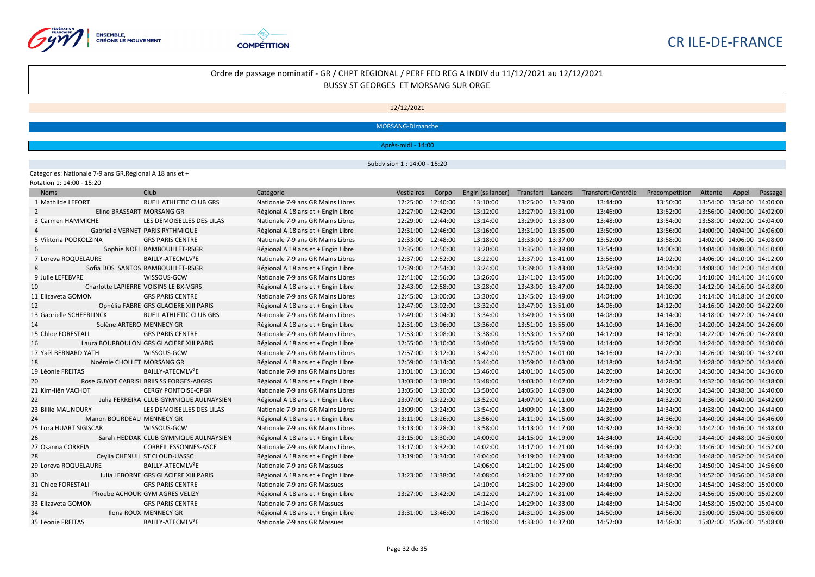



#### 12/12/2021

MORSANG-Dimanche

Après-midi - 14:00

Subdvision 1 : 14:00 - 15:20

Categories: Nationale 7-9 ans GR,Régional A 18 ans et +

Rotation 1: 14:00 - 15:20

| <b>Noms</b>              |                           | Club                                     | Catégorie                          | Vestiaires        | Corpo    | Engin (ss lancer) | Transfert Lancers | Transfert+Contrôle | Précompetition | Attente                    | Appel | Passage |
|--------------------------|---------------------------|------------------------------------------|------------------------------------|-------------------|----------|-------------------|-------------------|--------------------|----------------|----------------------------|-------|---------|
| 1 Mathilde LEFORT        |                           | <b>RUEIL ATHLETIC CLUB GRS</b>           | Nationale 7-9 ans GR Mains Libres  | 12:25:00          | 12:40:00 | 13:10:00          | 13:25:00 13:29:00 | 13:44:00           | 13:50:00       | 13:54:00 13:58:00 14:00:00 |       |         |
| $\mathcal{P}$            | Eline BRASSART MORSANG GR |                                          | Régional A 18 ans et + Engin Libre | 12:27:00          | 12:42:00 | 13:12:00          | 13:27:00 13:31:00 | 13:46:00           | 13:52:00       | 13:56:00 14:00:00 14:02:00 |       |         |
| 3 Carmen HAMMICHE        |                           | LES DEMOISELLES DES LILAS                | Nationale 7-9 ans GR Mains Libres  | 12:29:00          | 12:44:00 | 13:14:00          | 13:29:00 13:33:00 | 13:48:00           | 13:54:00       | 13:58:00 14:02:00 14:04:00 |       |         |
|                          |                           | Gabrielle VERNET PARIS RYTHMIQUE         | Régional A 18 ans et + Engin Libre | 12:31:00          | 12:46:00 | 13:16:00          | 13:31:00 13:35:00 | 13:50:00           | 13:56:00       | 14:00:00 14:04:00 14:06:00 |       |         |
| 5 Viktoria PODKOLZINA    |                           | <b>GRS PARIS CENTRE</b>                  | Nationale 7-9 ans GR Mains Libres  | 12:33:00          | 12:48:00 | 13:18:00          | 13:33:00 13:37:00 | 13:52:00           | 13:58:00       | 14:02:00 14:06:00 14:08:00 |       |         |
|                          |                           | Sophie NOEL RAMBOUILLET-RSGR             | Régional A 18 ans et + Engin Libre | 12:35:00          | 12:50:00 | 13:20:00          | 13:35:00 13:39:00 | 13:54:00           | 14:00:00       | 14:04:00 14:08:00 14:10:00 |       |         |
| 7 Loreva ROQUELAURE      |                           | BAILLY-ATECMLV <sup>2</sup> E            | Nationale 7-9 ans GR Mains Libres  | 12:37:00          | 12:52:00 | 13:22:00          | 13:37:00 13:41:00 | 13:56:00           | 14:02:00       | 14:06:00 14:10:00 14:12:00 |       |         |
|                          |                           | Sofia DOS SANTOS RAMBOUILLET-RSGR        | Régional A 18 ans et + Engin Libre | 12:39:00          | 12:54:00 | 13:24:00          | 13:39:00 13:43:00 | 13:58:00           | 14:04:00       | 14:08:00 14:12:00 14:14:00 |       |         |
| 9 Julie LEFEBVRE         |                           | WISSOUS-GCW                              | Nationale 7-9 ans GR Mains Libres  | 12:41:00          | 12:56:00 | 13:26:00          | 13:41:00 13:45:00 | 14:00:00           | 14:06:00       | 14:10:00 14:14:00 14:16:00 |       |         |
| 10                       |                           | Charlotte LAPIERRE VOISINS LE BX-VGRS    | Régional A 18 ans et + Engin Libre | 12:43:00          | 12:58:00 | 13:28:00          | 13:43:00 13:47:00 | 14:02:00           | 14:08:00       | 14:12:00 14:16:00 14:18:00 |       |         |
| 11 Elizaveta GOMON       |                           | <b>GRS PARIS CENTRE</b>                  | Nationale 7-9 ans GR Mains Libres  | 12:45:00          | 13:00:00 | 13:30:00          | 13:45:00 13:49:00 | 14:04:00           | 14:10:00       | 14:14:00 14:18:00 14:20:00 |       |         |
| 12                       |                           | Ophélia FABRE GRS GLACIERE XIII PARIS    | Régional A 18 ans et + Engin Libre | 12:47:00          | 13:02:00 | 13:32:00          | 13:47:00 13:51:00 | 14:06:00           | 14:12:00       | 14:16:00 14:20:00 14:22:00 |       |         |
| 13 Gabrielle SCHEERLINCK |                           | RUEIL ATHLETIC CLUB GRS                  | Nationale 7-9 ans GR Mains Libres  | 12:49:00          | 13:04:00 | 13:34:00          | 13:49:00 13:53:00 | 14:08:00           | 14:14:00       | 14:18:00 14:22:00 14:24:00 |       |         |
| 14                       | Solène ARTERO MENNECY GR  |                                          | Régional A 18 ans et + Engin Libre | 12:51:00          | 13:06:00 | 13:36:00          | 13:51:00 13:55:00 | 14:10:00           | 14:16:00       | 14:20:00 14:24:00 14:26:00 |       |         |
| 15 Chloe FORESTALI       |                           | <b>GRS PARIS CENTRE</b>                  | Nationale 7-9 ans GR Mains Libres  | 12:53:00          | 13:08:00 | 13:38:00          | 13:53:00 13:57:00 | 14:12:00           | 14:18:00       | 14:22:00 14:26:00 14:28:00 |       |         |
| 16                       |                           | Laura BOURBOULON GRS GLACIERE XIII PARIS | Régional A 18 ans et + Engin Libre | 12:55:00          | 13:10:00 | 13:40:00          | 13:55:00 13:59:00 | 14:14:00           | 14:20:00       | 14:24:00 14:28:00 14:30:00 |       |         |
| 17 Yaël BERNARD YATH     |                           | WISSOUS-GCW                              | Nationale 7-9 ans GR Mains Libres  | 12:57:00          | 13:12:00 | 13:42:00          | 13:57:00 14:01:00 | 14:16:00           | 14:22:00       | 14:26:00 14:30:00 14:32:00 |       |         |
| 18                       | Noémie CHOLLET MORSANG GR |                                          | Régional A 18 ans et + Engin Libre | 12:59:00          | 13:14:00 | 13:44:00          | 13:59:00 14:03:00 | 14:18:00           | 14:24:00       | 14:28:00 14:32:00 14:34:00 |       |         |
| 19 Léonie FREITAS        |                           | BAILLY-ATECMLV <sup>2</sup> E            | Nationale 7-9 ans GR Mains Libres  | 13:01:00          | 13:16:00 | 13:46:00          | 14:01:00 14:05:00 | 14:20:00           | 14:26:00       | 14:30:00 14:34:00 14:36:00 |       |         |
| 20                       |                           | Rose GUYOT CABRISI BRIIS SS FORGES-ABGRS | Régional A 18 ans et + Engin Libre | 13:03:00          | 13:18:00 | 13:48:00          | 14:03:00 14:07:00 | 14:22:00           | 14:28:00       | 14:32:00 14:36:00 14:38:00 |       |         |
| 21 Kim-liên VACHOT       |                           | <b>CERGY PONTOISE-CPGR</b>               | Nationale 7-9 ans GR Mains Libres  | 13:05:00          | 13:20:00 | 13:50:00          | 14:05:00 14:09:00 | 14:24:00           | 14:30:00       | 14:34:00 14:38:00 14:40:00 |       |         |
| 22                       |                           | Julia FERREIRA CLUB GYMNIQUE AULNAYSIEN  | Régional A 18 ans et + Engin Libre | 13:07:00          | 13:22:00 | 13:52:00          | 14:07:00 14:11:00 | 14:26:00           | 14:32:00       | 14:36:00 14:40:00 14:42:00 |       |         |
| 23 Billie MAUNOURY       |                           | LES DEMOISELLES DES LILAS                | Nationale 7-9 ans GR Mains Libres  | 13:09:00          | 13:24:00 | 13:54:00          | 14:09:00 14:13:00 | 14:28:00           | 14:34:00       | 14:38:00 14:42:00 14:44:00 |       |         |
| 24                       | Manon BOURDEAU MENNECY GR |                                          | Régional A 18 ans et + Engin Libre | 13:11:00          | 13:26:00 | 13:56:00          | 14:11:00 14:15:00 | 14:30:00           | 14:36:00       | 14:40:00 14:44:00 14:46:00 |       |         |
| 25 Lora HUART SIGISCAR   |                           | WISSOUS-GCW                              | Nationale 7-9 ans GR Mains Libres  | 13:13:00          | 13:28:00 | 13:58:00          | 14:13:00 14:17:00 | 14:32:00           | 14:38:00       | 14:42:00 14:46:00 14:48:00 |       |         |
| 26                       |                           | Sarah HEDDAK CLUB GYMNIQUE AULNAYSIEN    | Régional A 18 ans et + Engin Libre | 13:15:00          | 13:30:00 | 14:00:00          | 14:15:00 14:19:00 | 14:34:00           | 14:40:00       | 14:44:00 14:48:00 14:50:00 |       |         |
| 27 Osanna CORREIA        |                           | <b>CORBEIL ESSONNES-ASCE</b>             | Nationale 7-9 ans GR Mains Libres  | 13:17:00 13:32:00 |          | 14:02:00          | 14:17:00 14:21:00 | 14:36:00           | 14:42:00       | 14:46:00 14:50:00 14:52:00 |       |         |
| 28                       |                           | Ceylia CHENUIL ST CLOUD-UASSC            | Régional A 18 ans et + Engin Libre | 13:19:00 13:34:00 |          | 14:04:00          | 14:19:00 14:23:00 | 14:38:00           | 14:44:00       | 14:48:00 14:52:00 14:54:00 |       |         |
| 29 Loreva ROQUELAURE     |                           | BAILLY-ATECMLV <sup>2</sup> E            | Nationale 7-9 ans GR Massues       |                   |          | 14:06:00          | 14:21:00 14:25:00 | 14:40:00           | 14:46:00       | 14:50:00 14:54:00 14:56:00 |       |         |
| 30                       |                           | Julia LEBORNE GRS GLACIERE XIII PARIS    | Régional A 18 ans et + Engin Libre | 13:23:00 13:38:00 |          | 14:08:00          | 14:23:00 14:27:00 | 14:42:00           | 14:48:00       | 14:52:00 14:56:00 14:58:00 |       |         |
| 31 Chloe FORESTALI       |                           | <b>GRS PARIS CENTRE</b>                  | Nationale 7-9 ans GR Massues       |                   |          | 14:10:00          | 14:25:00 14:29:00 | 14:44:00           | 14:50:00       | 14:54:00 14:58:00 15:00:00 |       |         |
| 32                       |                           | Phoebe ACHOUR GYM AGRES VELIZY           | Régional A 18 ans et + Engin Libre | 13:27:00 13:42:00 |          | 14:12:00          | 14:27:00 14:31:00 | 14:46:00           | 14:52:00       | 14:56:00 15:00:00 15:02:00 |       |         |
| 33 Elizaveta GOMON       |                           | <b>GRS PARIS CENTRE</b>                  | Nationale 7-9 ans GR Massues       |                   |          | 14:14:00          | 14:29:00 14:33:00 | 14:48:00           | 14:54:00       | 14:58:00 15:02:00 15:04:00 |       |         |
| 34                       |                           | <b>Ilona ROUX MENNECY GR</b>             | Régional A 18 ans et + Engin Libre | 13:31:00 13:46:00 |          | 14:16:00          | 14:31:00 14:35:00 | 14:50:00           | 14:56:00       | 15:00:00 15:04:00 15:06:00 |       |         |
| 35 Léonie FREITAS        |                           | BAILLY-ATECMLV <sup>2</sup> E            | Nationale 7-9 ans GR Massues       |                   |          | 14:18:00          | 14:33:00 14:37:00 | 14:52:00           | 14:58:00       | 15:02:00 15:06:00 15:08:00 |       |         |
|                          |                           |                                          |                                    |                   |          |                   |                   |                    |                |                            |       |         |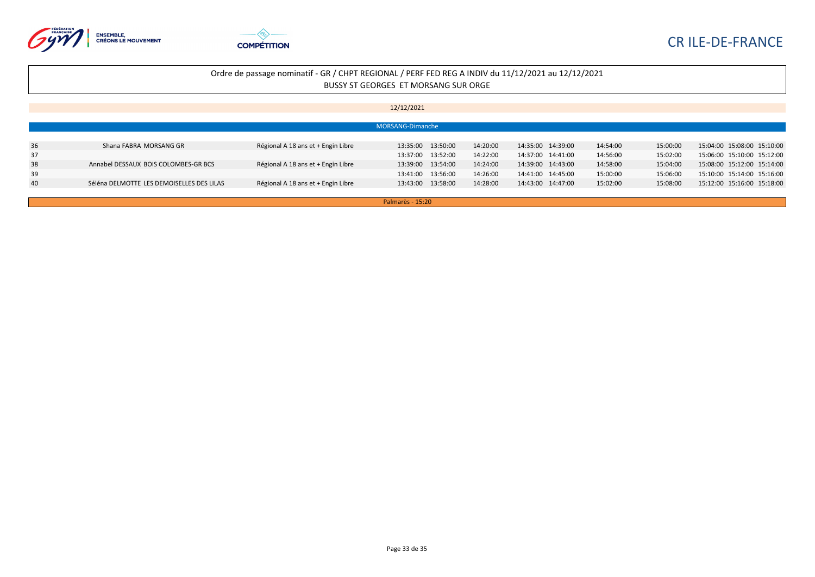



|    | MORSANG-Dimanche                          |                                    |                   |          |                   |          |          |                            |  |
|----|-------------------------------------------|------------------------------------|-------------------|----------|-------------------|----------|----------|----------------------------|--|
|    |                                           |                                    |                   |          |                   |          |          |                            |  |
| 36 | Shana FABRA MORSANG GR                    | Régional A 18 ans et + Engin Libre | 13:35:00 13:50:00 | 14:20:00 | 14:35:00 14:39:00 | 14:54:00 | 15:00:00 | 15:04:00 15:08:00 15:10:00 |  |
| 37 |                                           |                                    | 13:37:00 13:52:00 | 14:22:00 | 14:37:00 14:41:00 | 14:56:00 | 15:02:00 | 15:06:00 15:10:00 15:12:00 |  |
| 38 | Annabel DESSAUX BOIS COLOMBES-GR BCS      | Régional A 18 ans et + Engin Libre | 13:39:00 13:54:00 | 14:24:00 | 14:39:00 14:43:00 | 14:58:00 | 15:04:00 | 15:08:00 15:12:00 15:14:00 |  |
| 39 |                                           |                                    | 13:41:00 13:56:00 | 14:26:00 | 14:41:00 14:45:00 | 15:00:00 | 15:06:00 | 15:10:00 15:14:00 15:16:00 |  |
| 40 | Séléna DELMOTTE LES DEMOISELLES DES LILAS | Régional A 18 ans et + Engin Libre | 13:43:00 13:58:00 | 14:28:00 | 14:43:00 14:47:00 | 15:02:00 | 15:08:00 | 15:12:00 15:16:00 15:18:00 |  |
|    |                                           |                                    |                   |          |                   |          |          |                            |  |
|    | Palmarès - 15:20                          |                                    |                   |          |                   |          |          |                            |  |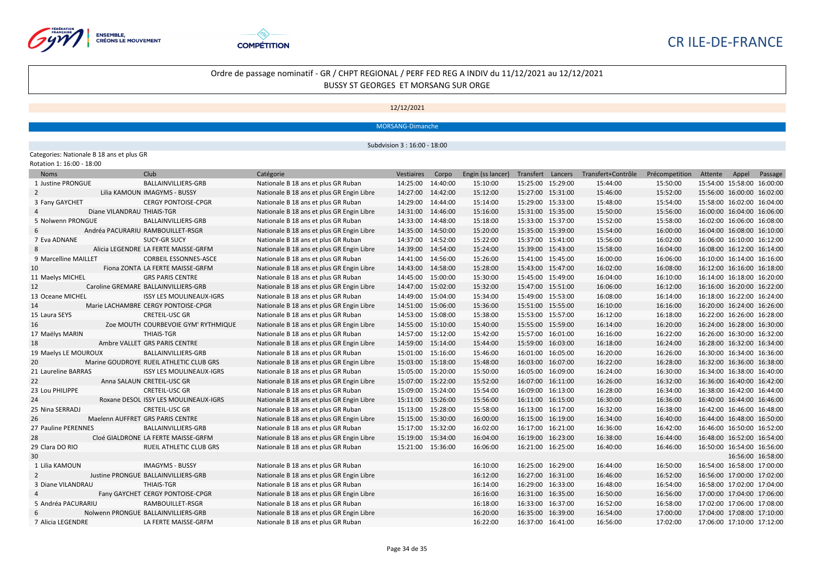



12/12/2021

MORSANG-Dimanche

Subdvision 3 : 16:00 - 18:00

#### Categories: Nationale B 18 ans et plus GR

| Rotation 1: 16:00 - 18:00  |                                         |                                           |                   |          |                   |                   |                    |                |                            |                   |         |
|----------------------------|-----------------------------------------|-------------------------------------------|-------------------|----------|-------------------|-------------------|--------------------|----------------|----------------------------|-------------------|---------|
| <b>Noms</b>                | Club                                    | Catégorie                                 | Vestiaires        | Corpo    | Engin (ss lancer) | Transfert Lancers | Transfert+Contrôle | Précompetition | Attente                    | Appel             | Passage |
| 1 Justine PRONGUE          | BALLAINVILLIERS-GRB                     | Nationale B 18 ans et plus GR Ruban       | 14:25:00          | 14:40:00 | 15:10:00          | 15:25:00 15:29:00 | 15:44:00           | 15:50:00       | 15:54:00 15:58:00 16:00:00 |                   |         |
| $\overline{2}$             | Lilia KAMOUN IMAGYMS - BUSSY            | Nationale B 18 ans et plus GR Engin Libre | 14:27:00          | 14:42:00 | 15:12:00          | 15:27:00 15:31:00 | 15:46:00           | 15:52:00       | 15:56:00 16:00:00 16:02:00 |                   |         |
| 3 Fany GAYCHET             | <b>CERGY PONTOISE-CPGR</b>              | Nationale B 18 ans et plus GR Ruban       | 14:29:00          | 14:44:00 | 15:14:00          | 15:29:00 15:33:00 | 15:48:00           | 15:54:00       | 15:58:00 16:02:00 16:04:00 |                   |         |
| Diane VILANDRAU THIAIS-TGR |                                         | Nationale B 18 ans et plus GR Engin Libre | 14:31:00          | 14:46:00 | 15:16:00          | 15:31:00 15:35:00 | 15:50:00           | 15:56:00       | 16:00:00 16:04:00 16:06:00 |                   |         |
| 5 Nolwenn PRONGUE          | BALLAINVILLIERS-GRB                     | Nationale B 18 ans et plus GR Ruban       | 14:33:00          | 14:48:00 | 15:18:00          | 15:33:00 15:37:00 | 15:52:00           | 15:58:00       | 16:02:00 16:06:00 16:08:00 |                   |         |
|                            | Andréa PACURARIU RAMBOUILLET-RSGR       | Nationale B 18 ans et plus GR Engin Libre | 14:35:00          | 14:50:00 | 15:20:00          | 15:35:00 15:39:00 | 15:54:00           | 16:00:00       | 16:04:00 16:08:00 16:10:00 |                   |         |
| 7 Eva ADNANE               | <b>SUCY-GR SUCY</b>                     | Nationale B 18 ans et plus GR Ruban       | 14:37:00          | 14:52:00 | 15:22:00          | 15:37:00 15:41:00 | 15:56:00           | 16:02:00       | 16:06:00 16:10:00 16:12:00 |                   |         |
| 8                          | Alicia LEGENDRE LA FERTE MAISSE-GRFM    | Nationale B 18 ans et plus GR Engin Libre | 14:39:00          | 14:54:00 | 15:24:00          | 15:39:00 15:43:00 | 15:58:00           | 16:04:00       | 16:08:00 16:12:00 16:14:00 |                   |         |
| 9 Marcelline MAILLET       | CORBEIL ESSONNES-ASCE                   | Nationale B 18 ans et plus GR Ruban       | 14:41:00          | 14:56:00 | 15:26:00          | 15:41:00 15:45:00 | 16:00:00           | 16:06:00       | 16:10:00 16:14:00 16:16:00 |                   |         |
| 10                         | Fiona ZONTA LA FERTE MAISSE-GRFM        | Nationale B 18 ans et plus GR Engin Libre | 14:43:00          | 14:58:00 | 15:28:00          | 15:43:00 15:47:00 | 16:02:00           | 16:08:00       | 16:12:00 16:16:00 16:18:00 |                   |         |
| 11 Maelys MICHEL           | <b>GRS PARIS CENTRE</b>                 | Nationale B 18 ans et plus GR Ruban       | 14:45:00          | 15:00:00 | 15:30:00          | 15:45:00 15:49:00 | 16:04:00           | 16:10:00       | 16:14:00 16:18:00 16:20:00 |                   |         |
| 12                         | Caroline GREMARE BALLAINVILLIERS-GRB    | Nationale B 18 ans et plus GR Engin Libre | 14:47:00          | 15:02:00 | 15:32:00          | 15:47:00 15:51:00 | 16:06:00           | 16:12:00       | 16:16:00 16:20:00 16:22:00 |                   |         |
| 13 Oceane MICHEL           | <b>ISSY LES MOULINEAUX-IGRS</b>         | Nationale B 18 ans et plus GR Ruban       | 14:49:00          | 15:04:00 | 15:34:00          | 15:49:00 15:53:00 | 16:08:00           | 16:14:00       | 16:18:00 16:22:00 16:24:00 |                   |         |
| 14                         | Marie LACHAMBRE CERGY PONTOISE-CPGR     | Nationale B 18 ans et plus GR Engin Libre | 14:51:00          | 15:06:00 | 15:36:00          | 15:51:00 15:55:00 | 16:10:00           | 16:16:00       | 16:20:00 16:24:00 16:26:00 |                   |         |
| 15 Laura SEYS              | <b>CRETEIL-USC GR</b>                   | Nationale B 18 ans et plus GR Ruban       | 14:53:00          | 15:08:00 | 15:38:00          | 15:53:00 15:57:00 | 16:12:00           | 16:18:00       | 16:22:00 16:26:00 16:28:00 |                   |         |
| 16                         | Zoe MOUTH COURBEVOIE GYM' RYTHMIQUE     | Nationale B 18 ans et plus GR Engin Libre | 14:55:00          | 15:10:00 | 15:40:00          | 15:55:00 15:59:00 | 16:14:00           | 16:20:00       | 16:24:00 16:28:00 16:30:00 |                   |         |
| 17 Maëlys MARIN            | <b>THIAIS-TGR</b>                       | Nationale B 18 ans et plus GR Ruban       | 14:57:00 15:12:00 |          | 15:42:00          | 15:57:00 16:01:00 | 16:16:00           | 16:22:00       | 16:26:00 16:30:00 16:32:00 |                   |         |
| 18                         | Ambre VALLET GRS PARIS CENTRE           | Nationale B 18 ans et plus GR Engin Libre | 14:59:00          | 15:14:00 | 15:44:00          | 15:59:00 16:03:00 | 16:18:00           | 16:24:00       | 16:28:00 16:32:00 16:34:00 |                   |         |
| 19 Maelys LE MOUROUX       | BALLAINVILLIERS-GRB                     | Nationale B 18 ans et plus GR Ruban       | 15:01:00          | 15:16:00 | 15:46:00          | 16:01:00 16:05:00 | 16:20:00           | 16:26:00       | 16:30:00 16:34:00 16:36:00 |                   |         |
| 20                         | Marine GOUDROYE RUEIL ATHLETIC CLUB GRS | Nationale B 18 ans et plus GR Engin Libre | 15:03:00          | 15:18:00 | 15:48:00          | 16:03:00 16:07:00 | 16:22:00           | 16:28:00       | 16:32:00 16:36:00 16:38:00 |                   |         |
| 21 Laureline BARRAS        | <b>ISSY LES MOULINEAUX-IGRS</b>         | Nationale B 18 ans et plus GR Ruban       | 15:05:00 15:20:00 |          | 15:50:00          | 16:05:00 16:09:00 | 16:24:00           | 16:30:00       | 16:34:00 16:38:00 16:40:00 |                   |         |
| 22                         | Anna SALAUN CRETEIL-USC GR              | Nationale B 18 ans et plus GR Engin Libre | 15:07:00          | 15:22:00 | 15:52:00          | 16:07:00 16:11:00 | 16:26:00           | 16:32:00       | 16:36:00 16:40:00 16:42:00 |                   |         |
| 23 Lou PHILIPPE            | <b>CRETEIL-USC GR</b>                   | Nationale B 18 ans et plus GR Ruban       | 15:09:00          | 15:24:00 | 15:54:00          | 16:09:00 16:13:00 | 16:28:00           | 16:34:00       | 16:38:00 16:42:00 16:44:00 |                   |         |
| 24                         | Roxane DESOL ISSY LES MOULINEAUX-IGRS   | Nationale B 18 ans et plus GR Engin Libre | 15:11:00          | 15:26:00 | 15:56:00          | 16:11:00 16:15:00 | 16:30:00           | 16:36:00       | 16:40:00 16:44:00 16:46:00 |                   |         |
| 25 Nina SERRADJ            | <b>CRETEIL-USC GR</b>                   | Nationale B 18 ans et plus GR Ruban       | 15:13:00          | 15:28:00 | 15:58:00          | 16:13:00 16:17:00 | 16:32:00           | 16:38:00       | 16:42:00 16:46:00 16:48:00 |                   |         |
| 26                         | Maelenn AUFFRET GRS PARIS CENTRE        | Nationale B 18 ans et plus GR Engin Libre | 15:15:00          | 15:30:00 | 16:00:00          | 16:15:00 16:19:00 | 16:34:00           | 16:40:00       | 16:44:00 16:48:00 16:50:00 |                   |         |
| 27 Pauline PERENNES        | BALLAINVILLIERS-GRB                     | Nationale B 18 ans et plus GR Ruban       | 15:17:00          | 15:32:00 | 16:02:00          | 16:17:00 16:21:00 | 16:36:00           | 16:42:00       | 16:46:00 16:50:00 16:52:00 |                   |         |
| 28                         | Cloé GIALDRONE LA FERTE MAISSE-GRFM     | Nationale B 18 ans et plus GR Engin Libre | 15:19:00          | 15:34:00 | 16:04:00          | 16:19:00 16:23:00 | 16:38:00           | 16:44:00       | 16:48:00 16:52:00 16:54:00 |                   |         |
| 29 Clara DO RIO            | RUEIL ATHLETIC CLUB GRS                 | Nationale B 18 ans et plus GR Ruban       | 15:21:00 15:36:00 |          | 16:06:00          | 16:21:00 16:25:00 | 16:40:00           | 16:46:00       | 16:50:00 16:54:00 16:56:00 |                   |         |
| 30                         |                                         |                                           |                   |          |                   |                   |                    |                |                            | 16:56:00 16:58:00 |         |
| 1 Lilia KAMOUN             | <b>IMAGYMS - BUSSY</b>                  | Nationale B 18 ans et plus GR Ruban       |                   |          | 16:10:00          | 16:25:00 16:29:00 | 16:44:00           | 16:50:00       | 16:54:00 16:58:00 17:00:00 |                   |         |
| 2                          | Justine PRONGUE BALLAINVILLIERS-GRB     | Nationale B 18 ans et plus GR Engin Libre |                   |          | 16:12:00          | 16:27:00 16:31:00 | 16:46:00           | 16:52:00       | 16:56:00 17:00:00 17:02:00 |                   |         |
| 3 Diane VILANDRAU          | <b>THIAIS-TGR</b>                       | Nationale B 18 ans et plus GR Ruban       |                   |          | 16:14:00          | 16:29:00 16:33:00 | 16:48:00           | 16:54:00       | 16:58:00 17:02:00 17:04:00 |                   |         |
|                            | Fany GAYCHET CERGY PONTOISE-CPGR        | Nationale B 18 ans et plus GR Engin Libre |                   |          | 16:16:00          | 16:31:00 16:35:00 | 16:50:00           | 16:56:00       | 17:00:00 17:04:00 17:06:00 |                   |         |
| 5 Andréa PACURARIU         | RAMBOUILLET-RSGR                        | Nationale B 18 ans et plus GR Ruban       |                   |          | 16:18:00          | 16:33:00 16:37:00 | 16:52:00           | 16:58:00       | 17:02:00 17:06:00 17:08:00 |                   |         |
|                            | Nolwenn PRONGUE BALLAINVILLIERS-GRB     | Nationale B 18 ans et plus GR Engin Libre |                   |          | 16:20:00          | 16:35:00 16:39:00 | 16:54:00           | 17:00:00       | 17:04:00 17:08:00 17:10:00 |                   |         |
| 7 Alicia LEGENDRE          | LA FERTE MAISSE-GRFM                    | Nationale B 18 ans et plus GR Ruban       |                   |          | 16:22:00          | 16:37:00 16:41:00 | 16:56:00           | 17:02:00       | 17:06:00 17:10:00 17:12:00 |                   |         |